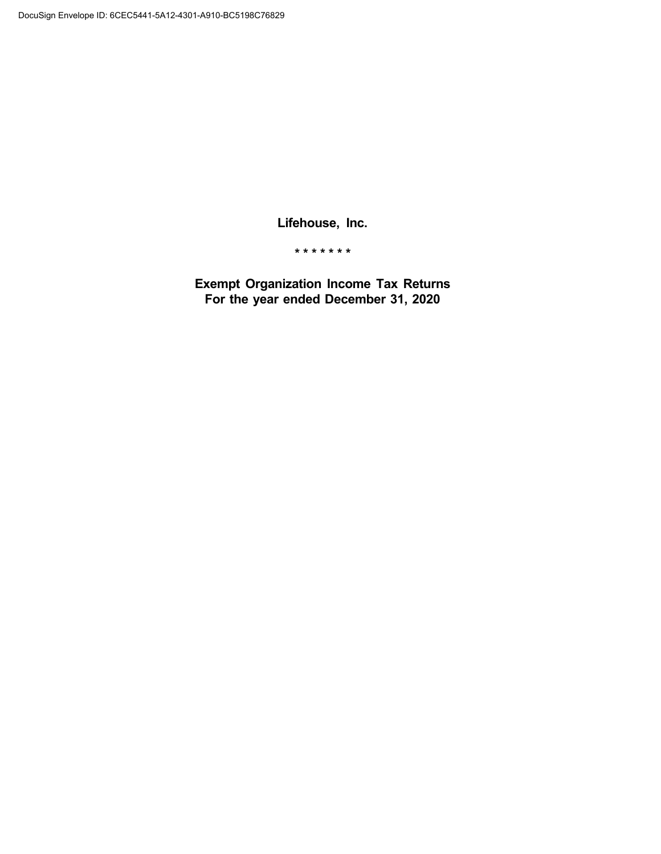**Lifehouse, Inc.**

**\* \* \* \* \* \* \***

**Exempt Organization Income Tax Returns For the year ended December 31, 2020**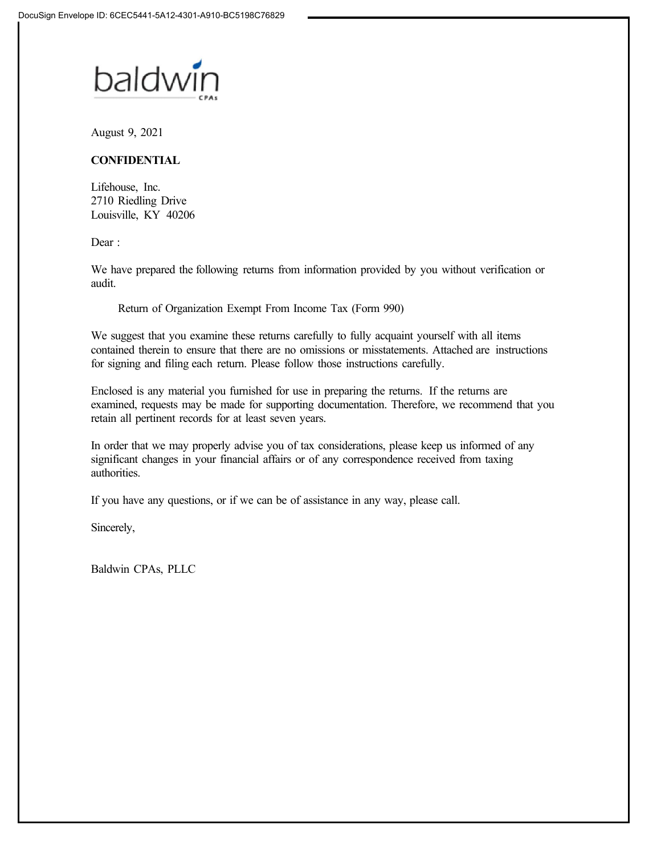

August 9, 2021

#### **CONFIDENTIAL**

Lifehouse, Inc. 2710 Riedling Drive Louisville, KY 40206

Dear:

We have prepared the following returns from information provided by you without verification or audit.

Return of Organization Exempt From Income Tax (Form 990)

We suggest that you examine these returns carefully to fully acquaint yourself with all items contained therein to ensure that there are no omissions or misstatements. Attached are instructions for signing and filing each return. Please follow those instructions carefully.

Enclosed is any material you furnished for use in preparing the returns. If the returns are examined, requests may be made for supporting documentation. Therefore, we recommend that you retain all pertinent records for at least seven years.

In order that we may properly advise you of tax considerations, please keep us informed of any significant changes in your financial affairs or of any correspondence received from taxing authorities.

If you have any questions, or if we can be of assistance in any way, please call.

Sincerely,

Baldwin CPAs, PLLC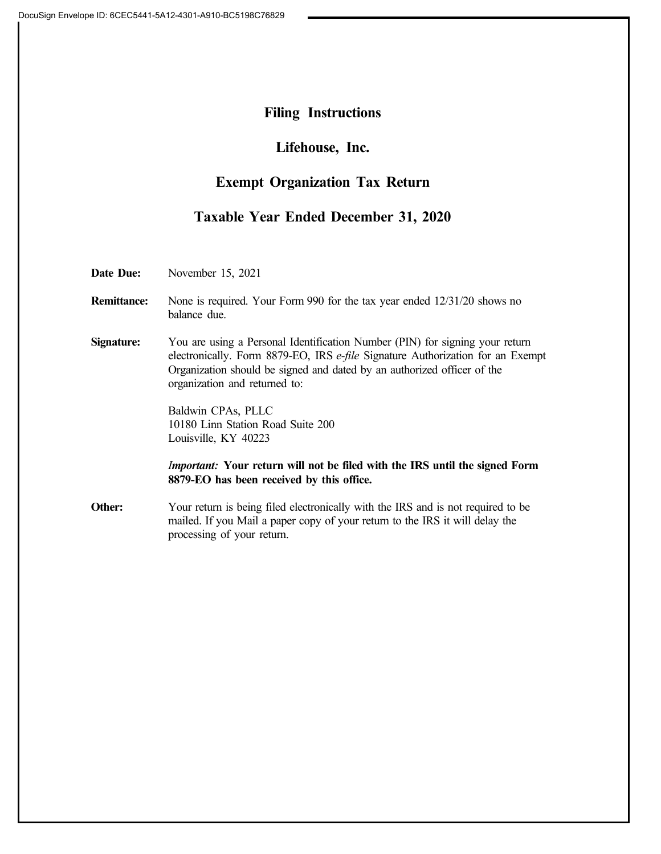### **Filing Instructions**

### **Lifehouse, Inc.**

### **Exempt Organization Tax Return**

### **Taxable Year Ended December 31, 2020**

**Date Due:** November 15, 2021

- **Remittance:** None is required. Your Form 990 for the tax year ended 12/31/20 shows no balance due.
- **Signature:** You are using a Personal Identification Number (PIN) for signing your return electronically. Form 8879-EO, IRS *e-file* Signature Authorization for an Exempt Organization should be signed and dated by an authorized officer of the organization and returned to:

Baldwin CPAs, PLLC 10180 Linn Station Road Suite 200 Louisville, KY 40223

*Important:* **Your return will not be filed with the IRS until the signed Form 8879-EO has been received by this office.**

**Other:** Your return is being filed electronically with the IRS and is not required to be mailed. If you Mail a paper copy of your return to the IRS it will delay the processing of your return.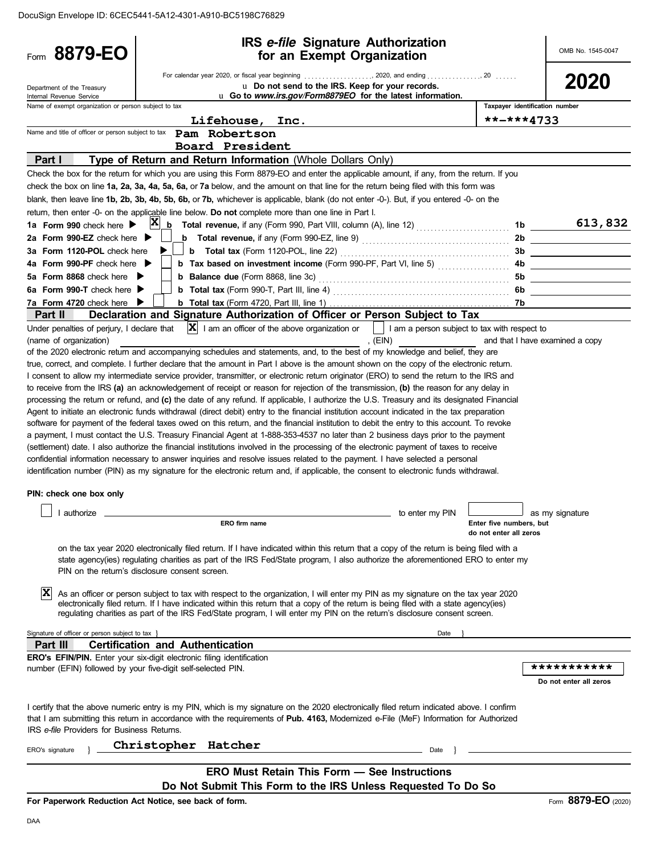| 8879-EO<br>Form                                                                                              |                                         |                                                                              | <b>IRS e-file Signature Authorization</b><br>for an Exempt Organization                                                                                                                                                                                                                                                                                                                                                                                                                                                                                                                                                                                                                                                                                                                                                                                                                                                                                                                                                                                                                                                                                                                                                                                                                                                                                                                                                                                                                                                                                                          |                 |                                                                         | OMB No. 1545-0047                                  |
|--------------------------------------------------------------------------------------------------------------|-----------------------------------------|------------------------------------------------------------------------------|----------------------------------------------------------------------------------------------------------------------------------------------------------------------------------------------------------------------------------------------------------------------------------------------------------------------------------------------------------------------------------------------------------------------------------------------------------------------------------------------------------------------------------------------------------------------------------------------------------------------------------------------------------------------------------------------------------------------------------------------------------------------------------------------------------------------------------------------------------------------------------------------------------------------------------------------------------------------------------------------------------------------------------------------------------------------------------------------------------------------------------------------------------------------------------------------------------------------------------------------------------------------------------------------------------------------------------------------------------------------------------------------------------------------------------------------------------------------------------------------------------------------------------------------------------------------------------|-----------------|-------------------------------------------------------------------------|----------------------------------------------------|
| Department of the Treasury<br>Internal Revenue Service                                                       |                                         |                                                                              | u Do not send to the IRS. Keep for your records.<br>u Go to www.irs.gov/Form8879EO for the latest information.                                                                                                                                                                                                                                                                                                                                                                                                                                                                                                                                                                                                                                                                                                                                                                                                                                                                                                                                                                                                                                                                                                                                                                                                                                                                                                                                                                                                                                                                   |                 |                                                                         | 2020                                               |
| Name of exempt organization or person subject to tax                                                         |                                         |                                                                              |                                                                                                                                                                                                                                                                                                                                                                                                                                                                                                                                                                                                                                                                                                                                                                                                                                                                                                                                                                                                                                                                                                                                                                                                                                                                                                                                                                                                                                                                                                                                                                                  |                 |                                                                         | Taxpayer identification number                     |
| Name and title of officer or person subject to tax                                                           |                                         | Lifehouse, Inc.                                                              |                                                                                                                                                                                                                                                                                                                                                                                                                                                                                                                                                                                                                                                                                                                                                                                                                                                                                                                                                                                                                                                                                                                                                                                                                                                                                                                                                                                                                                                                                                                                                                                  |                 | **-***4733                                                              |                                                    |
|                                                                                                              |                                         | Pam Robertson<br>Board President                                             |                                                                                                                                                                                                                                                                                                                                                                                                                                                                                                                                                                                                                                                                                                                                                                                                                                                                                                                                                                                                                                                                                                                                                                                                                                                                                                                                                                                                                                                                                                                                                                                  |                 |                                                                         |                                                    |
| Part I                                                                                                       |                                         | Type of Return and Return Information (Whole Dollars Only)                   |                                                                                                                                                                                                                                                                                                                                                                                                                                                                                                                                                                                                                                                                                                                                                                                                                                                                                                                                                                                                                                                                                                                                                                                                                                                                                                                                                                                                                                                                                                                                                                                  |                 |                                                                         |                                                    |
|                                                                                                              |                                         |                                                                              | Check the box for the return for which you are using this Form 8879-EO and enter the applicable amount, if any, from the return. If you                                                                                                                                                                                                                                                                                                                                                                                                                                                                                                                                                                                                                                                                                                                                                                                                                                                                                                                                                                                                                                                                                                                                                                                                                                                                                                                                                                                                                                          |                 |                                                                         |                                                    |
|                                                                                                              |                                         |                                                                              | check the box on line 1a, 2a, 3a, 4a, 5a, 6a, or 7a below, and the amount on that line for the return being filed with this form was                                                                                                                                                                                                                                                                                                                                                                                                                                                                                                                                                                                                                                                                                                                                                                                                                                                                                                                                                                                                                                                                                                                                                                                                                                                                                                                                                                                                                                             |                 |                                                                         |                                                    |
|                                                                                                              |                                         |                                                                              | blank, then leave line 1b, 2b, 3b, 4b, 5b, 6b, or 7b, whichever is applicable, blank (do not enter -0-). But, if you entered -0- on the                                                                                                                                                                                                                                                                                                                                                                                                                                                                                                                                                                                                                                                                                                                                                                                                                                                                                                                                                                                                                                                                                                                                                                                                                                                                                                                                                                                                                                          |                 |                                                                         |                                                    |
| return, then enter -0- on the applicable line below. Do not complete more than one line in Part I.           |                                         |                                                                              |                                                                                                                                                                                                                                                                                                                                                                                                                                                                                                                                                                                                                                                                                                                                                                                                                                                                                                                                                                                                                                                                                                                                                                                                                                                                                                                                                                                                                                                                                                                                                                                  |                 |                                                                         |                                                    |
| 1a Form 990 check here                                                                                       | $ {\bf X} $                             |                                                                              | b Total revenue, if any (Form 990, Part VIII, column (A), line 12) <i>[[[[[[[[[[[[[[[[[[[[[[[[[[[[[[[[]]]]</i>                                                                                                                                                                                                                                                                                                                                                                                                                                                                                                                                                                                                                                                                                                                                                                                                                                                                                                                                                                                                                                                                                                                                                                                                                                                                                                                                                                                                                                                                   |                 | 1b                                                                      | 613,832                                            |
| 2a Form 990-EZ check here ▶                                                                                  |                                         |                                                                              |                                                                                                                                                                                                                                                                                                                                                                                                                                                                                                                                                                                                                                                                                                                                                                                                                                                                                                                                                                                                                                                                                                                                                                                                                                                                                                                                                                                                                                                                                                                                                                                  |                 | 2b                                                                      | <u> 1980 - Johann Barbara, martxa al</u>           |
| 3a Form 1120-POL check here                                                                                  |                                         | <b>b</b> Total tax (Form 1120-POL, line 22)                                  |                                                                                                                                                                                                                                                                                                                                                                                                                                                                                                                                                                                                                                                                                                                                                                                                                                                                                                                                                                                                                                                                                                                                                                                                                                                                                                                                                                                                                                                                                                                                                                                  |                 | 3b.                                                                     |                                                    |
| 4a Form 990-PF check here <b>D</b>                                                                           |                                         |                                                                              | b Tax based on investment income (Form 990-PF, Part VI, line 5)                                                                                                                                                                                                                                                                                                                                                                                                                                                                                                                                                                                                                                                                                                                                                                                                                                                                                                                                                                                                                                                                                                                                                                                                                                                                                                                                                                                                                                                                                                                  |                 | 4b                                                                      | the control of the control of the control of       |
| 5a Form 8868 check here<br>6a Form 990-T check here $\blacktriangleright$                                    |                                         | <b>b</b> Balance due (Form 8868, line 3c)                                    |                                                                                                                                                                                                                                                                                                                                                                                                                                                                                                                                                                                                                                                                                                                                                                                                                                                                                                                                                                                                                                                                                                                                                                                                                                                                                                                                                                                                                                                                                                                                                                                  |                 | 5b                                                                      | <u> 1989 - Johann Barn, mars ann an t-San A</u>    |
| 7a Form 4720 check here                                                                                      |                                         |                                                                              |                                                                                                                                                                                                                                                                                                                                                                                                                                                                                                                                                                                                                                                                                                                                                                                                                                                                                                                                                                                                                                                                                                                                                                                                                                                                                                                                                                                                                                                                                                                                                                                  |                 | 6b<br>7b                                                                |                                                    |
| Part II                                                                                                      |                                         |                                                                              | Declaration and Signature Authorization of Officer or Person Subject to Tax                                                                                                                                                                                                                                                                                                                                                                                                                                                                                                                                                                                                                                                                                                                                                                                                                                                                                                                                                                                                                                                                                                                                                                                                                                                                                                                                                                                                                                                                                                      |                 |                                                                         |                                                    |
| Under penalties of perjury, I declare that<br>(name of organization)<br>PIN: check one box only<br>authorize |                                         | $ \mathbf{X} $ I am an officer of the above organization or<br>ERO firm name | , $(EIN)$<br>of the 2020 electronic return and accompanying schedules and statements, and, to the best of my knowledge and belief, they are<br>true, correct, and complete. I further declare that the amount in Part I above is the amount shown on the copy of the electronic return.<br>I consent to allow my intermediate service provider, transmitter, or electronic return originator (ERO) to send the return to the IRS and<br>to receive from the IRS (a) an acknowledgement of receipt or reason for rejection of the transmission, (b) the reason for any delay in<br>processing the return or refund, and (c) the date of any refund. If applicable, I authorize the U.S. Treasury and its designated Financial<br>Agent to initiate an electronic funds withdrawal (direct debit) entry to the financial institution account indicated in the tax preparation<br>software for payment of the federal taxes owed on this retum, and the financial institution to debit the entry to this account. To revoke<br>a payment, I must contact the U.S. Treasury Financial Agent at 1-888-353-4537 no later than 2 business days prior to the payment<br>(settlement) date. I also authorize the financial institutions involved in the processing of the electronic payment of taxes to receive<br>confidential information necessary to answer inquiries and resolve issues related to the payment. I have selected a personal<br>identification number (PIN) as my signature for the electronic return and, if applicable, the consent to electronic funds withdrawal. | to enter my PIN | I am a person subject to tax with respect to<br>Enter five numbers, but | and that I have examined a copy<br>as my signature |
|                                                                                                              |                                         |                                                                              |                                                                                                                                                                                                                                                                                                                                                                                                                                                                                                                                                                                                                                                                                                                                                                                                                                                                                                                                                                                                                                                                                                                                                                                                                                                                                                                                                                                                                                                                                                                                                                                  |                 | do not enter all zeros                                                  |                                                    |
| PIN on the return's disclosure consent screen.<br>IХ                                                         |                                         |                                                                              | on the tax year 2020 electronically filed return. If I have indicated within this return that a copy of the return is being filed with a<br>state agency(ies) regulating charities as part of the IRS Fed/State program, I also authorize the aforementioned ERO to enter my<br>As an officer or person subject to tax with respect to the organization, I will enter my PIN as my signature on the tax year 2020<br>electronically filed return. If I have indicated within this return that a copy of the return is being filed with a state agency(ies)<br>regulating charities as part of the IRS Fed/State program, I will enter my PIN on the return's disclosure consent screen.                                                                                                                                                                                                                                                                                                                                                                                                                                                                                                                                                                                                                                                                                                                                                                                                                                                                                          |                 |                                                                         |                                                    |
| Signature of officer or person subject to tax                                                                |                                         |                                                                              |                                                                                                                                                                                                                                                                                                                                                                                                                                                                                                                                                                                                                                                                                                                                                                                                                                                                                                                                                                                                                                                                                                                                                                                                                                                                                                                                                                                                                                                                                                                                                                                  | Date            |                                                                         |                                                    |
| Part III                                                                                                     | <b>Certification and Authentication</b> |                                                                              |                                                                                                                                                                                                                                                                                                                                                                                                                                                                                                                                                                                                                                                                                                                                                                                                                                                                                                                                                                                                                                                                                                                                                                                                                                                                                                                                                                                                                                                                                                                                                                                  |                 |                                                                         |                                                    |
| ERO's EFIN/PIN. Enter your six-digit electronic filing identification                                        |                                         |                                                                              |                                                                                                                                                                                                                                                                                                                                                                                                                                                                                                                                                                                                                                                                                                                                                                                                                                                                                                                                                                                                                                                                                                                                                                                                                                                                                                                                                                                                                                                                                                                                                                                  |                 |                                                                         |                                                    |
| number (EFIN) followed by your five-digit self-selected PIN.                                                 |                                         |                                                                              |                                                                                                                                                                                                                                                                                                                                                                                                                                                                                                                                                                                                                                                                                                                                                                                                                                                                                                                                                                                                                                                                                                                                                                                                                                                                                                                                                                                                                                                                                                                                                                                  |                 |                                                                         | ***********                                        |
|                                                                                                              |                                         |                                                                              |                                                                                                                                                                                                                                                                                                                                                                                                                                                                                                                                                                                                                                                                                                                                                                                                                                                                                                                                                                                                                                                                                                                                                                                                                                                                                                                                                                                                                                                                                                                                                                                  |                 |                                                                         | Do not enter all zeros                             |
| IRS e-file Providers for Business Returns.                                                                   |                                         |                                                                              | I certify that the above numeric entry is my PIN, which is my signature on the 2020 electronically filed return indicated above. I confirm<br>that I am submitting this return in accordance with the requirements of Pub. 4163, Modernized e-File (MeF) Information for Authorized                                                                                                                                                                                                                                                                                                                                                                                                                                                                                                                                                                                                                                                                                                                                                                                                                                                                                                                                                                                                                                                                                                                                                                                                                                                                                              |                 |                                                                         |                                                    |
| ERO's signature                                                                                              | Christopher Hatcher                     |                                                                              |                                                                                                                                                                                                                                                                                                                                                                                                                                                                                                                                                                                                                                                                                                                                                                                                                                                                                                                                                                                                                                                                                                                                                                                                                                                                                                                                                                                                                                                                                                                                                                                  | Date            |                                                                         |                                                    |
|                                                                                                              |                                         |                                                                              |                                                                                                                                                                                                                                                                                                                                                                                                                                                                                                                                                                                                                                                                                                                                                                                                                                                                                                                                                                                                                                                                                                                                                                                                                                                                                                                                                                                                                                                                                                                                                                                  |                 |                                                                         |                                                    |
|                                                                                                              |                                         |                                                                              | <b>ERO Must Retain This Form - See Instructions</b>                                                                                                                                                                                                                                                                                                                                                                                                                                                                                                                                                                                                                                                                                                                                                                                                                                                                                                                                                                                                                                                                                                                                                                                                                                                                                                                                                                                                                                                                                                                              |                 |                                                                         |                                                    |
|                                                                                                              |                                         |                                                                              | Do Not Submit This Form to the IRS Unless Requested To Do So                                                                                                                                                                                                                                                                                                                                                                                                                                                                                                                                                                                                                                                                                                                                                                                                                                                                                                                                                                                                                                                                                                                                                                                                                                                                                                                                                                                                                                                                                                                     |                 |                                                                         |                                                    |
| For Paperwork Reduction Act Notice, see back of form.                                                        |                                         |                                                                              |                                                                                                                                                                                                                                                                                                                                                                                                                                                                                                                                                                                                                                                                                                                                                                                                                                                                                                                                                                                                                                                                                                                                                                                                                                                                                                                                                                                                                                                                                                                                                                                  |                 |                                                                         | Form 8879-EO (2020)                                |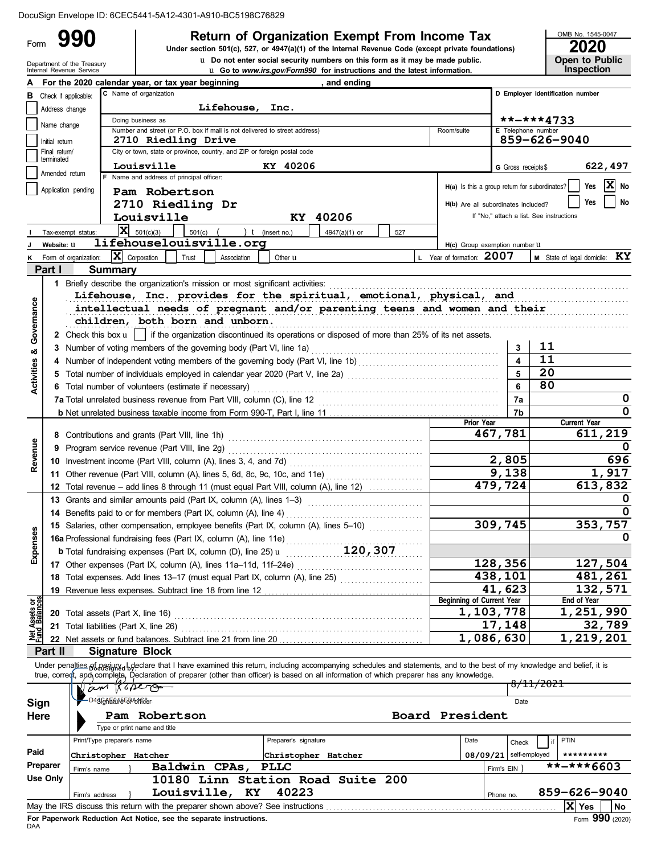Form

| <b>Return of Organization Exempt From Income Tax</b> |  |
|------------------------------------------------------|--|
|------------------------------------------------------|--|

u **Do not enter social security numbers on this form as it may be made public. Open to Public 990 1980 2020**<br>
Under section 501(c), 527, or 4947(a)(1) of the Internal Revenue Code (except private foundations) **2020** 

OMB No. 1545-0047

| <b>Open to Public</b> |                   |  |
|-----------------------|-------------------|--|
|                       | <b>Inspection</b> |  |

|                   |                                                                                                                                                                      | Department of the Treasury<br>Internal Revenue Service |                              |                                                      |                                                                               |                      | u Do not enter social security numbers on this form as it may be made public.<br>u Go to www.irs.gov/Form990 for instructions and the latest information.                                              |     |                           |                                     |                         | Open to Public<br><b>Inspection</b>                                                                                                                                    |
|-------------------|----------------------------------------------------------------------------------------------------------------------------------------------------------------------|--------------------------------------------------------|------------------------------|------------------------------------------------------|-------------------------------------------------------------------------------|----------------------|--------------------------------------------------------------------------------------------------------------------------------------------------------------------------------------------------------|-----|---------------------------|-------------------------------------|-------------------------|------------------------------------------------------------------------------------------------------------------------------------------------------------------------|
|                   |                                                                                                                                                                      |                                                        |                              | For the 2020 calendar year, or tax year beginning    |                                                                               |                      | , and ending                                                                                                                                                                                           |     |                           |                                     |                         |                                                                                                                                                                        |
|                   | <b>B</b> Check if applicable:                                                                                                                                        |                                                        | C Name of organization       |                                                      |                                                                               |                      |                                                                                                                                                                                                        |     |                           |                                     |                         | D Employer identification number                                                                                                                                       |
|                   | Address change                                                                                                                                                       |                                                        |                              |                                                      | Lifehouse, Inc.                                                               |                      |                                                                                                                                                                                                        |     |                           |                                     |                         |                                                                                                                                                                        |
|                   | Name change                                                                                                                                                          |                                                        | Doing business as            |                                                      |                                                                               |                      |                                                                                                                                                                                                        |     |                           |                                     |                         | **-***4733                                                                                                                                                             |
|                   | Initial return                                                                                                                                                       |                                                        |                              | 2710 Riedling Drive                                  | Number and street (or P.O. box if mail is not delivered to street address)    |                      |                                                                                                                                                                                                        |     | Room/suite                |                                     | E Telephone number      | 859-626-9040                                                                                                                                                           |
|                   | Final return/                                                                                                                                                        |                                                        |                              |                                                      | City or town, state or province, country, and ZIP or foreign postal code      |                      |                                                                                                                                                                                                        |     |                           |                                     |                         |                                                                                                                                                                        |
|                   | terminated                                                                                                                                                           |                                                        | Louisville                   |                                                      |                                                                               | KY 40206             |                                                                                                                                                                                                        |     |                           |                                     | G Gross receipts \$     | 622,497                                                                                                                                                                |
|                   | Amended return                                                                                                                                                       |                                                        |                              | Name and address of principal officer:               |                                                                               |                      |                                                                                                                                                                                                        |     |                           |                                     |                         |                                                                                                                                                                        |
|                   |                                                                                                                                                                      | Application pending                                    |                              | Pam Robertson                                        |                                                                               |                      |                                                                                                                                                                                                        |     |                           |                                     |                         | $\overline{\mathbf{X}}$ No<br>Yes<br>H(a) Is this a group return for subordinates?                                                                                     |
|                   |                                                                                                                                                                      |                                                        |                              | 2710 Riedling Dr                                     |                                                                               |                      |                                                                                                                                                                                                        |     |                           | H(b) Are all subordinates included? |                         | No<br>Yes                                                                                                                                                              |
|                   |                                                                                                                                                                      |                                                        | Louisville                   |                                                      |                                                                               |                      | KY 40206                                                                                                                                                                                               |     |                           |                                     |                         | If "No," attach a list. See instructions                                                                                                                               |
|                   |                                                                                                                                                                      | Tax-exempt status:                                     | $ \mathbf{X} $ 501(c)(3)     |                                                      | $501(c)$ $($ $)$ $t$ (insert no.)                                             |                      | 4947(a)(1) or                                                                                                                                                                                          | 527 |                           |                                     |                         |                                                                                                                                                                        |
|                   | Website: U                                                                                                                                                           |                                                        |                              |                                                      | lifehouselouisville.org                                                       |                      |                                                                                                                                                                                                        |     |                           | H(c) Group exemption number U       |                         |                                                                                                                                                                        |
| ĸ                 |                                                                                                                                                                      | Form of organization:                                  | $ \mathbf{X} $ Corporation   | Trust                                                | Association                                                                   | Other u              |                                                                                                                                                                                                        |     | L Year of formation: 2007 |                                     |                         | <b>M</b> State of legal domicile: $\mathbf{KY}$                                                                                                                        |
|                   | Part I                                                                                                                                                               | <b>Summary</b>                                         |                              |                                                      |                                                                               |                      |                                                                                                                                                                                                        |     |                           |                                     |                         |                                                                                                                                                                        |
|                   |                                                                                                                                                                      |                                                        |                              |                                                      | 1 Briefly describe the organization's mission or most significant activities: |                      |                                                                                                                                                                                                        |     |                           |                                     |                         |                                                                                                                                                                        |
|                   |                                                                                                                                                                      |                                                        |                              |                                                      |                                                                               |                      | Lifehouse, Inc. provides for the spiritual, emotional, physical, and<br>intellectual needs of pregnant and/or parenting teens and women and their                                                      |     |                           |                                     |                         |                                                                                                                                                                        |
| Governance        |                                                                                                                                                                      |                                                        |                              |                                                      | children, both born and unborn.                                               |                      |                                                                                                                                                                                                        |     |                           |                                     |                         |                                                                                                                                                                        |
|                   |                                                                                                                                                                      |                                                        |                              |                                                      |                                                                               |                      | 2 Check this box u     if the organization discontinued its operations or disposed of more than 25% of its net assets.                                                                                 |     |                           |                                     |                         |                                                                                                                                                                        |
|                   |                                                                                                                                                                      |                                                        |                              |                                                      |                                                                               |                      |                                                                                                                                                                                                        |     |                           |                                     | 3                       | 11                                                                                                                                                                     |
| න්                | 4                                                                                                                                                                    |                                                        |                              |                                                      |                                                                               |                      |                                                                                                                                                                                                        |     |                           |                                     | $\overline{\mathbf{4}}$ | 11                                                                                                                                                                     |
| <b>Activities</b> | 5                                                                                                                                                                    |                                                        |                              |                                                      |                                                                               |                      | Total number of individuals employed in calendar year 2020 (Part V, line 2a) [[[[[[[[[[[[[[[[[[[[[[[[[[[[[[[[                                                                                          |     |                           |                                     | 5                       | 20                                                                                                                                                                     |
|                   |                                                                                                                                                                      |                                                        |                              | 6 Total number of volunteers (estimate if necessary) |                                                                               |                      |                                                                                                                                                                                                        |     |                           |                                     | 6                       | 80                                                                                                                                                                     |
|                   |                                                                                                                                                                      |                                                        |                              |                                                      |                                                                               |                      |                                                                                                                                                                                                        |     |                           |                                     | 7a                      | 0                                                                                                                                                                      |
|                   |                                                                                                                                                                      |                                                        |                              |                                                      |                                                                               |                      |                                                                                                                                                                                                        |     |                           |                                     | 7b                      | 0                                                                                                                                                                      |
|                   |                                                                                                                                                                      |                                                        |                              |                                                      |                                                                               |                      |                                                                                                                                                                                                        |     |                           | <b>Prior Year</b>                   |                         | <b>Current Year</b>                                                                                                                                                    |
|                   |                                                                                                                                                                      |                                                        |                              |                                                      |                                                                               |                      |                                                                                                                                                                                                        |     |                           | 467,781                             |                         | 611,219                                                                                                                                                                |
| Revenue           |                                                                                                                                                                      |                                                        |                              |                                                      |                                                                               |                      |                                                                                                                                                                                                        |     |                           |                                     |                         |                                                                                                                                                                        |
|                   |                                                                                                                                                                      |                                                        | 2,805<br>9,138               | 696<br>1,917                                         |                                                                               |                      |                                                                                                                                                                                                        |     |                           |                                     |                         |                                                                                                                                                                        |
|                   | 11 Other revenue (Part VIII, column (A), lines 5, 6d, 8c, 9c, 10c, and 11e)<br>12 Total revenue - add lines 8 through 11 (must equal Part VIII, column (A), line 12) |                                                        |                              |                                                      |                                                                               |                      |                                                                                                                                                                                                        |     |                           |                                     |                         | 613,832                                                                                                                                                                |
|                   |                                                                                                                                                                      |                                                        |                              |                                                      |                                                                               |                      | 13 Grants and similar amounts paid (Part IX, column (A), lines 1-3)                                                                                                                                    |     |                           | 479,724                             |                         |                                                                                                                                                                        |
|                   |                                                                                                                                                                      |                                                        |                              |                                                      | 14 Benefits paid to or for members (Part IX, column (A), line 4)              |                      |                                                                                                                                                                                                        |     |                           |                                     |                         |                                                                                                                                                                        |
|                   |                                                                                                                                                                      |                                                        |                              |                                                      |                                                                               |                      | and a complete the contract of the complete the contract of the complete the contract of the contract of the c<br>15 Salaries, other compensation, employee benefits (Part IX, column (A), lines 5-10) |     |                           |                                     | 309,745                 | 353,757                                                                                                                                                                |
| Ses               |                                                                                                                                                                      |                                                        |                              |                                                      | 16a Professional fundraising fees (Part IX, column (A), line 11e)             |                      |                                                                                                                                                                                                        |     |                           |                                     |                         |                                                                                                                                                                        |
| Expens            |                                                                                                                                                                      |                                                        |                              |                                                      |                                                                               |                      | <b>b</b> Total fundraising expenses (Part IX, column (D), line 25) u 120, 307                                                                                                                          |     |                           |                                     |                         |                                                                                                                                                                        |
|                   |                                                                                                                                                                      |                                                        |                              |                                                      |                                                                               |                      |                                                                                                                                                                                                        |     |                           |                                     | 128,356                 | 127,504                                                                                                                                                                |
|                   | 18                                                                                                                                                                   |                                                        |                              |                                                      |                                                                               |                      | Total expenses. Add lines 13-17 (must equal Part IX, column (A), line 25)                                                                                                                              |     |                           | 438,101                             |                         | 481,261                                                                                                                                                                |
|                   |                                                                                                                                                                      |                                                        |                              |                                                      |                                                                               |                      |                                                                                                                                                                                                        |     |                           |                                     | 41,623                  | 132,571                                                                                                                                                                |
| Net Assets or     |                                                                                                                                                                      |                                                        |                              |                                                      |                                                                               |                      |                                                                                                                                                                                                        |     |                           | <b>Beginning of Current Year</b>    |                         | End of Year                                                                                                                                                            |
|                   | 20                                                                                                                                                                   | Total assets (Part X, line 16)                         |                              |                                                      |                                                                               |                      |                                                                                                                                                                                                        |     |                           | 1,103,778                           |                         | 1,251,990                                                                                                                                                              |
|                   | 21                                                                                                                                                                   | Total liabilities (Part X, line 26)                    |                              |                                                      |                                                                               |                      |                                                                                                                                                                                                        |     |                           | 1,086,630                           | 17,148                  | 32,789<br>1,219,201                                                                                                                                                    |
|                   | Part II                                                                                                                                                              |                                                        | <b>Signature Block</b>       |                                                      |                                                                               |                      |                                                                                                                                                                                                        |     |                           |                                     |                         |                                                                                                                                                                        |
|                   |                                                                                                                                                                      |                                                        |                              |                                                      |                                                                               |                      |                                                                                                                                                                                                        |     |                           |                                     |                         | Under penalties of next by beclare that I have examined this retum, including accompanying schedules and statements, and to the best of my knowledge and belief, it is |
|                   |                                                                                                                                                                      |                                                        |                              |                                                      |                                                                               |                      | true, corredt, and complete, Declaration of preparer (other than officer) is based on all information of which preparer has any knowledge.                                                             |     |                           |                                     |                         |                                                                                                                                                                        |
|                   |                                                                                                                                                                      |                                                        | am Kiperg                    |                                                      |                                                                               |                      |                                                                                                                                                                                                        |     |                           |                                     |                         | <del>8/11/2021</del>                                                                                                                                                   |
| Sign              |                                                                                                                                                                      |                                                        | D43GAER1EEGAGFREE            |                                                      |                                                                               |                      |                                                                                                                                                                                                        |     |                           |                                     | Date                    |                                                                                                                                                                        |
| Here              |                                                                                                                                                                      |                                                        |                              | Pam Robertson                                        |                                                                               |                      |                                                                                                                                                                                                        |     | Board President           |                                     |                         |                                                                                                                                                                        |
|                   |                                                                                                                                                                      |                                                        | Type or print name and title |                                                      |                                                                               |                      |                                                                                                                                                                                                        |     |                           |                                     |                         |                                                                                                                                                                        |
|                   |                                                                                                                                                                      | Print/Type preparer's name                             |                              |                                                      |                                                                               | Preparer's signature |                                                                                                                                                                                                        |     |                           | Date                                | Check                   | PTIN<br>if                                                                                                                                                             |
| Paid              |                                                                                                                                                                      | Christopher Hatcher                                    |                              |                                                      |                                                                               | Christopher Hatcher  |                                                                                                                                                                                                        |     |                           | 08/09/21                            | self-employed           | *********                                                                                                                                                              |
|                   | Preparer                                                                                                                                                             | Firm's name                                            |                              | Baldwin CPAs,                                        |                                                                               | <b>PLLC</b>          |                                                                                                                                                                                                        |     |                           |                                     | Firm's EIN              | **-***6603                                                                                                                                                             |
|                   | <b>Use Only</b>                                                                                                                                                      |                                                        |                              |                                                      |                                                                               |                      | 10180 Linn Station Road Suite 200                                                                                                                                                                      |     |                           |                                     |                         |                                                                                                                                                                        |
|                   |                                                                                                                                                                      | Firm's address                                         |                              |                                                      | Louisville, KY                                                                | 40223                |                                                                                                                                                                                                        |     |                           |                                     | Phone no.               | 859-626-9040                                                                                                                                                           |
|                   |                                                                                                                                                                      |                                                        |                              |                                                      | For Paperwork Reduction Act Notice, see the separate instructions.            |                      |                                                                                                                                                                                                        |     |                           |                                     |                         | X Yes<br>No<br>Form 990 (2020)                                                                                                                                         |
| DAA               |                                                                                                                                                                      |                                                        |                              |                                                      |                                                                               |                      |                                                                                                                                                                                                        |     |                           |                                     |                         |                                                                                                                                                                        |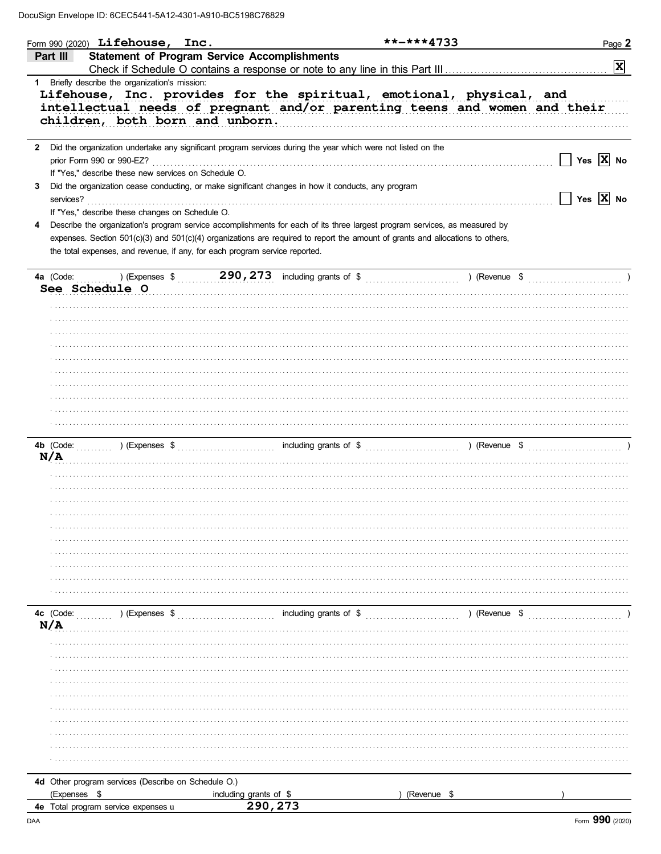|    |              | Form 990 (2020) $Lifehouse, Inc.$                                           |                                                                                                                                                                                                                                                                                                                             | **-***4733  |               | Page 2                                                   |
|----|--------------|-----------------------------------------------------------------------------|-----------------------------------------------------------------------------------------------------------------------------------------------------------------------------------------------------------------------------------------------------------------------------------------------------------------------------|-------------|---------------|----------------------------------------------------------|
|    | Part III     |                                                                             | <b>Statement of Program Service Accomplishments</b>                                                                                                                                                                                                                                                                         |             |               |                                                          |
|    |              |                                                                             |                                                                                                                                                                                                                                                                                                                             |             |               | $\mathbf{x}$                                             |
| 1. |              | Briefly describe the organization's mission:                                |                                                                                                                                                                                                                                                                                                                             |             |               |                                                          |
|    |              |                                                                             | Lifehouse, Inc. provides for the spiritual, emotional, physical, and                                                                                                                                                                                                                                                        |             |               |                                                          |
|    |              | children, both born and unborn.                                             | intellectual needs of pregnant and/or parenting teens and women and their                                                                                                                                                                                                                                                   |             |               |                                                          |
|    |              |                                                                             |                                                                                                                                                                                                                                                                                                                             |             |               |                                                          |
| 2  |              |                                                                             | Did the organization undertake any significant program services during the year which were not listed on the                                                                                                                                                                                                                |             |               |                                                          |
|    |              | prior Form 990 or 990-EZ?                                                   |                                                                                                                                                                                                                                                                                                                             |             |               | Yes $ X $ No                                             |
|    |              | If "Yes," describe these new services on Schedule O.                        |                                                                                                                                                                                                                                                                                                                             |             |               |                                                          |
| 3  |              |                                                                             | Did the organization cease conducting, or make significant changes in how it conducts, any program                                                                                                                                                                                                                          |             |               |                                                          |
|    | services?    |                                                                             |                                                                                                                                                                                                                                                                                                                             |             |               | $\overline{\phantom{a}}$ Yes $\overline{\phantom{a}}$ No |
|    |              | If "Yes," describe these changes on Schedule O.                             |                                                                                                                                                                                                                                                                                                                             |             |               |                                                          |
| 4  |              |                                                                             | Describe the organization's program service accomplishments for each of its three largest program services, as measured by                                                                                                                                                                                                  |             |               |                                                          |
|    |              |                                                                             | expenses. Section 501(c)(3) and 501(c)(4) organizations are required to report the amount of grants and allocations to others,                                                                                                                                                                                              |             |               |                                                          |
|    |              | the total expenses, and revenue, if any, for each program service reported. |                                                                                                                                                                                                                                                                                                                             |             |               |                                                          |
|    | 4a (Code:    | ) (Expenses \$                                                              | 290, 273 including grants of \$                                                                                                                                                                                                                                                                                             |             | ) (Revenue \$ |                                                          |
|    |              | See Schedule O                                                              |                                                                                                                                                                                                                                                                                                                             |             |               |                                                          |
|    |              |                                                                             |                                                                                                                                                                                                                                                                                                                             |             |               |                                                          |
|    |              |                                                                             |                                                                                                                                                                                                                                                                                                                             |             |               |                                                          |
|    |              |                                                                             |                                                                                                                                                                                                                                                                                                                             |             |               |                                                          |
|    |              |                                                                             |                                                                                                                                                                                                                                                                                                                             |             |               |                                                          |
|    |              |                                                                             |                                                                                                                                                                                                                                                                                                                             |             |               |                                                          |
|    |              |                                                                             |                                                                                                                                                                                                                                                                                                                             |             |               |                                                          |
|    |              |                                                                             |                                                                                                                                                                                                                                                                                                                             |             |               |                                                          |
|    |              |                                                                             |                                                                                                                                                                                                                                                                                                                             |             |               |                                                          |
|    |              |                                                                             |                                                                                                                                                                                                                                                                                                                             |             |               |                                                          |
|    |              |                                                                             |                                                                                                                                                                                                                                                                                                                             |             |               |                                                          |
|    | 4b (Code:    |                                                                             | ) (Expenses $\sqrt[3]{2}$ , $\sqrt[3]{2}$ , $\sqrt[3]{2}$ , $\sqrt[3]{2}$ , $\sqrt[3]{2}$ , $\sqrt[3]{2}$ , $\sqrt[3]{2}$ , $\sqrt[3]{2}$ , $\sqrt[3]{2}$ , $\sqrt[3]{2}$ , $\sqrt[3]{2}$ , $\sqrt[3]{2}$ , $\sqrt[3]{2}$ , $\sqrt[3]{2}$ , $\sqrt[3]{2}$ , $\sqrt[3]{2}$ , $\sqrt[3]{2}$ , $\sqrt[3]{2}$ , $\sqrt[3]{2}$ , |             | ) (Revenue \$ |                                                          |
|    | N/A          |                                                                             |                                                                                                                                                                                                                                                                                                                             |             |               |                                                          |
|    |              |                                                                             |                                                                                                                                                                                                                                                                                                                             |             |               |                                                          |
|    |              |                                                                             |                                                                                                                                                                                                                                                                                                                             |             |               |                                                          |
|    |              |                                                                             |                                                                                                                                                                                                                                                                                                                             |             |               |                                                          |
|    |              |                                                                             |                                                                                                                                                                                                                                                                                                                             |             |               |                                                          |
|    |              |                                                                             |                                                                                                                                                                                                                                                                                                                             |             |               |                                                          |
|    |              |                                                                             |                                                                                                                                                                                                                                                                                                                             |             |               |                                                          |
|    |              |                                                                             |                                                                                                                                                                                                                                                                                                                             |             |               |                                                          |
|    |              |                                                                             |                                                                                                                                                                                                                                                                                                                             |             |               |                                                          |
|    |              |                                                                             |                                                                                                                                                                                                                                                                                                                             |             |               |                                                          |
|    |              |                                                                             |                                                                                                                                                                                                                                                                                                                             |             |               |                                                          |
|    | 4c (Code:    | ) (Expenses \$                                                              | including grants of \$                                                                                                                                                                                                                                                                                                      |             | ) (Revenue \$ |                                                          |
|    | N/A          |                                                                             |                                                                                                                                                                                                                                                                                                                             |             |               |                                                          |
|    |              |                                                                             |                                                                                                                                                                                                                                                                                                                             |             |               |                                                          |
|    |              |                                                                             |                                                                                                                                                                                                                                                                                                                             |             |               |                                                          |
|    |              |                                                                             |                                                                                                                                                                                                                                                                                                                             |             |               |                                                          |
|    |              |                                                                             |                                                                                                                                                                                                                                                                                                                             |             |               |                                                          |
|    |              |                                                                             |                                                                                                                                                                                                                                                                                                                             |             |               |                                                          |
|    |              |                                                                             |                                                                                                                                                                                                                                                                                                                             |             |               |                                                          |
|    |              |                                                                             |                                                                                                                                                                                                                                                                                                                             |             |               |                                                          |
|    |              |                                                                             |                                                                                                                                                                                                                                                                                                                             |             |               |                                                          |
|    |              |                                                                             |                                                                                                                                                                                                                                                                                                                             |             |               |                                                          |
|    |              |                                                                             |                                                                                                                                                                                                                                                                                                                             |             |               |                                                          |
|    |              | 4d Other program services (Describe on Schedule O.)                         |                                                                                                                                                                                                                                                                                                                             |             |               |                                                          |
|    | (Expenses \$ |                                                                             | including grants of \$                                                                                                                                                                                                                                                                                                      | (Revenue \$ |               |                                                          |
|    |              | 4e Total program service expenses u                                         | 290,273                                                                                                                                                                                                                                                                                                                     |             |               |                                                          |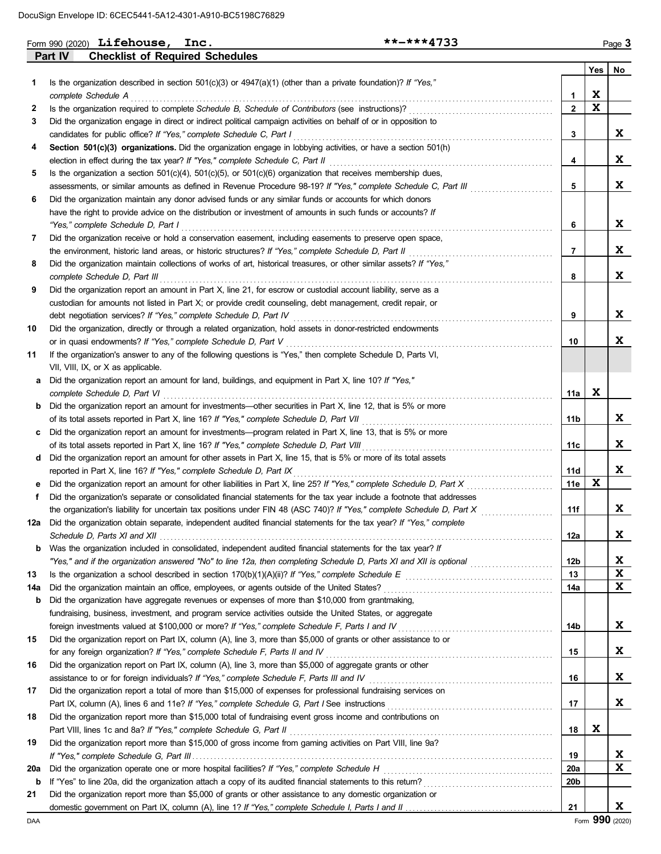|     |         | **-***4733<br>Form 990 (2020) Lifehouse, Inc.                                                                                                                                                                                                                                                                                                     |                   |             | Page 3 |
|-----|---------|---------------------------------------------------------------------------------------------------------------------------------------------------------------------------------------------------------------------------------------------------------------------------------------------------------------------------------------------------|-------------------|-------------|--------|
|     | Part IV | <b>Checklist of Required Schedules</b>                                                                                                                                                                                                                                                                                                            |                   |             |        |
|     |         |                                                                                                                                                                                                                                                                                                                                                   |                   | Yes         | No     |
| 1.  |         | Is the organization described in section $501(c)(3)$ or $4947(a)(1)$ (other than a private foundation)? If "Yes,"<br>complete Schedule A                                                                                                                                                                                                          |                   | X           |        |
| 2   |         |                                                                                                                                                                                                                                                                                                                                                   | 1<br>$\mathbf{2}$ | $\mathbf x$ |        |
| 3   |         | Did the organization engage in direct or indirect political campaign activities on behalf of or in opposition to                                                                                                                                                                                                                                  |                   |             |        |
|     |         |                                                                                                                                                                                                                                                                                                                                                   | 3                 |             | X      |
| 4   |         | Section 501(c)(3) organizations. Did the organization engage in lobbying activities, or have a section 501(h)                                                                                                                                                                                                                                     |                   |             |        |
|     |         |                                                                                                                                                                                                                                                                                                                                                   | 4                 |             | X      |
| 5   |         | Is the organization a section $501(c)(4)$ , $501(c)(5)$ , or $501(c)(6)$ organization that receives membership dues,                                                                                                                                                                                                                              |                   |             |        |
|     |         | assessments, or similar amounts as defined in Revenue Procedure 98-19? If "Yes," complete Schedule C, Part III                                                                                                                                                                                                                                    | 5                 |             | X      |
| 6   |         | Did the organization maintain any donor advised funds or any similar funds or accounts for which donors                                                                                                                                                                                                                                           |                   |             |        |
|     |         | have the right to provide advice on the distribution or investment of amounts in such funds or accounts? If                                                                                                                                                                                                                                       |                   |             |        |
|     |         | "Yes," complete Schedule D, Part I                                                                                                                                                                                                                                                                                                                | 6                 |             | X      |
| 7   |         | Did the organization receive or hold a conservation easement, including easements to preserve open space,                                                                                                                                                                                                                                         | $\overline{7}$    |             | X      |
| 8   |         | Did the organization maintain collections of works of art, historical treasures, or other similar assets? If "Yes,"                                                                                                                                                                                                                               |                   |             |        |
|     |         |                                                                                                                                                                                                                                                                                                                                                   | 8                 |             | X      |
| 9   |         | complete Schedule D, Part III et al. (2008) and the set of the schedule D, Part III et al. (2008) and the set of the set of the set of the set of the set of the set of the set of the set of the set of the set of the set of<br>Did the organization report an amount in Part X, line 21, for escrow or custodial account liability, serve as a |                   |             |        |
|     |         | custodian for amounts not listed in Part X; or provide credit counseling, debt management, credit repair, or                                                                                                                                                                                                                                      |                   |             |        |
|     |         | debt negotiation services? If "Yes," complete Schedule D, Part IV [[11][20] COLORGIAL RESPARENT RESPARENT RESPARENT RESPARENT RESPARENT RESPARENT RESPARENT RESPARENT RESPARENT RESPARENT RESPARENT RESPARENT RESPARENT RESPAR                                                                                                                    | 9                 |             | X      |
| 10  |         | Did the organization, directly or through a related organization, hold assets in donor-restricted endowments                                                                                                                                                                                                                                      |                   |             |        |
|     |         | or in quasi endowments? If "Yes," complete Schedule D, Part V                                                                                                                                                                                                                                                                                     | 10                |             | X      |
| 11  |         | If the organization's answer to any of the following questions is "Yes," then complete Schedule D, Parts VI,                                                                                                                                                                                                                                      |                   |             |        |
|     |         | VII, VIII, IX, or X as applicable.                                                                                                                                                                                                                                                                                                                |                   |             |        |
| a   |         | Did the organization report an amount for land, buildings, and equipment in Part X, line 10? If "Yes,"                                                                                                                                                                                                                                            |                   |             |        |
|     |         | complete Schedule D, Part VI<br>Did the organization report an amount for investments-other securities in Part X, line 12, that is 5% or more                                                                                                                                                                                                     | 11a               | X           |        |
| b   |         |                                                                                                                                                                                                                                                                                                                                                   | 11 <sub>b</sub>   |             | X      |
| c   |         | Did the organization report an amount for investments—program related in Part X, line 13, that is 5% or more                                                                                                                                                                                                                                      |                   |             |        |
|     |         |                                                                                                                                                                                                                                                                                                                                                   | 11c               |             | X      |
| d   |         | Did the organization report an amount for other assets in Part X, line 15, that is 5% or more of its total assets                                                                                                                                                                                                                                 |                   |             |        |
|     |         | reported in Part X, line 16? If "Yes," complete Schedule D, Part IX                                                                                                                                                                                                                                                                               | 11d               |             | X      |
| е   |         |                                                                                                                                                                                                                                                                                                                                                   | 11e               | X           |        |
| f   |         | Did the organization's separate or consolidated financial statements for the tax year include a footnote that addresses                                                                                                                                                                                                                           |                   |             |        |
|     |         |                                                                                                                                                                                                                                                                                                                                                   | 11f               |             | X      |
| 12a |         | Did the organization obtain separate, independent audited financial statements for the tax year? If "Yes," complete                                                                                                                                                                                                                               |                   |             |        |
|     |         |                                                                                                                                                                                                                                                                                                                                                   | 12a               |             | X      |
| b   |         | Was the organization included in consolidated, independent audited financial statements for the tax year? If                                                                                                                                                                                                                                      |                   |             | X      |
| 13  |         | "Yes," and if the organization answered "No" to line 12a, then completing Schedule D, Parts XI and XII is optional                                                                                                                                                                                                                                | 12b<br>13         |             | X      |
| 14a |         |                                                                                                                                                                                                                                                                                                                                                   | 14a               |             | X      |
| b   |         | Did the organization have aggregate revenues or expenses of more than \$10,000 from grantmaking,                                                                                                                                                                                                                                                  |                   |             |        |
|     |         | fundraising, business, investment, and program service activities outside the United States, or aggregate                                                                                                                                                                                                                                         |                   |             |        |
|     |         |                                                                                                                                                                                                                                                                                                                                                   | 14b               |             | X      |
| 15  |         | Did the organization report on Part IX, column (A), line 3, more than \$5,000 of grants or other assistance to or                                                                                                                                                                                                                                 |                   |             |        |
|     |         | for any foreign organization? If "Yes," complete Schedule F, Parts II and IV                                                                                                                                                                                                                                                                      | 15                |             | X      |
| 16  |         | Did the organization report on Part IX, column (A), line 3, more than \$5,000 of aggregate grants or other                                                                                                                                                                                                                                        |                   |             |        |
|     |         | assistance to or for foreign individuals? If "Yes," complete Schedule F, Parts III and IV [[[[[[[[[[[[[[[[[[[                                                                                                                                                                                                                                     | 16                |             | X      |
| 17  |         | Did the organization report a total of more than \$15,000 of expenses for professional fundraising services on                                                                                                                                                                                                                                    |                   |             | X      |
| 18  |         | Did the organization report more than \$15,000 total of fundraising event gross income and contributions on                                                                                                                                                                                                                                       | 17                |             |        |
|     |         |                                                                                                                                                                                                                                                                                                                                                   | 18                | X           |        |
| 19  |         | Did the organization report more than \$15,000 of gross income from gaming activities on Part VIII, line 9a?                                                                                                                                                                                                                                      |                   |             |        |
|     |         |                                                                                                                                                                                                                                                                                                                                                   | 19                |             | X      |
| 20a |         |                                                                                                                                                                                                                                                                                                                                                   | <b>20a</b>        |             | X      |
| b   |         |                                                                                                                                                                                                                                                                                                                                                   | 20b               |             |        |
| 21  |         | Did the organization report more than \$5,000 of grants or other assistance to any domestic organization or                                                                                                                                                                                                                                       |                   |             |        |
|     |         |                                                                                                                                                                                                                                                                                                                                                   | 21                |             | X      |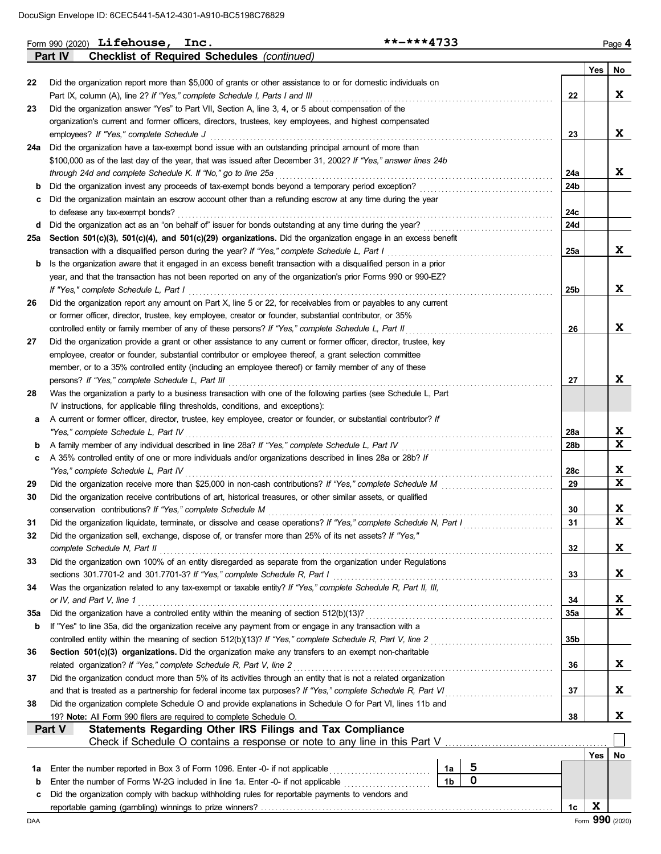|             | **-***4733<br>Form 990 (2020) Lifehouse, Inc.                                                                                                                                                                               |                |             |                 |         | Page 4          |
|-------------|-----------------------------------------------------------------------------------------------------------------------------------------------------------------------------------------------------------------------------|----------------|-------------|-----------------|---------|-----------------|
|             | <b>Checklist of Required Schedules (continued)</b><br>Part IV                                                                                                                                                               |                |             |                 |         |                 |
|             |                                                                                                                                                                                                                             |                |             |                 | Yes     | No              |
| 22          | Did the organization report more than \$5,000 of grants or other assistance to or for domestic individuals on                                                                                                               |                |             |                 |         |                 |
|             | Part IX, column (A), line 2? If "Yes," complete Schedule I, Parts I and III [[11]]                                                                                                                                          |                |             | 22              |         | X               |
| 23          | Did the organization answer "Yes" to Part VII, Section A, line 3, 4, or 5 about compensation of the                                                                                                                         |                |             |                 |         |                 |
|             | organization's current and former officers, directors, trustees, key employees, and highest compensated                                                                                                                     |                |             |                 |         |                 |
|             | employees? If "Yes," complete Schedule J                                                                                                                                                                                    |                |             | 23              |         | X               |
| 24a         | Did the organization have a tax-exempt bond issue with an outstanding principal amount of more than                                                                                                                         |                |             |                 |         |                 |
|             | \$100,000 as of the last day of the year, that was issued after December 31, 2002? If "Yes," answer lines 24b                                                                                                               |                |             |                 |         |                 |
|             | through 24d and complete Schedule K. If "No," go to line 25a                                                                                                                                                                |                |             | 24a             |         | X               |
| b           |                                                                                                                                                                                                                             |                |             | 24 <sub>b</sub> |         |                 |
| c           | Did the organization maintain an escrow account other than a refunding escrow at any time during the year                                                                                                                   |                |             |                 |         |                 |
|             | to defease any tax-exempt bonds?                                                                                                                                                                                            |                |             | 24c             |         |                 |
| d           |                                                                                                                                                                                                                             |                |             | 24d             |         |                 |
| 25a         | Section 501(c)(3), 501(c)(4), and 501(c)(29) organizations. Did the organization engage in an excess benefit                                                                                                                |                |             |                 |         |                 |
|             | transaction with a disqualified person during the year? If "Yes," complete Schedule L, Part I                                                                                                                               |                |             | 25a             |         | X               |
| b           | Is the organization aware that it engaged in an excess benefit transaction with a disqualified person in a prior                                                                                                            |                |             |                 |         |                 |
|             | year, and that the transaction has not been reported on any of the organization's prior Forms 990 or 990-EZ?                                                                                                                |                |             |                 |         | X               |
|             | If "Yes." complete Schedule L. Part I                                                                                                                                                                                       |                |             | 25b             |         |                 |
| 26          | Did the organization report any amount on Part X, line 5 or 22, for receivables from or payables to any current                                                                                                             |                |             |                 |         |                 |
|             | or former officer, director, trustee, key employee, creator or founder, substantial contributor, or 35%                                                                                                                     |                |             |                 |         | X               |
|             | controlled entity or family member of any of these persons? If "Yes," complete Schedule L, Part II                                                                                                                          |                |             | 26              |         |                 |
| 27          | Did the organization provide a grant or other assistance to any current or former officer, director, trustee, key<br>employee, creator or founder, substantial contributor or employee thereof, a grant selection committee |                |             |                 |         |                 |
|             | member, or to a 35% controlled entity (including an employee thereof) or family member of any of these                                                                                                                      |                |             |                 |         |                 |
|             | persons? If "Yes," complete Schedule L, Part III                                                                                                                                                                            |                |             | 27              |         | X               |
| 28          | Was the organization a party to a business transaction with one of the following parties (see Schedule L, Part                                                                                                              |                |             |                 |         |                 |
|             | IV instructions, for applicable filing thresholds, conditions, and exceptions):                                                                                                                                             |                |             |                 |         |                 |
| a           | A current or former officer, director, trustee, key employee, creator or founder, or substantial contributor? If                                                                                                            |                |             |                 |         |                 |
|             | "Yes," complete Schedule L, Part IV                                                                                                                                                                                         |                |             | 28a             |         | X               |
| b           | A family member of any individual described in line 28a? If "Yes," complete Schedule L, Part IV [[[[[[[[[[[[[                                                                                                               |                |             | 28 <sub>b</sub> |         | X               |
| c           | A 35% controlled entity of one or more individuals and/or organizations described in lines 28a or 28b? If                                                                                                                   |                |             |                 |         |                 |
|             | "Yes," complete Schedule L, Part IV                                                                                                                                                                                         |                |             | 28c             |         | X               |
| 29          |                                                                                                                                                                                                                             |                |             | 29              |         | $\mathbf x$     |
| 30          | Did the organization receive contributions of art, historical treasures, or other similar assets, or qualified                                                                                                              |                |             |                 |         |                 |
|             | conservation contributions? If "Yes," complete Schedule M                                                                                                                                                                   |                |             | 30              |         | X               |
| 31          | Did the organization liquidate, terminate, or dissolve and cease operations? If "Yes," complete Schedule N, Part I                                                                                                          |                |             | 31              |         | $\mathbf x$     |
| 32          | Did the organization sell, exchange, dispose of, or transfer more than 25% of its net assets? If "Yes,"                                                                                                                     |                |             |                 |         |                 |
|             | complete Schedule N, Part II                                                                                                                                                                                                |                |             | 32              |         | X               |
| 33          | Did the organization own 100% of an entity disregarded as separate from the organization under Regulations                                                                                                                  |                |             |                 |         |                 |
|             | sections 301.7701-2 and 301.7701-3? If "Yes," complete Schedule R, Part I                                                                                                                                                   |                |             | 33              |         | X               |
| 34          | Was the organization related to any tax-exempt or taxable entity? If "Yes," complete Schedule R, Part II, III,                                                                                                              |                |             |                 |         |                 |
|             | or IV, and Part V, line 1                                                                                                                                                                                                   |                |             | 34              |         | X               |
| <b>35a</b>  |                                                                                                                                                                                                                             |                |             | 35a             |         | $\mathbf x$     |
| b           | If "Yes" to line 35a, did the organization receive any payment from or engage in any transaction with a                                                                                                                     |                |             |                 |         |                 |
|             |                                                                                                                                                                                                                             |                |             | 35 <sub>b</sub> |         |                 |
| 36          | Section 501(c)(3) organizations. Did the organization make any transfers to an exempt non-charitable                                                                                                                        |                |             |                 |         |                 |
|             | related organization? If "Yes," complete Schedule R, Part V, line 2                                                                                                                                                         |                |             | 36              |         | X               |
| 37          | Did the organization conduct more than 5% of its activities through an entity that is not a related organization                                                                                                            |                |             |                 |         |                 |
|             |                                                                                                                                                                                                                             |                |             | 37              |         | X               |
| 38          | Did the organization complete Schedule O and provide explanations in Schedule O for Part VI, lines 11b and                                                                                                                  |                |             |                 |         |                 |
|             | 19? Note: All Form 990 filers are required to complete Schedule O.                                                                                                                                                          |                |             | 38              |         | X               |
|             | Statements Regarding Other IRS Filings and Tax Compliance<br>Part V                                                                                                                                                         |                |             |                 |         |                 |
|             | Check if Schedule O contains a response or note to any line in this Part V                                                                                                                                                  |                |             |                 |         |                 |
|             |                                                                                                                                                                                                                             |                |             |                 | Yes $ $ | No.             |
| 1а          | Enter the number reported in Box 3 of Form 1096. Enter -0- if not applicable                                                                                                                                                | 1a             | 5           |                 |         |                 |
| $\mathbf b$ | Enter the number of Forms W-2G included in line 1a. Enter -0- if not applicable                                                                                                                                             | 1 <sub>b</sub> | $\mathbf 0$ |                 |         |                 |
| с           | Did the organization comply with backup withholding rules for reportable payments to vendors and                                                                                                                            |                |             |                 |         |                 |
|             |                                                                                                                                                                                                                             |                |             | 1c              | X       |                 |
| DAA         |                                                                                                                                                                                                                             |                |             |                 |         | Form 990 (2020) |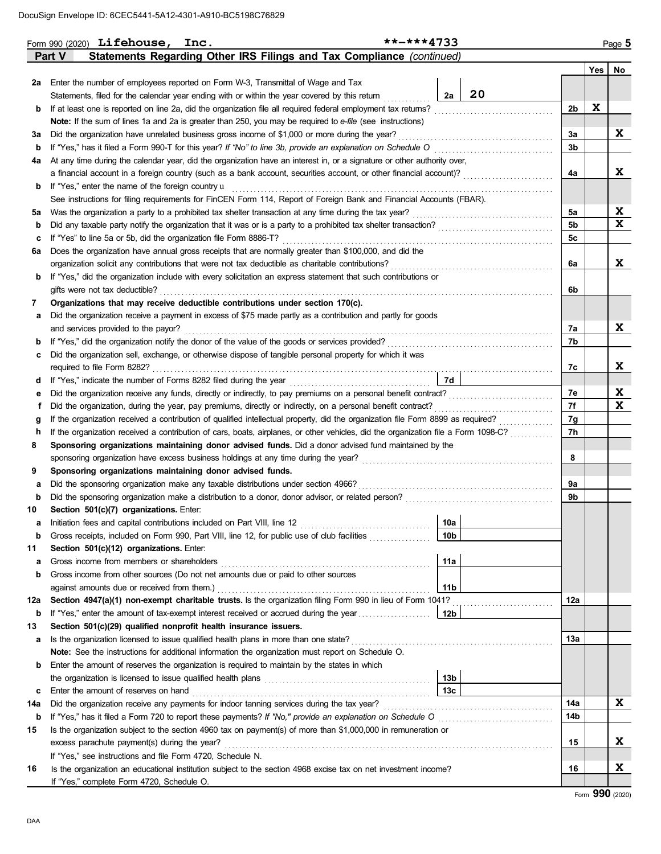|     | Form 990 (2020) Lifehouse, Inc.                                                                                                                                                                             | **-***4733      |                                                         |          |     | Page 5 |
|-----|-------------------------------------------------------------------------------------------------------------------------------------------------------------------------------------------------------------|-----------------|---------------------------------------------------------|----------|-----|--------|
|     | Statements Regarding Other IRS Filings and Tax Compliance (continued)<br>Part V                                                                                                                             |                 |                                                         |          |     |        |
|     |                                                                                                                                                                                                             |                 |                                                         |          | Yes | No     |
| 2a  | Enter the number of employees reported on Form W-3, Transmittal of Wage and Tax                                                                                                                             |                 |                                                         |          |     |        |
|     | Statements, filed for the calendar year ending with or within the year covered by this return                                                                                                               | 2a              | 20                                                      |          |     |        |
| b   | If at least one is reported on line 2a, did the organization file all required federal employment tax returns?                                                                                              |                 |                                                         | 2b       | X   |        |
|     | Note: If the sum of lines 1a and 2a is greater than 250, you may be required to e-file (see instructions)                                                                                                   |                 |                                                         |          |     |        |
| за  | Did the organization have unrelated business gross income of \$1,000 or more during the year?                                                                                                               |                 |                                                         | За       |     | X      |
| b   | If "Yes," has it filed a Form 990-T for this year? If "No" to line 3b, provide an explanation on Schedule O                                                                                                 |                 |                                                         | 3b       |     |        |
| 4a  | At any time during the calendar year, did the organization have an interest in, or a signature or other authority over,                                                                                     |                 |                                                         |          |     |        |
|     | a financial account in a foreign country (such as a bank account, securities account, or other financial account)?                                                                                          |                 |                                                         | 4a       |     | X      |
| b   | If "Yes," enter the name of the foreign country u                                                                                                                                                           |                 |                                                         |          |     |        |
|     | See instructions for filing requirements for FinCEN Form 114, Report of Foreign Bank and Financial Accounts (FBAR).                                                                                         |                 |                                                         |          |     |        |
| 5a  | Was the organization a party to a prohibited tax shelter transaction at any time during the tax year?                                                                                                       |                 |                                                         | 5a       |     | X      |
| b   |                                                                                                                                                                                                             |                 |                                                         | 5b       |     | X      |
| c   | If "Yes" to line 5a or 5b, did the organization file Form 8886-T?                                                                                                                                           |                 |                                                         | 5c       |     |        |
| 6а  | Does the organization have annual gross receipts that are normally greater than \$100,000, and did the                                                                                                      |                 |                                                         |          |     |        |
|     | organization solicit any contributions that were not tax deductible as charitable contributions?                                                                                                            |                 |                                                         | 6a       |     | X      |
| b   | If "Yes," did the organization include with every solicitation an express statement that such contributions or                                                                                              |                 |                                                         |          |     |        |
|     | gifts were not tax deductible?                                                                                                                                                                              |                 |                                                         | 6b       |     |        |
| 7   | Organizations that may receive deductible contributions under section 170(c).                                                                                                                               |                 |                                                         |          |     |        |
| а   | Did the organization receive a payment in excess of \$75 made partly as a contribution and partly for goods                                                                                                 |                 |                                                         |          |     | X      |
|     | and services provided to the payor?                                                                                                                                                                         |                 |                                                         | 7a<br>7b |     |        |
| b   | If "Yes," did the organization notify the donor of the value of the goods or services provided?<br>Did the organization sell, exchange, or otherwise dispose of tangible personal property for which it was |                 |                                                         |          |     |        |
|     | required to file Form 8282?                                                                                                                                                                                 |                 |                                                         | 7c       |     | X      |
| d   |                                                                                                                                                                                                             | 7d              |                                                         |          |     |        |
| е   | Did the organization receive any funds, directly or indirectly, to pay premiums on a personal benefit contract?                                                                                             |                 |                                                         | 7е       |     | X      |
| f   | Did the organization, during the year, pay premiums, directly or indirectly, on a personal benefit contract?                                                                                                |                 |                                                         | 7f       |     | X      |
| g   | If the organization received a contribution of qualified intellectual property, did the organization file Form 8899 as required?                                                                            |                 |                                                         | 7g       |     |        |
| h   | If the organization received a contribution of cars, boats, airplanes, or other vehicles, did the organization file a Form 1098-C?                                                                          |                 |                                                         | 7h       |     |        |
| 8   | Sponsoring organizations maintaining donor advised funds. Did a donor advised fund maintained by the                                                                                                        |                 |                                                         |          |     |        |
|     | sponsoring organization have excess business holdings at any time during the year?                                                                                                                          |                 |                                                         | 8        |     |        |
| 9   | Sponsoring organizations maintaining donor advised funds.                                                                                                                                                   |                 |                                                         |          |     |        |
| а   | Did the sponsoring organization make any taxable distributions under section 4966?                                                                                                                          |                 |                                                         | 9a       |     |        |
| b   | Did the sponsoring organization make a distribution to a donor, donor advisor, or related person?                                                                                                           |                 |                                                         | 9b       |     |        |
| 10  | Section 501(c)(7) organizations. Enter:                                                                                                                                                                     |                 |                                                         |          |     |        |
| а   | Initiation fees and capital contributions included on Part VIII, line 12                                                                                                                                    | 10a             |                                                         |          |     |        |
| b   | Gross receipts, included on Form 990, Part VIII, line 12, for public use of club facilities                                                                                                                 | 10 <sub>b</sub> |                                                         |          |     |        |
| 11  | Section 501(c)(12) organizations. Enter:                                                                                                                                                                    |                 |                                                         |          |     |        |
| а   | Gross income from members or shareholders                                                                                                                                                                   | 11a             |                                                         |          |     |        |
| b   | Gross income from other sources (Do not net amounts due or paid to other sources                                                                                                                            |                 |                                                         |          |     |        |
|     | against amounts due or received from them.)                                                                                                                                                                 | 11 <sub>b</sub> |                                                         |          |     |        |
| 12a | Section 4947(a)(1) non-exempt charitable trusts. Is the organization filing Form 990 in lieu of Form 1041?                                                                                                  |                 |                                                         | 12a      |     |        |
| b   | If "Yes," enter the amount of tax-exempt interest received or accrued during the year                                                                                                                       | 12 <sub>b</sub> |                                                         |          |     |        |
| 13  | Section 501(c)(29) qualified nonprofit health insurance issuers.                                                                                                                                            |                 |                                                         |          |     |        |
| а   | Is the organization licensed to issue qualified health plans in more than one state?                                                                                                                        |                 |                                                         | 13a      |     |        |
|     | Note: See the instructions for additional information the organization must report on Schedule O.                                                                                                           |                 |                                                         |          |     |        |
| b   | Enter the amount of reserves the organization is required to maintain by the states in which                                                                                                                |                 |                                                         |          |     |        |
|     |                                                                                                                                                                                                             | 13 <sub>b</sub> |                                                         |          |     |        |
| c   | Enter the amount of reserves on hand                                                                                                                                                                        | 13 <sub>c</sub> |                                                         |          |     |        |
| 14a | Did the organization receive any payments for indoor tanning services during the tax year?                                                                                                                  |                 |                                                         | 14a      |     | X      |
| b   | If "Yes," has it filed a Form 720 to report these payments? If "No," provide an explanation on Schedule O                                                                                                   |                 | <u> 1986 - Johann Stoff, martin francuski filozof (</u> | 14b      |     |        |
| 15  | Is the organization subject to the section 4960 tax on payment(s) of more than \$1,000,000 in remuneration or                                                                                               |                 |                                                         |          |     |        |
|     | excess parachute payment(s) during the year?                                                                                                                                                                |                 |                                                         | 15       |     | X      |
|     | If "Yes," see instructions and file Form 4720, Schedule N.                                                                                                                                                  |                 |                                                         |          |     |        |
| 16  | Is the organization an educational institution subject to the section 4968 excise tax on net investment income?                                                                                             |                 |                                                         | 16       |     | X      |
|     | If "Yes," complete Form 4720, Schedule O.                                                                                                                                                                   |                 |                                                         |          |     |        |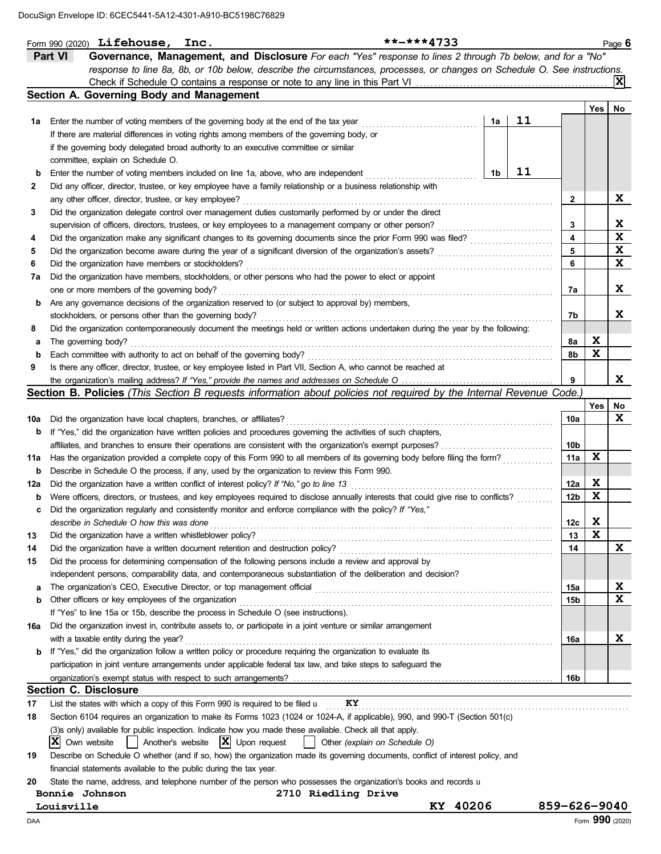|     | Form 990 (2020) Lifehouse, Inc.                                                                                     |                   |                                                                                                                                     | **-***4733                    |          |    |    |                 |     | Page 6          |
|-----|---------------------------------------------------------------------------------------------------------------------|-------------------|-------------------------------------------------------------------------------------------------------------------------------------|-------------------------------|----------|----|----|-----------------|-----|-----------------|
|     | Part VI                                                                                                             |                   | Governance, Management, and Disclosure For each "Yes" response to lines 2 through 7b below, and for a "No"                          |                               |          |    |    |                 |     |                 |
|     |                                                                                                                     |                   | response to line 8a, 8b, or 10b below, describe the circumstances, processes, or changes on Schedule O. See instructions.           |                               |          |    |    |                 |     |                 |
|     |                                                                                                                     |                   | Check if Schedule O contains a response or note to any line in this Part VI                                                         |                               |          |    |    |                 |     | xı              |
|     | Section A. Governing Body and Management                                                                            |                   |                                                                                                                                     |                               |          |    |    |                 |     |                 |
|     |                                                                                                                     |                   |                                                                                                                                     |                               |          |    |    |                 | Yes | No              |
| 1a  | Enter the number of voting members of the governing body at the end of the tax year                                 |                   |                                                                                                                                     |                               |          | 1a | 11 |                 |     |                 |
|     |                                                                                                                     |                   | If there are material differences in voting rights among members of the governing body, or                                          |                               |          |    |    |                 |     |                 |
|     | if the governing body delegated broad authority to an executive committee or similar                                |                   |                                                                                                                                     |                               |          |    |    |                 |     |                 |
|     | committee, explain on Schedule O.                                                                                   |                   |                                                                                                                                     |                               |          |    |    |                 |     |                 |
|     |                                                                                                                     |                   |                                                                                                                                     |                               |          | 1b | 11 |                 |     |                 |
| b   |                                                                                                                     |                   | Enter the number of voting members included on line 1a, above, who are independent                                                  |                               |          |    |    |                 |     |                 |
| 2   | any other officer, director, trustee, or key employee?                                                              |                   | Did any officer, director, trustee, or key employee have a family relationship or a business relationship with                      |                               |          |    |    | $\mathbf{2}$    |     | x               |
| 3   |                                                                                                                     |                   | Did the organization delegate control over management duties customarily performed by or under the direct                           |                               |          |    |    |                 |     |                 |
|     |                                                                                                                     |                   | supervision of officers, directors, trustees, or key employees to a management company or other person?                             |                               |          |    |    | 3               |     | X               |
| 4   |                                                                                                                     |                   | Did the organization make any significant changes to its governing documents since the prior Form 990 was filed?                    |                               |          |    |    | 4               |     | $\mathbf x$     |
| 5   |                                                                                                                     |                   | Did the organization become aware during the year of a significant diversion of the organization's assets?                          |                               |          |    |    | 5               |     | X               |
|     | Did the organization have members or stockholders?                                                                  |                   |                                                                                                                                     |                               |          |    |    | 6               |     | X               |
| 6   |                                                                                                                     |                   |                                                                                                                                     |                               |          |    |    |                 |     |                 |
| 7а  |                                                                                                                     |                   | Did the organization have members, stockholders, or other persons who had the power to elect or appoint                             |                               |          |    |    |                 |     |                 |
|     | one or more members of the governing body?                                                                          |                   |                                                                                                                                     |                               |          |    |    | 7a              |     | x               |
| b   | Are any governance decisions of the organization reserved to (or subject to approval by) members,                   |                   |                                                                                                                                     |                               |          |    |    |                 |     |                 |
|     | stockholders, or persons other than the governing body?                                                             |                   |                                                                                                                                     |                               |          |    |    | 7b              |     | x               |
| 8   |                                                                                                                     |                   | Did the organization contemporaneously document the meetings held or written actions undertaken during the year by the following:   |                               |          |    |    |                 |     |                 |
| а   | The governing body?                                                                                                 |                   |                                                                                                                                     |                               |          |    |    | 8a              | X   |                 |
| b   | Each committee with authority to act on behalf of the governing body?                                               |                   |                                                                                                                                     |                               |          |    |    | 8b              | X   |                 |
| 9   |                                                                                                                     |                   | Is there any officer, director, trustee, or key employee listed in Part VII, Section A, who cannot be reached at                    |                               |          |    |    |                 |     |                 |
|     |                                                                                                                     |                   | the organization's mailing address? If "Yes," provide the names and addresses on Schedule O                                         |                               |          |    |    | 9               |     | X               |
|     | Section B. Policies (This Section B requests information about policies not required by the Internal Revenue Code.) |                   |                                                                                                                                     |                               |          |    |    |                 |     |                 |
|     |                                                                                                                     |                   |                                                                                                                                     |                               |          |    |    |                 | Yes | No              |
| 10a | Did the organization have local chapters, branches, or affiliates?                                                  |                   |                                                                                                                                     |                               |          |    |    | 10a             |     | X               |
| b   | If "Yes," did the organization have written policies and procedures governing the activities of such chapters,      |                   |                                                                                                                                     |                               |          |    |    |                 |     |                 |
|     |                                                                                                                     |                   | affiliates, and branches to ensure their operations are consistent with the organization's exempt purposes?                         |                               |          |    |    | 10b             |     |                 |
| 11a |                                                                                                                     |                   | Has the organization provided a complete copy of this Form 990 to all members of its governing body before filing the form?         |                               |          |    |    | 11a             | X   |                 |
| b   |                                                                                                                     |                   | Describe in Schedule O the process, if any, used by the organization to review this Form 990.                                       |                               |          |    |    |                 |     |                 |
| 12a | Did the organization have a written conflict of interest policy? If "No," go to line 13                             |                   |                                                                                                                                     |                               |          |    |    | 12a             | X   |                 |
| b   |                                                                                                                     |                   | Were officers, directors, or trustees, and key employees required to disclose annually interests that could give rise to conflicts? |                               |          |    |    | 12 <sub>b</sub> | X   |                 |
|     |                                                                                                                     |                   |                                                                                                                                     |                               |          |    |    |                 |     |                 |
|     |                                                                                                                     |                   | Did the organization regularly and consistently monitor and enforce compliance with the policy? If "Yes,"                           |                               |          |    |    |                 | X   |                 |
|     | describe in Schedule O how this was done                                                                            |                   |                                                                                                                                     |                               |          |    |    | 12C             | X   |                 |
| 13  | Did the organization have a written whistleblower policy?                                                           |                   |                                                                                                                                     |                               |          |    |    | 13              |     |                 |
| 14  | Did the organization have a written document retention and destruction policy?                                      |                   |                                                                                                                                     |                               |          |    |    | 14              |     | x               |
| 15  |                                                                                                                     |                   | Did the process for determining compensation of the following persons include a review and approval by                              |                               |          |    |    |                 |     |                 |
|     |                                                                                                                     |                   | independent persons, comparability data, and contemporaneous substantiation of the deliberation and decision?                       |                               |          |    |    |                 |     |                 |
| a   | The organization's CEO, Executive Director, or top management official                                              |                   |                                                                                                                                     |                               |          |    |    | 15a             |     | x               |
| b   | Other officers or key employees of the organization                                                                 |                   |                                                                                                                                     |                               |          |    |    | 15b             |     | x               |
|     | If "Yes" to line 15a or 15b, describe the process in Schedule O (see instructions).                                 |                   |                                                                                                                                     |                               |          |    |    |                 |     |                 |
| 16a | Did the organization invest in, contribute assets to, or participate in a joint venture or similar arrangement      |                   |                                                                                                                                     |                               |          |    |    |                 |     |                 |
|     | with a taxable entity during the year?                                                                              |                   |                                                                                                                                     |                               |          |    |    | 16a             |     | x               |
| b   | If "Yes," did the organization follow a written policy or procedure requiring the organization to evaluate its      |                   |                                                                                                                                     |                               |          |    |    |                 |     |                 |
|     |                                                                                                                     |                   | participation in joint venture arrangements under applicable federal tax law, and take steps to safeguard the                       |                               |          |    |    |                 |     |                 |
|     |                                                                                                                     |                   |                                                                                                                                     |                               |          |    |    | 16b             |     |                 |
|     | <b>Section C. Disclosure</b>                                                                                        |                   |                                                                                                                                     |                               |          |    |    |                 |     |                 |
| 17  | List the states with which a copy of this Form 990 is required to be filed u                                        |                   | ΚY                                                                                                                                  |                               |          |    |    |                 |     |                 |
| 18  |                                                                                                                     |                   | Section 6104 requires an organization to make its Forms 1023 (1024 or 1024-A, if applicable), 990, and 990-T (Section 501(c)        |                               |          |    |    |                 |     |                 |
|     |                                                                                                                     |                   | (3)s only) available for public inspection. Indicate how you made these available. Check all that apply.                            |                               |          |    |    |                 |     |                 |
|     | $ X $ Own website                                                                                                   | Another's website | $ \mathbf{X} $ Upon request                                                                                                         | Other (explain on Schedule O) |          |    |    |                 |     |                 |
|     |                                                                                                                     |                   |                                                                                                                                     |                               |          |    |    |                 |     |                 |
| 19  |                                                                                                                     |                   | Describe on Schedule O whether (and if so, how) the organization made its governing documents, conflict of interest policy, and     |                               |          |    |    |                 |     |                 |
|     | financial statements available to the public during the tax year.                                                   |                   |                                                                                                                                     |                               |          |    |    |                 |     |                 |
| 20  |                                                                                                                     |                   | State the name, address, and telephone number of the person who possesses the organization's books and records u                    |                               |          |    |    |                 |     |                 |
|     | Bonnie Johnson                                                                                                      |                   | 2710 Riedling Drive                                                                                                                 |                               |          |    |    |                 |     |                 |
|     | Louisville                                                                                                          |                   |                                                                                                                                     |                               | KY 40206 |    |    | 859-626-9040    |     |                 |
| DAA |                                                                                                                     |                   |                                                                                                                                     |                               |          |    |    |                 |     | Form 990 (2020) |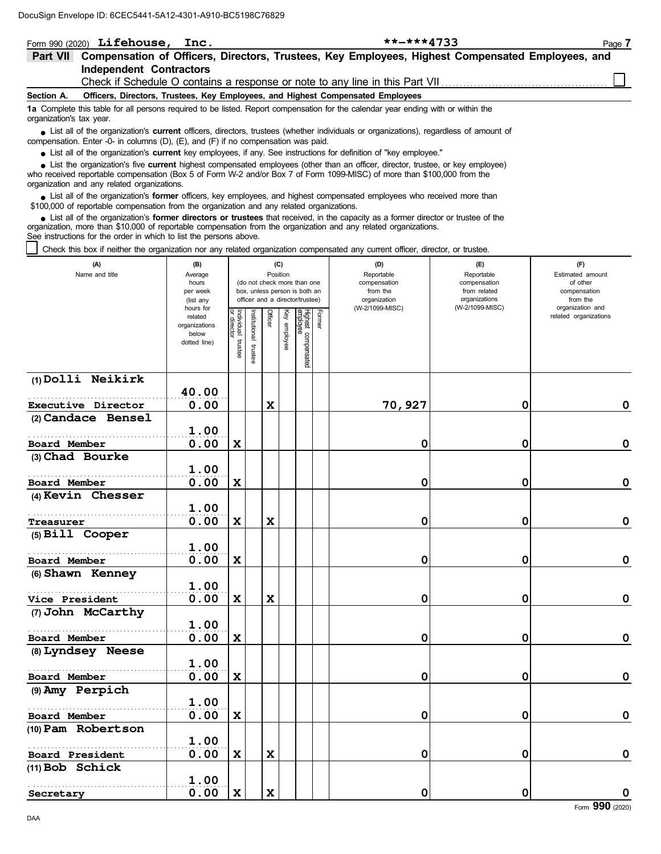|                          | Form 990 (2020) Lifehouse, Inc.                                                   | **-***4733                                                                                                                                                                                                                                                | Page 7 |
|--------------------------|-----------------------------------------------------------------------------------|-----------------------------------------------------------------------------------------------------------------------------------------------------------------------------------------------------------------------------------------------------------|--------|
| <b>Part VII</b>          |                                                                                   | Compensation of Officers, Directors, Trustees, Key Employees, Highest Compensated Employees, and                                                                                                                                                          |        |
|                          | Independent Contractors                                                           |                                                                                                                                                                                                                                                           |        |
|                          |                                                                                   | Check if Schedule O contains a response or note to any line in this Part VII                                                                                                                                                                              |        |
| Section A.               |                                                                                   | Officers, Directors, Trustees, Key Employees, and Highest Compensated Employees                                                                                                                                                                           |        |
| organization's tax year. |                                                                                   | 1a Complete this table for all persons required to be listed. Report compensation for the calendar year ending with or within the                                                                                                                         |        |
|                          | compensation. Enter -0- in columns (D), (E), and (F) if no compensation was paid. | • List all of the organization's current officers, directors, trustees (whether individuals or organizations), regardless of amount of                                                                                                                    |        |
|                          |                                                                                   | • List all of the organization's current key employees, if any. See instructions for definition of "key employee."                                                                                                                                        |        |
|                          |                                                                                   | List the organization's five current highest compensated employees (other than an officer, director, trustee, or key employee)<br>who received reportable componention (Rey 5 of Ferm W 2 and/or Rey 7 of Ferm 1000 MISC) of mere than \$100,000 from the |        |

who received reportable compensation (Box 5 of Form W-2 and/or Box 7 of Form 1099-MISC) of more than \$100,000 from the organization and any related organizations.

■ List all of the organization's **former** officers, key employees, and highest compensated employees who received more than<br> **00.000 of reportable compensation from the erganization and any mighted emanizations** \$100,000 of reportable compensation from the organization and any related organizations.

List all of the organization's **former directors or trustees** that received, in the capacity as a former director or trustee of the organization, more than \$10,000 of reportable compensation from the organization and any related organizations. See instructions for the order in which to list the persons above. **ï**

Check this box if neither the organization nor any related organization compensated any current officer, director, or trustee.

| (A)<br>Name and title | (B)<br>Average<br>hours<br>per week<br>(list any               |                                   |                         | Position    | (C)          | (do not check more than one<br>box, unless person is both an<br>officer and a director/trustee) | (D)<br>Reportable<br>compensation<br>from the<br>organization | (E)<br>Reportable<br>compensation<br>from related<br>organizations | (F)<br>Estimated amount<br>of other<br>compensation<br>from the |
|-----------------------|----------------------------------------------------------------|-----------------------------------|-------------------------|-------------|--------------|-------------------------------------------------------------------------------------------------|---------------------------------------------------------------|--------------------------------------------------------------------|-----------------------------------------------------------------|
|                       | hours for<br>related<br>organizations<br>below<br>dotted line) | Individual trustee<br>or director | nstitutional<br>trustee | Officer     | Key employee | Former<br>Highest compensated<br>employee                                                       | (W-2/1099-MISC)                                               | (W-2/1099-MISC)                                                    | organization and<br>related organizations                       |
| (1) Dolli Neikirk     | 40.00                                                          |                                   |                         |             |              |                                                                                                 |                                                               |                                                                    |                                                                 |
| Executive Director    | 0.00                                                           |                                   |                         | $\mathbf x$ |              |                                                                                                 | 70,927                                                        | $\mathbf 0$                                                        | 0                                                               |
| (2) Candace Bensel    |                                                                |                                   |                         |             |              |                                                                                                 |                                                               |                                                                    |                                                                 |
|                       | 1.00                                                           |                                   |                         |             |              |                                                                                                 |                                                               |                                                                    |                                                                 |
| Board Member          | 0.00                                                           | $\mathbf x$                       |                         |             |              |                                                                                                 | 0                                                             | $\mathbf 0$                                                        | $\mathbf 0$                                                     |
| (3) Chad Bourke       |                                                                |                                   |                         |             |              |                                                                                                 |                                                               |                                                                    |                                                                 |
|                       | 1.00                                                           |                                   |                         |             |              |                                                                                                 |                                                               |                                                                    |                                                                 |
| Board Member          | 0.00                                                           | X                                 |                         |             |              |                                                                                                 | 0                                                             | 0                                                                  | $\mathbf 0$                                                     |
| (4) Kevin Chesser     |                                                                |                                   |                         |             |              |                                                                                                 |                                                               |                                                                    |                                                                 |
|                       | 1.00                                                           |                                   |                         |             |              |                                                                                                 |                                                               |                                                                    |                                                                 |
| Treasurer             | 0.00                                                           | $\mathbf x$                       |                         | X           |              |                                                                                                 | 0                                                             | $\mathbf 0$                                                        | $\mathbf 0$                                                     |
| (5) Bill Cooper       |                                                                |                                   |                         |             |              |                                                                                                 |                                                               |                                                                    |                                                                 |
|                       | 1.00                                                           |                                   |                         |             |              |                                                                                                 |                                                               |                                                                    |                                                                 |
| Board Member          | 0.00                                                           | $\mathbf x$                       |                         |             |              |                                                                                                 | 0                                                             | $\mathbf 0$                                                        | $\mathbf 0$                                                     |
| (6) Shawn Kenney      |                                                                |                                   |                         |             |              |                                                                                                 |                                                               |                                                                    |                                                                 |
|                       | 1.00                                                           |                                   |                         |             |              |                                                                                                 |                                                               |                                                                    |                                                                 |
| Vice President        | 0.00                                                           | X                                 |                         | X           |              |                                                                                                 | 0                                                             | 0                                                                  | $\mathbf 0$                                                     |
| (7) John McCarthy     |                                                                |                                   |                         |             |              |                                                                                                 |                                                               |                                                                    |                                                                 |
|                       | 1.00                                                           |                                   |                         |             |              |                                                                                                 |                                                               |                                                                    |                                                                 |
| Board Member          | 0.00                                                           | $\mathbf x$                       |                         |             |              |                                                                                                 | 0                                                             | 0                                                                  | $\mathbf 0$                                                     |
| (8) Lyndsey Neese     |                                                                |                                   |                         |             |              |                                                                                                 |                                                               |                                                                    |                                                                 |
|                       | 1.00                                                           |                                   |                         |             |              |                                                                                                 |                                                               |                                                                    |                                                                 |
| Board Member          | 0.00                                                           | $\mathbf x$                       |                         |             |              |                                                                                                 | 0                                                             | 0                                                                  | $\mathbf 0$                                                     |
| (9) Amy Perpich       |                                                                |                                   |                         |             |              |                                                                                                 |                                                               |                                                                    |                                                                 |
|                       | 1.00                                                           |                                   |                         |             |              |                                                                                                 |                                                               |                                                                    |                                                                 |
| Board Member          | 0.00                                                           | $\mathbf x$                       |                         |             |              |                                                                                                 | 0                                                             | 0                                                                  | $\mathbf 0$                                                     |
| (10) Pam Robertson    | 1.00                                                           |                                   |                         |             |              |                                                                                                 |                                                               |                                                                    |                                                                 |
| Board President       | 0.00                                                           | $\mathbf x$                       |                         | $\mathbf x$ |              |                                                                                                 | 0                                                             | 0                                                                  | $\mathbf 0$                                                     |
| (11) Bob Schick       |                                                                |                                   |                         |             |              |                                                                                                 |                                                               |                                                                    |                                                                 |
|                       | 1.00                                                           |                                   |                         |             |              |                                                                                                 |                                                               |                                                                    |                                                                 |
| Secretary             | 0.00                                                           | $\mathbf x$                       |                         | $\mathbf x$ |              |                                                                                                 | 0                                                             | $\mathbf 0$                                                        | $\mathbf 0$                                                     |
|                       |                                                                |                                   |                         |             |              |                                                                                                 |                                                               |                                                                    |                                                                 |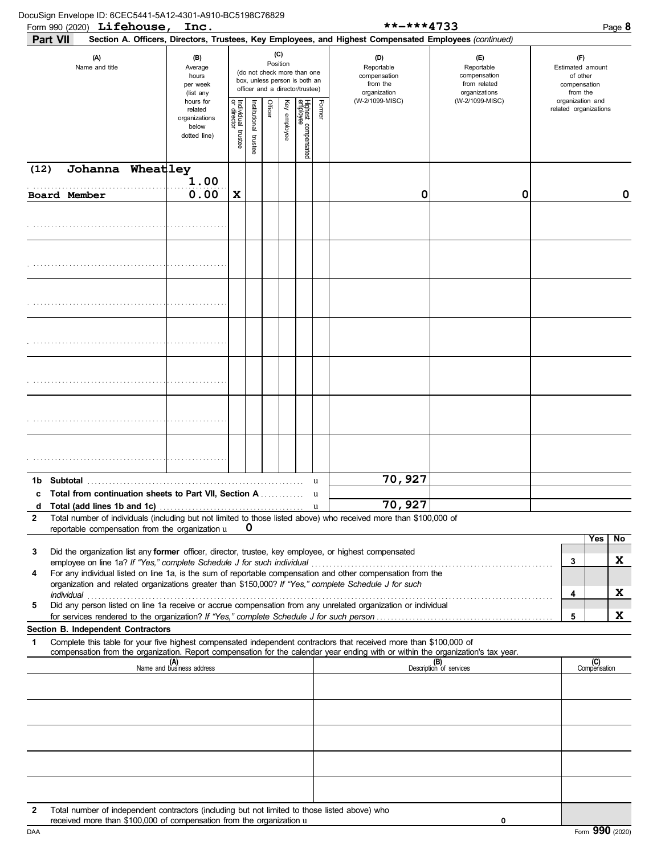| Part VII        | Form 990 (2020) Lifehouse,                                                                                                                                            | Inc.                                                           |                                      |                          |         |                 |                                                                                                 |        | **-***4733<br>Section A. Officers, Directors, Trustees, Key Employees, and Highest Compensated Employees (continued)                                                                                                                                   |                                                                    |                                                                            |                       | Page 8 |
|-----------------|-----------------------------------------------------------------------------------------------------------------------------------------------------------------------|----------------------------------------------------------------|--------------------------------------|--------------------------|---------|-----------------|-------------------------------------------------------------------------------------------------|--------|--------------------------------------------------------------------------------------------------------------------------------------------------------------------------------------------------------------------------------------------------------|--------------------------------------------------------------------|----------------------------------------------------------------------------|-----------------------|--------|
|                 | (A)<br>Name and title                                                                                                                                                 | (B)<br>Average<br>hours<br>per week<br>(list any               |                                      |                          |         | (C)<br>Position | (do not check more than one<br>box, unless person is both an<br>officer and a director/trustee) |        | (D)<br>Reportable<br>compensation<br>from the<br>organization                                                                                                                                                                                          | (E)<br>Reportable<br>compensation<br>from related<br>organizations | $(\mathsf{F})$<br>Estimated amount<br>of other<br>compensation<br>from the |                       |        |
|                 |                                                                                                                                                                       | hours for<br>related<br>organizations<br>below<br>dotted line) | Individual<br>or director<br>trustee | Institutional<br>trustee | Officer | Key employee    | Highest compensated<br>employee                                                                 | Former | (W-2/1099-MISC)                                                                                                                                                                                                                                        | (W-2/1099-MISC)                                                    | organization and                                                           | related organizations |        |
| (12)            | Johanna Wheatley                                                                                                                                                      |                                                                |                                      |                          |         |                 |                                                                                                 |        |                                                                                                                                                                                                                                                        |                                                                    |                                                                            |                       |        |
| Board Member    |                                                                                                                                                                       | 1.00<br>0.00                                                   | X                                    |                          |         |                 |                                                                                                 |        | 0                                                                                                                                                                                                                                                      | 0                                                                  |                                                                            |                       | 0      |
|                 |                                                                                                                                                                       |                                                                |                                      |                          |         |                 |                                                                                                 |        |                                                                                                                                                                                                                                                        |                                                                    |                                                                            |                       |        |
|                 |                                                                                                                                                                       |                                                                |                                      |                          |         |                 |                                                                                                 |        |                                                                                                                                                                                                                                                        |                                                                    |                                                                            |                       |        |
|                 |                                                                                                                                                                       |                                                                |                                      |                          |         |                 |                                                                                                 |        |                                                                                                                                                                                                                                                        |                                                                    |                                                                            |                       |        |
|                 |                                                                                                                                                                       |                                                                |                                      |                          |         |                 |                                                                                                 |        |                                                                                                                                                                                                                                                        |                                                                    |                                                                            |                       |        |
|                 |                                                                                                                                                                       |                                                                |                                      |                          |         |                 |                                                                                                 |        |                                                                                                                                                                                                                                                        |                                                                    |                                                                            |                       |        |
|                 |                                                                                                                                                                       |                                                                |                                      |                          |         |                 |                                                                                                 |        |                                                                                                                                                                                                                                                        |                                                                    |                                                                            |                       |        |
|                 |                                                                                                                                                                       |                                                                |                                      |                          |         |                 |                                                                                                 |        |                                                                                                                                                                                                                                                        |                                                                    |                                                                            |                       |        |
|                 |                                                                                                                                                                       |                                                                |                                      |                          |         |                 |                                                                                                 |        | 70,927                                                                                                                                                                                                                                                 |                                                                    |                                                                            |                       |        |
|                 | c Total from continuation sheets to Part VII, Section A                                                                                                               |                                                                |                                      |                          |         |                 |                                                                                                 | u<br>u |                                                                                                                                                                                                                                                        |                                                                    |                                                                            |                       |        |
| d               |                                                                                                                                                                       |                                                                |                                      |                          |         |                 |                                                                                                 |        | 70,927                                                                                                                                                                                                                                                 |                                                                    |                                                                            |                       |        |
| 2               | reportable compensation from the organization u                                                                                                                       |                                                                |                                      | 0                        |         |                 |                                                                                                 |        | Total number of individuals (including but not limited to those listed above) who received more than \$100,000 of                                                                                                                                      |                                                                    |                                                                            |                       |        |
| 3               |                                                                                                                                                                       |                                                                |                                      |                          |         |                 |                                                                                                 |        | Did the organization list any former officer, director, trustee, key employee, or highest compensated                                                                                                                                                  |                                                                    |                                                                            | Yes                   | No     |
|                 |                                                                                                                                                                       |                                                                |                                      |                          |         |                 |                                                                                                 |        |                                                                                                                                                                                                                                                        |                                                                    | 3                                                                          |                       | X      |
| 4               |                                                                                                                                                                       |                                                                |                                      |                          |         |                 |                                                                                                 |        | For any individual listed on line 1a, is the sum of reportable compensation and other compensation from the<br>organization and related organizations greater than \$150,000? If "Yes," complete Schedule J for such                                   |                                                                    |                                                                            |                       |        |
| individual<br>5 |                                                                                                                                                                       |                                                                |                                      |                          |         |                 |                                                                                                 |        | Did any person listed on line 1a receive or accrue compensation from any unrelated organization or individual                                                                                                                                          |                                                                    | 4                                                                          |                       | X      |
|                 |                                                                                                                                                                       |                                                                |                                      |                          |         |                 |                                                                                                 |        |                                                                                                                                                                                                                                                        |                                                                    | 5                                                                          |                       | X      |
|                 | Section B. Independent Contractors                                                                                                                                    |                                                                |                                      |                          |         |                 |                                                                                                 |        |                                                                                                                                                                                                                                                        |                                                                    |                                                                            |                       |        |
| 1               |                                                                                                                                                                       |                                                                |                                      |                          |         |                 |                                                                                                 |        | Complete this table for your five highest compensated independent contractors that received more than \$100,000 of<br>compensation from the organization. Report compensation for the calendar year ending with or within the organization's tax year. |                                                                    |                                                                            |                       |        |
|                 |                                                                                                                                                                       | (A)<br>Name and business address                               |                                      |                          |         |                 |                                                                                                 |        |                                                                                                                                                                                                                                                        | (B)<br>Description of services                                     |                                                                            | (C)<br>Compensation   |        |
|                 |                                                                                                                                                                       |                                                                |                                      |                          |         |                 |                                                                                                 |        |                                                                                                                                                                                                                                                        |                                                                    |                                                                            |                       |        |
|                 |                                                                                                                                                                       |                                                                |                                      |                          |         |                 |                                                                                                 |        |                                                                                                                                                                                                                                                        |                                                                    |                                                                            |                       |        |
|                 |                                                                                                                                                                       |                                                                |                                      |                          |         |                 |                                                                                                 |        |                                                                                                                                                                                                                                                        |                                                                    |                                                                            |                       |        |
|                 |                                                                                                                                                                       |                                                                |                                      |                          |         |                 |                                                                                                 |        |                                                                                                                                                                                                                                                        |                                                                    |                                                                            |                       |        |
|                 |                                                                                                                                                                       |                                                                |                                      |                          |         |                 |                                                                                                 |        |                                                                                                                                                                                                                                                        |                                                                    |                                                                            |                       |        |
| 2               | Total number of independent contractors (including but not limited to those listed above) who<br>received more than \$100,000 of compensation from the organization u |                                                                |                                      |                          |         |                 |                                                                                                 |        |                                                                                                                                                                                                                                                        | 0                                                                  |                                                                            |                       |        |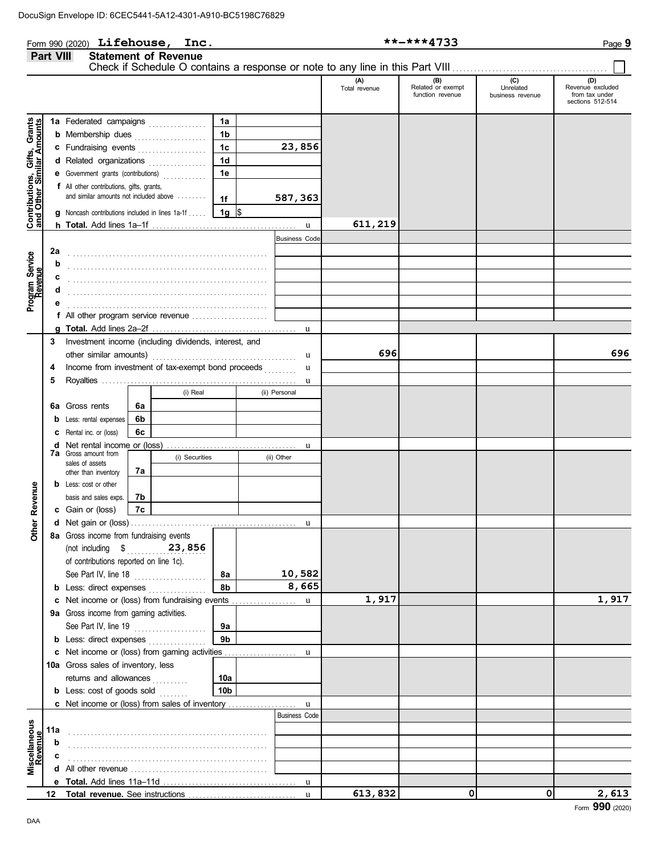| Form $990(2020)$ Lifehouse, Inc.      | **-***4733                                                                    | Page 9 |
|---------------------------------------|-------------------------------------------------------------------------------|--------|
| <b>Part VIII Statement of Revenue</b> |                                                                               |        |
|                                       | Check if Schedule O contains a response or note to any line in this Part VIII |        |

|                                                                  |     |                                                                                        |    |                |                 |        |                      | (A)<br>Total revenue | (B)<br>Related or exempt | (C)<br>Unrelated | (D)<br>Revenue excluded            |
|------------------------------------------------------------------|-----|----------------------------------------------------------------------------------------|----|----------------|-----------------|--------|----------------------|----------------------|--------------------------|------------------|------------------------------------|
|                                                                  |     |                                                                                        |    |                |                 |        |                      |                      | function revenue         | business revenue | from tax under<br>sections 512-514 |
|                                                                  |     |                                                                                        |    |                |                 |        |                      |                      |                          |                  |                                    |
|                                                                  |     | 1a Federated campaigns                                                                 |    |                | 1a              |        |                      |                      |                          |                  |                                    |
|                                                                  |     | <b>b</b> Membership dues                                                               |    |                | 1 <sub>b</sub>  |        |                      |                      |                          |                  |                                    |
|                                                                  |     | c Fundraising events<br>d Related organizations<br>e Government grants (contributions) |    | 1c             |                 | 23,856 |                      |                      |                          |                  |                                    |
|                                                                  |     |                                                                                        |    | 1 <sub>d</sub> |                 |        |                      |                      |                          |                  |                                    |
| <b>Contributions, Gifts, Grants</b><br>and Other Similar Amounts |     |                                                                                        |    | 1e             |                 |        |                      |                      |                          |                  |                                    |
|                                                                  |     | <b>f</b> All other contributions, gifts, grants,                                       |    |                |                 |        |                      |                      |                          |                  |                                    |
|                                                                  |     | and similar amounts not included above                                                 |    |                | 1f              |        | 587,363              |                      |                          |                  |                                    |
|                                                                  |     | <b>g</b> Noncash contributions included in lines 1a-1f                                 |    |                | 1g $\sqrt{3}$   |        |                      |                      |                          |                  |                                    |
|                                                                  |     |                                                                                        |    |                |                 |        |                      | 611,219              |                          |                  |                                    |
|                                                                  |     |                                                                                        |    |                |                 |        | <b>Business Code</b> |                      |                          |                  |                                    |
|                                                                  |     | 2a                                                                                     |    |                |                 |        |                      |                      |                          |                  |                                    |
| Program Service                                                  |     |                                                                                        |    |                |                 |        |                      |                      |                          |                  |                                    |
|                                                                  |     |                                                                                        |    |                |                 |        |                      |                      |                          |                  |                                    |
|                                                                  | c   |                                                                                        |    |                |                 |        |                      |                      |                          |                  |                                    |
|                                                                  |     |                                                                                        |    |                |                 |        |                      |                      |                          |                  |                                    |
|                                                                  |     |                                                                                        |    |                |                 |        |                      |                      |                          |                  |                                    |
|                                                                  |     | <b>f</b> All other program service revenue $\ldots$ , $\ldots$                         |    |                |                 |        |                      |                      |                          |                  |                                    |
|                                                                  |     |                                                                                        |    |                |                 |        |                      |                      |                          |                  |                                    |
|                                                                  | 3   | Investment income (including dividends, interest, and                                  |    |                |                 |        |                      |                      |                          |                  |                                    |
|                                                                  |     |                                                                                        |    |                |                 |        | u                    | 696                  |                          |                  | 696                                |
|                                                                  | 4   | Income from investment of tax-exempt bond proceeds                                     |    |                |                 |        | u                    |                      |                          |                  |                                    |
|                                                                  | 5   |                                                                                        |    |                |                 |        | u                    |                      |                          |                  |                                    |
|                                                                  |     |                                                                                        |    | (i) Real       |                 |        | (ii) Personal        |                      |                          |                  |                                    |
|                                                                  | 6а  | Gross rents                                                                            | 6a |                |                 |        |                      |                      |                          |                  |                                    |
|                                                                  | b   | Less: rental expenses                                                                  | 6b |                |                 |        |                      |                      |                          |                  |                                    |
|                                                                  | c   | Rental inc. or (loss)                                                                  | 6c |                |                 |        |                      |                      |                          |                  |                                    |
|                                                                  | d   |                                                                                        |    |                |                 |        | u                    |                      |                          |                  |                                    |
|                                                                  |     | <b>7a</b> Gross amount from                                                            |    | (i) Securities |                 |        | (ii) Other           |                      |                          |                  |                                    |
|                                                                  |     | sales of assets                                                                        | 7a |                |                 |        |                      |                      |                          |                  |                                    |
|                                                                  |     | other than inventory<br><b>b</b> Less: cost or other                                   |    |                |                 |        |                      |                      |                          |                  |                                    |
| Revenue                                                          |     |                                                                                        |    |                |                 |        |                      |                      |                          |                  |                                    |
|                                                                  |     | basis and sales exps.                                                                  | 7b |                |                 |        |                      |                      |                          |                  |                                    |
|                                                                  |     | c Gain or (loss)                                                                       | 7c |                |                 |        |                      |                      |                          |                  |                                    |
| Other                                                            |     |                                                                                        |    |                |                 |        | u                    |                      |                          |                  |                                    |
|                                                                  |     | 8a Gross income from fundraising events                                                |    |                |                 |        |                      |                      |                          |                  |                                    |
|                                                                  |     | (not including \$                                                                      |    | 23,856         |                 |        |                      |                      |                          |                  |                                    |
|                                                                  |     | of contributions reported on line 1c).                                                 |    |                |                 |        |                      |                      |                          |                  |                                    |
|                                                                  |     | See Part IV, line 18                                                                   |    |                | 8a              |        | 10,582               |                      |                          |                  |                                    |
|                                                                  |     | <b>b</b> Less: direct expenses                                                         |    |                | 8b              |        | 8,665                |                      |                          |                  |                                    |
|                                                                  |     | c Net income or (loss) from fundraising events                                         |    |                |                 |        | u                    | 1,917                |                          |                  | 1,917                              |
|                                                                  |     | 9a Gross income from gaming activities.                                                |    |                |                 |        |                      |                      |                          |                  |                                    |
|                                                                  |     | See Part IV, line 19                                                                   |    | .              | 9a              |        |                      |                      |                          |                  |                                    |
|                                                                  |     | <b>b</b> Less: direct expenses                                                         |    |                | 9 <sub>b</sub>  |        |                      |                      |                          |                  |                                    |
|                                                                  |     |                                                                                        |    |                |                 |        | u                    |                      |                          |                  |                                    |
|                                                                  |     | 10a Gross sales of inventory, less                                                     |    |                |                 |        |                      |                      |                          |                  |                                    |
|                                                                  |     | returns and allowances                                                                 |    | a a a a a a    | 10a             |        |                      |                      |                          |                  |                                    |
|                                                                  |     | <b>b</b> Less: cost of goods sold                                                      |    |                | 10 <sub>b</sub> |        |                      |                      |                          |                  |                                    |
|                                                                  |     |                                                                                        |    |                |                 |        | <b>u</b>             |                      |                          |                  |                                    |
|                                                                  |     |                                                                                        |    |                |                 |        | <b>Business Code</b> |                      |                          |                  |                                    |
|                                                                  | 11a |                                                                                        |    |                |                 |        |                      |                      |                          |                  |                                    |
|                                                                  |     |                                                                                        |    |                |                 |        |                      |                      |                          |                  |                                    |
|                                                                  | b   |                                                                                        |    |                |                 |        |                      |                      |                          |                  |                                    |
| Miscellaneous<br>Revenue                                         | c   |                                                                                        |    |                |                 |        |                      |                      |                          |                  |                                    |
|                                                                  |     |                                                                                        |    |                |                 |        |                      |                      |                          |                  |                                    |
|                                                                  |     |                                                                                        |    |                |                 |        |                      |                      |                          |                  |                                    |
|                                                                  | 12  |                                                                                        |    |                |                 |        | u.                   | 613,832              | 0                        | 0                | 2,613<br>QQ                        |
|                                                                  |     |                                                                                        |    |                |                 |        |                      |                      |                          |                  |                                    |

DAA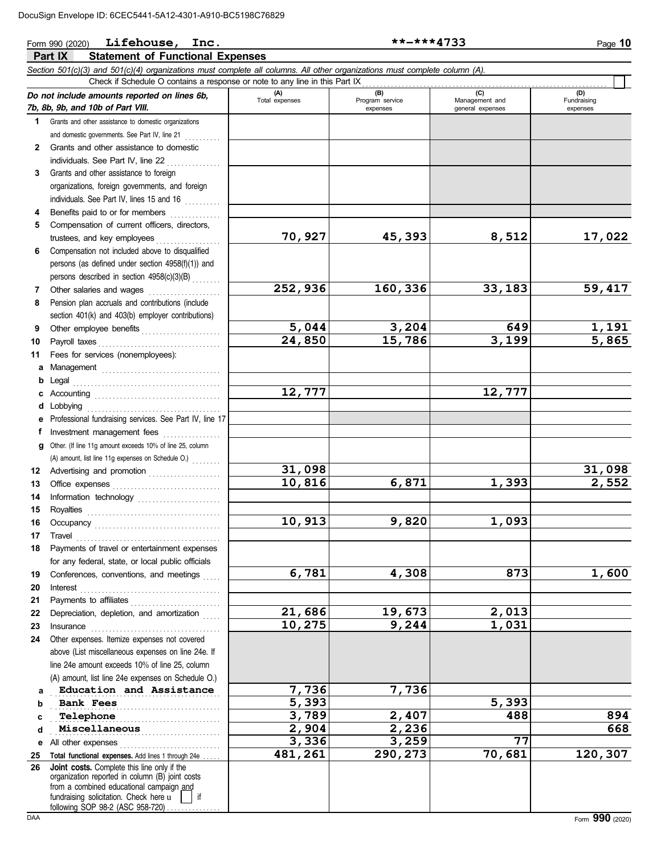#### **Part IX Statement of Functional Expenses** Form 990 (2020) Page **10 Lifehouse, Inc. \*\*-\*\*\*4733** *Section 501(c)(3) and 501(c)(4) organizations must complete all columns. All other organizations must complete column (A).* **Do not include amounts reported on lines 6b, 7b, 8b, 9b, and 10b of Part VIII. 1 2 3 4 5 6 7 8 9 10 11 a** Management . . . . . . . . . . . . . . . . . . . . . . . . . . . . . . . . . **b** Legal . . . . . . . . . . . . . . . . . . . . . . . . . . . . . . . . . . . . . . . . . **c** Accounting . . . . . . . . . . . . . . . . . . . . . . . . . . . . . . . . . . . **d** Lobbying . . . . . . . . . . . . . . . . . . . . . . . . . . . . . . . . . . . . . **e** Professional fundraising services. See Part IV, line 17 **f g** Other. (If line 11g amount exceeds 10% of line 25, column **12** Advertising and promotion **. . . . . . . . . . . . . . . .** . . . . . . . . . **13 14 15 16 17 18 19 20 21 22** Depreciation, depletion, and amortization **Depreciation 23 24 a b c d e** All other expenses . . . . . . . . . . . . . . . . . . . . . . . . . . . . 25 Total functional expenses. Add lines 1 through 24e ..... **26** Grants and other assistance to domestic organizations and domestic governments. See Part IV, line 21 Grants and other assistance to domestic individuals. See Part IV, line 22 . . . . . . . . . . . . . . Grants and other assistance to foreign organizations, foreign governments, and foreign individuals. See Part IV, lines 15 and 16 Benefits paid to or for members . . . . . . . . . . . . . . Compensation of current officers, directors, trustees, and key employees . . . . . . . . . . . . . . . . . . Compensation not included above to disqualified persons (as defined under section 4958(f)(1)) and persons described in section 4958(c)(3)(B) ........ Other salaries and wages .................... Pension plan accruals and contributions (include section 401(k) and 403(b) employer contributions) Other employee benefits . . . . . . . . . . . . . . . . . . . . . . Payroll taxes . . . . . . . . . . . . . . . . . . . . . . . . . . . . . . . . . . Fees for services (nonemployees): Investment management fees ................ Office expenses . . . . . . . . . . . . . . . . . . . . . . . . . . . . . . Information technology . . . . . . . . . . . . . . . . . . . . . . . Royalties . . . . . . . . . . . . . . . . . . . . . . . . . . . . . . . . . . . . . Occupancy . . . . . . . . . . . . . . . . . . . . . . . . . . . . . . . . . . . Travel . . . . . . . . . . . . . . . . . . . . . . . . . . . . . . . . . . . . . . . . Payments of travel or entertainment expenses for any federal, state, or local public officials Conferences, conventions, and meetings Interest . . . . . . . . . . . . . . . . . . . . . . . . . . . . . . . . . . . . . . . Payments to affiliates . . . . . . . . . . . . . . . . . . . . . . . . . Insurance . . . . . . . . . . . . . . . . . . . . . . . . . . . . . . . . . . . . Other expenses. Itemize expenses not covered above (List miscellaneous expenses on line 24e. If line 24e amount exceeds 10% of line 25, column (A) amount, list line 24e expenses on Schedule O.) fundraising solicitation. Check here  $\mathbf{u}$  | if organization reported in column (B) joint costs from a combined educational campaign and following SOP 98-2 (ASC 958-720). **(A) (B) (C) (D)** Total expenses Program service Management and expenses **general** expenses (D)<br>Fundraising expenses **Education and Assistance 7,736** 7,736 **Bank Fees 5,393** 5,393 . . . . . . . . . . . . . . . . . . . . . . . . . . . . . . . . . . . . . . . . . . . . . . . **Telephone 3,789 2,407 488 894** . . . . . . . . . . . . . . . . . . . . . . . . . . . . . . . . . . . . . . . . . . . . . . . **Miscellaneous 2,904 2,236 668** Check if Schedule O contains a response or note to any line in this Part IX **Joint costs.** Complete this line only if the (A) amount, list line 11g expenses on Schedule O.) . . . . . . . . **70,927 45,393 8,512 17,022 252,936 160,336 33,183 59,417 5,044 3,204 649 1,191 24,850 15,786 3,199 5,865 12,777 12,777 31,098 31,098 10,816 10,913 9,820 1,093 6,781 4,308 873 1,600 21,686 19,673 2,013 10,275 9,244 1,031 3,336 3,259 77 481,261 290,273 70,681 120,307**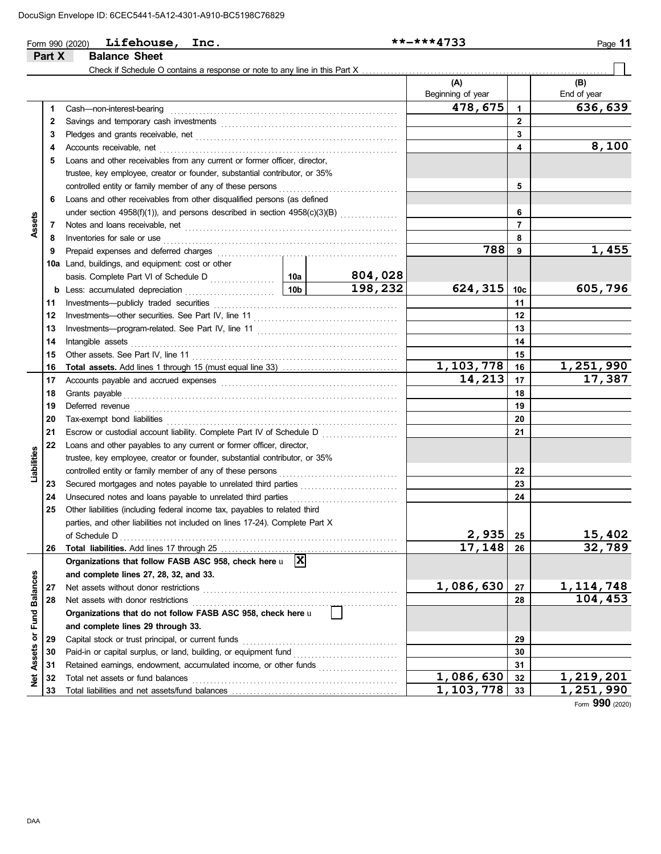|                      | Lifehouse, Inc.<br>Form 990 (2020)<br><b>Balance Sheet</b>                                                                                                                                                                           |                                                                                                  |                                                     | **-***4733               |                         | Page 11                |  |  |  |  |
|----------------------|--------------------------------------------------------------------------------------------------------------------------------------------------------------------------------------------------------------------------------------|--------------------------------------------------------------------------------------------------|-----------------------------------------------------|--------------------------|-------------------------|------------------------|--|--|--|--|
| Part X               |                                                                                                                                                                                                                                      |                                                                                                  |                                                     |                          |                         |                        |  |  |  |  |
|                      |                                                                                                                                                                                                                                      |                                                                                                  |                                                     | (A)<br>Beginning of year |                         | (B)<br>End of year     |  |  |  |  |
| 1                    | Cash-non-interest-bearing                                                                                                                                                                                                            |                                                                                                  |                                                     | 478,675                  | $\mathbf{1}$            | 636,639                |  |  |  |  |
| $\mathbf{2}$         |                                                                                                                                                                                                                                      |                                                                                                  | $\mathbf{2}$                                        |                          |                         |                        |  |  |  |  |
| 3                    | Pledges and grants receivable, net <b>consider a constant of the constant of the constant of the constant of the constant of the constant of the constant of the constant of the constant of the constant of the constant of the</b> |                                                                                                  | 3                                                   |                          |                         |                        |  |  |  |  |
| 4                    | Accounts receivable, net                                                                                                                                                                                                             |                                                                                                  |                                                     |                          | $\overline{\mathbf{4}}$ | 8,100                  |  |  |  |  |
| 5                    |                                                                                                                                                                                                                                      | Loans and other receivables from any current or former officer, director,                        |                                                     |                          |                         |                        |  |  |  |  |
|                      | trustee, key employee, creator or founder, substantial contributor, or 35%                                                                                                                                                           |                                                                                                  |                                                     |                          |                         |                        |  |  |  |  |
|                      | controlled entity or family member of any of these persons                                                                                                                                                                           |                                                                                                  |                                                     |                          | 5                       |                        |  |  |  |  |
| 6                    | Loans and other receivables from other disqualified persons (as defined                                                                                                                                                              |                                                                                                  |                                                     |                          |                         |                        |  |  |  |  |
|                      |                                                                                                                                                                                                                                      |                                                                                                  |                                                     |                          |                         |                        |  |  |  |  |
| Assets<br>7          | Notes and loans receivable, net                                                                                                                                                                                                      |                                                                                                  |                                                     |                          | $\overline{7}$          |                        |  |  |  |  |
| 8                    | Inventories for sale or use                                                                                                                                                                                                          |                                                                                                  |                                                     |                          | 8                       |                        |  |  |  |  |
| 9                    | Prepaid expenses and deferred charges                                                                                                                                                                                                |                                                                                                  |                                                     | 788                      | 9                       | 1,455                  |  |  |  |  |
|                      | 10a Land, buildings, and equipment: cost or other                                                                                                                                                                                    |                                                                                                  |                                                     |                          |                         |                        |  |  |  |  |
|                      |                                                                                                                                                                                                                                      |                                                                                                  | 804,028                                             |                          |                         |                        |  |  |  |  |
|                      | <b>b</b> Less: accumulated depreciation                                                                                                                                                                                              | 10 <sub>b</sub>                                                                                  | 198,232                                             | 624, 315                 | 10c                     | 605,796                |  |  |  |  |
| 11                   | Investments-publicly traded securities                                                                                                                                                                                               |                                                                                                  | 11                                                  |                          |                         |                        |  |  |  |  |
| 12                   | Investments—other securities. See Part IV, line 11                                                                                                                                                                                   |                                                                                                  |                                                     |                          |                         |                        |  |  |  |  |
| 13                   |                                                                                                                                                                                                                                      |                                                                                                  |                                                     | 13                       |                         |                        |  |  |  |  |
| 14                   | Intangible assets                                                                                                                                                                                                                    |                                                                                                  | 14                                                  |                          |                         |                        |  |  |  |  |
| 15                   | Other assets. See Part IV, line 11                                                                                                                                                                                                   |                                                                                                  |                                                     |                          | 15                      |                        |  |  |  |  |
| 16                   |                                                                                                                                                                                                                                      |                                                                                                  |                                                     | 1, 103, 778              | 16                      | 1,251,990              |  |  |  |  |
| 17                   |                                                                                                                                                                                                                                      |                                                                                                  |                                                     | 14,213                   | 17                      | 17,387                 |  |  |  |  |
| 18                   | Grants payable                                                                                                                                                                                                                       |                                                                                                  |                                                     |                          | 18                      |                        |  |  |  |  |
| 19                   | Deferred revenue                                                                                                                                                                                                                     |                                                                                                  |                                                     |                          | 19                      |                        |  |  |  |  |
| 20                   | Tax-exempt bond liabilities                                                                                                                                                                                                          |                                                                                                  |                                                     |                          | 20                      |                        |  |  |  |  |
| 21                   | Escrow or custodial account liability. Complete Part IV of Schedule D                                                                                                                                                                |                                                                                                  | <u> 1966 - Johann Stoff, Amerikaansk kanton en </u> |                          | 21                      |                        |  |  |  |  |
| 22                   | Loans and other payables to any current or former officer, director,                                                                                                                                                                 |                                                                                                  |                                                     |                          |                         |                        |  |  |  |  |
|                      | trustee, key employee, creator or founder, substantial contributor, or 35%                                                                                                                                                           |                                                                                                  |                                                     |                          |                         |                        |  |  |  |  |
| Liabilities          | controlled entity or family member of any of these persons                                                                                                                                                                           |                                                                                                  |                                                     |                          | 22                      |                        |  |  |  |  |
| 23                   | Secured mortgages and notes payable to unrelated third parties                                                                                                                                                                       |                                                                                                  |                                                     |                          | 23                      |                        |  |  |  |  |
| 24                   | Unsecured notes and loans payable to unrelated third parties                                                                                                                                                                         |                                                                                                  |                                                     |                          | 24                      |                        |  |  |  |  |
| 25                   | Other liabilities (including federal income tax, payables to related third                                                                                                                                                           |                                                                                                  |                                                     |                          |                         |                        |  |  |  |  |
|                      | parties, and other liabilities not included on lines 17-24). Complete Part X<br>of Schedule D                                                                                                                                        |                                                                                                  |                                                     | 2,935                    |                         | 15,402                 |  |  |  |  |
|                      |                                                                                                                                                                                                                                      |                                                                                                  |                                                     | 17,148                   | 25<br>26                | 32,789                 |  |  |  |  |
| 26                   | Organizations that follow FASB ASC 958, check here u                                                                                                                                                                                 | <u> X </u>                                                                                       |                                                     |                          |                         |                        |  |  |  |  |
|                      | and complete lines 27, 28, 32, and 33.                                                                                                                                                                                               |                                                                                                  |                                                     |                          |                         |                        |  |  |  |  |
| 27                   | Net assets without donor restrictions                                                                                                                                                                                                | 1,086,630                                                                                        | 27                                                  | 1, 114, 748              |                         |                        |  |  |  |  |
| 28                   | Net assets with donor restrictions                                                                                                                                                                                                   |                                                                                                  | 28                                                  | 104,453                  |                         |                        |  |  |  |  |
| <b>Fund Balances</b> |                                                                                                                                                                                                                                      |                                                                                                  |                                                     |                          |                         |                        |  |  |  |  |
|                      |                                                                                                                                                                                                                                      | Organizations that do not follow FASB ASC 958, check here u<br>and complete lines 29 through 33. |                                                     |                          |                         |                        |  |  |  |  |
| 29                   | Capital stock or trust principal, or current funds                                                                                                                                                                                   |                                                                                                  |                                                     |                          |                         |                        |  |  |  |  |
| 30                   |                                                                                                                                                                                                                                      |                                                                                                  |                                                     |                          | 29<br>30                |                        |  |  |  |  |
| 31                   |                                                                                                                                                                                                                                      |                                                                                                  |                                                     |                          | 31                      |                        |  |  |  |  |
| Net Assets or<br>32  | Total net assets or fund balances                                                                                                                                                                                                    |                                                                                                  |                                                     |                          |                         |                        |  |  |  |  |
| 33                   |                                                                                                                                                                                                                                      |                                                                                                  |                                                     | 1,086,630<br>1, 103, 778 | 32<br>33                | 1,219,201<br>1,251,990 |  |  |  |  |

Form **990** (2020)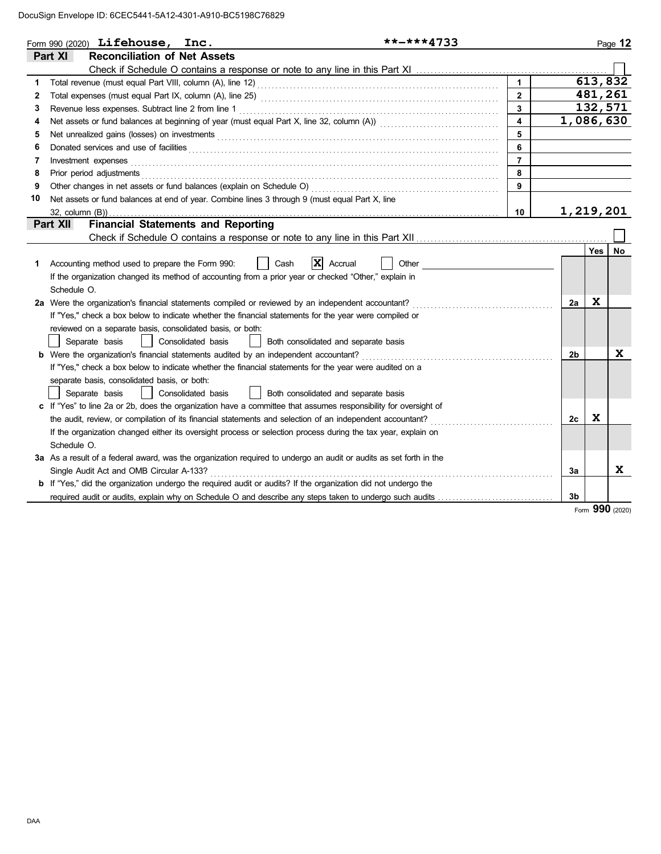|    | **-***4733<br>Form 990 (2020) Lifehouse, Inc.                                                                         |                         |                        |            | Page 12         |
|----|-----------------------------------------------------------------------------------------------------------------------|-------------------------|------------------------|------------|-----------------|
|    | Part XI<br><b>Reconciliation of Net Assets</b>                                                                        |                         |                        |            |                 |
|    |                                                                                                                       |                         |                        |            |                 |
| 1  |                                                                                                                       | $\mathbf{1}$            |                        | 613,832    |                 |
| 2  |                                                                                                                       | $\mathbf{2}$            |                        | 481,261    |                 |
| 3  | Revenue less expenses. Subtract line 2 from line 1                                                                    | $\overline{3}$          |                        | 132,571    |                 |
| 4  | Net assets or fund balances at beginning of year (must equal Part X, line 32, column (A)) [[[[[[[[[[[[[[[[[[[         | $\overline{\mathbf{4}}$ | $\overline{1,086,630}$ |            |                 |
| 5  |                                                                                                                       | 5                       |                        |            |                 |
| 6  | Donated services and use of facilities                                                                                | 6                       |                        |            |                 |
| 7  | Investment expenses                                                                                                   | $\overline{7}$          |                        |            |                 |
| 8  | Prior period adjustments                                                                                              | 8                       |                        |            |                 |
| 9  |                                                                                                                       | 9                       |                        |            |                 |
| 10 | Net assets or fund balances at end of year. Combine lines 3 through 9 (must equal Part X, line                        |                         |                        |            |                 |
|    |                                                                                                                       | 10                      | 1,219,201              |            |                 |
|    | Part XII<br><b>Financial Statements and Reporting</b>                                                                 |                         |                        |            |                 |
|    |                                                                                                                       |                         |                        |            |                 |
|    |                                                                                                                       |                         |                        | <b>Yes</b> | No              |
| 1. | Other<br>Accounting method used to prepare the Form 990:<br>Cash<br>Accrual                                           |                         |                        |            |                 |
|    | If the organization changed its method of accounting from a prior year or checked "Other," explain in                 |                         |                        |            |                 |
|    | Schedule O.                                                                                                           |                         |                        |            |                 |
|    | 2a Were the organization's financial statements compiled or reviewed by an independent accountant?                    |                         | 2a                     | X          |                 |
|    | If "Yes," check a box below to indicate whether the financial statements for the year were compiled or                |                         |                        |            |                 |
|    | reviewed on a separate basis, consolidated basis, or both:                                                            |                         |                        |            |                 |
|    | Separate basis<br>Consolidated basis<br>Both consolidated and separate basis                                          |                         |                        |            |                 |
|    | <b>b</b> Were the organization's financial statements audited by an independent accountant?                           |                         | 2 <sub>b</sub>         |            | X               |
|    | If "Yes," check a box below to indicate whether the financial statements for the year were audited on a               |                         |                        |            |                 |
|    | separate basis, consolidated basis, or both:                                                                          |                         |                        |            |                 |
|    | Separate basis<br>Consolidated basis<br>Both consolidated and separate basis                                          |                         |                        |            |                 |
|    | c If "Yes" to line 2a or 2b, does the organization have a committee that assumes responsibility for oversight of      |                         |                        |            |                 |
|    | the audit, review, or compilation of its financial statements and selection of an independent accountant?             |                         | 2c                     | x          |                 |
|    | If the organization changed either its oversight process or selection process during the tax year, explain on         |                         |                        |            |                 |
|    | Schedule O.                                                                                                           |                         |                        |            |                 |
|    | 3a As a result of a federal award, was the organization required to undergo an audit or audits as set forth in the    |                         |                        |            |                 |
|    | Single Audit Act and OMB Circular A-133?                                                                              |                         | За                     |            | X               |
|    | <b>b</b> If "Yes," did the organization undergo the required audit or audits? If the organization did not undergo the |                         |                        |            |                 |
|    | required audit or audits, explain why on Schedule O and describe any steps taken to undergo such audits               |                         | 3 <sub>b</sub>         |            | Form 990 (2020) |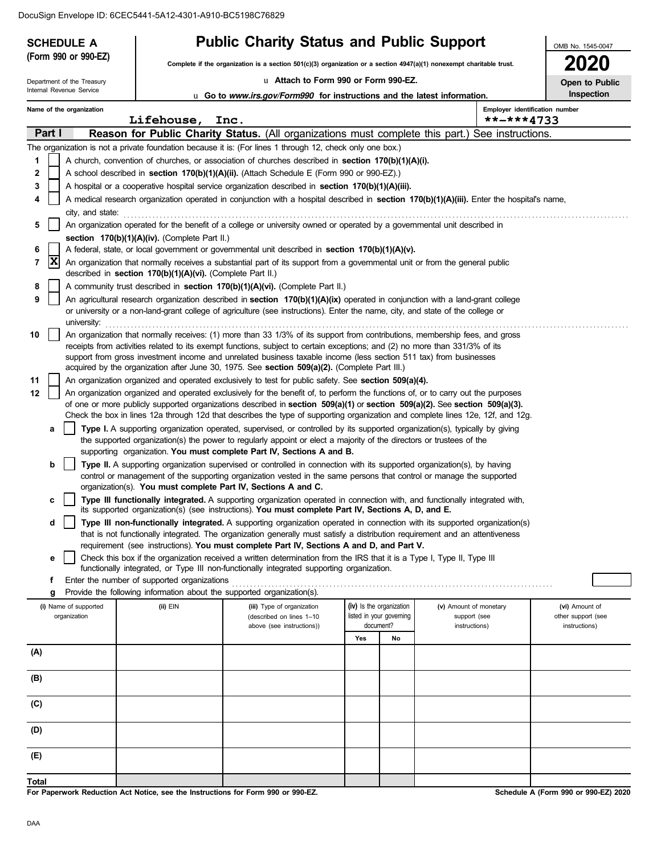|       |                 | <b>SCHEDULE A</b>                     |                                                                                  | <b>Public Charity Status and Public Support</b>                                                                                                                                                                                                                         |                          |                          |                                        | OMB No. 1545-0047                    |
|-------|-----------------|---------------------------------------|----------------------------------------------------------------------------------|-------------------------------------------------------------------------------------------------------------------------------------------------------------------------------------------------------------------------------------------------------------------------|--------------------------|--------------------------|----------------------------------------|--------------------------------------|
|       |                 | (Form 990 or 990-EZ)                  |                                                                                  | Complete if the organization is a section 501(c)(3) organization or a section 4947(a)(1) nonexempt charitable trust.                                                                                                                                                    |                          |                          |                                        | 2020                                 |
|       |                 | Department of the Treasury            |                                                                                  | u Attach to Form 990 or Form 990-EZ.                                                                                                                                                                                                                                    |                          |                          |                                        | Open to Public                       |
|       |                 | Internal Revenue Service              |                                                                                  | u Go to www.irs.gov/Form990 for instructions and the latest information.                                                                                                                                                                                                |                          |                          |                                        | Inspection                           |
|       |                 | Name of the organization              |                                                                                  |                                                                                                                                                                                                                                                                         |                          |                          | Employer identification number         |                                      |
|       | Part I          |                                       | Lifehouse,                                                                       | Inc.                                                                                                                                                                                                                                                                    |                          |                          | **-***4733                             |                                      |
|       |                 |                                       |                                                                                  | Reason for Public Charity Status. (All organizations must complete this part.) See instructions.<br>The organization is not a private foundation because it is: (For lines 1 through 12, check only one box.)                                                           |                          |                          |                                        |                                      |
| 1     |                 |                                       |                                                                                  | A church, convention of churches, or association of churches described in section 170(b)(1)(A)(i).                                                                                                                                                                      |                          |                          |                                        |                                      |
| 2     |                 |                                       |                                                                                  | A school described in section 170(b)(1)(A)(ii). (Attach Schedule E (Form 990 or 990-EZ).)                                                                                                                                                                               |                          |                          |                                        |                                      |
| 3     |                 |                                       |                                                                                  | A hospital or a cooperative hospital service organization described in section $170(b)(1)(A)(iii)$ .                                                                                                                                                                    |                          |                          |                                        |                                      |
| 4     |                 |                                       |                                                                                  | A medical research organization operated in conjunction with a hospital described in section 170(b)(1)(A)(iii). Enter the hospital's name,                                                                                                                              |                          |                          |                                        |                                      |
|       |                 | city, and state:                      |                                                                                  |                                                                                                                                                                                                                                                                         |                          |                          |                                        |                                      |
| 5     |                 |                                       |                                                                                  | An organization operated for the benefit of a college or university owned or operated by a governmental unit described in                                                                                                                                               |                          |                          |                                        |                                      |
| 6     |                 |                                       | section 170(b)(1)(A)(iv). (Complete Part II.)                                    | A federal, state, or local government or governmental unit described in section 170(b)(1)(A)(v).                                                                                                                                                                        |                          |                          |                                        |                                      |
| 7     | $\vert x \vert$ |                                       | described in section 170(b)(1)(A)(vi). (Complete Part II.)                       | An organization that normally receives a substantial part of its support from a governmental unit or from the general public                                                                                                                                            |                          |                          |                                        |                                      |
| 8     |                 |                                       |                                                                                  | A community trust described in section 170(b)(1)(A)(vi). (Complete Part II.)                                                                                                                                                                                            |                          |                          |                                        |                                      |
| 9     |                 |                                       |                                                                                  | An agricultural research organization described in section 170(b)(1)(A)(ix) operated in conjunction with a land-grant college<br>or university or a non-land-grant college of agriculture (see instructions). Enter the name, city, and state of the college or         |                          |                          |                                        |                                      |
| 10    |                 | university:                           |                                                                                  | An organization that normally receives: (1) more than 33 1/3% of its support from contributions, membership fees, and gross                                                                                                                                             |                          |                          |                                        |                                      |
|       |                 |                                       |                                                                                  | receipts from activities related to its exempt functions, subject to certain exceptions; and (2) no more than 331/3% of its<br>support from gross investment income and unrelated business taxable income (less section 511 tax) from businesses                        |                          |                          |                                        |                                      |
|       |                 |                                       |                                                                                  | acquired by the organization after June 30, 1975. See section 509(a)(2). (Complete Part III.)                                                                                                                                                                           |                          |                          |                                        |                                      |
| 11    |                 |                                       |                                                                                  | An organization organized and operated exclusively to test for public safety. See section 509(a)(4).                                                                                                                                                                    |                          |                          |                                        |                                      |
| 12    |                 |                                       |                                                                                  | An organization organized and operated exclusively for the benefit of, to perform the functions of, or to carry out the purposes<br>of one or more publicly supported organizations described in section $509(a)(1)$ or section $509(a)(2)$ . See section $509(a)(3)$ . |                          |                          |                                        |                                      |
|       |                 |                                       |                                                                                  | Check the box in lines 12a through 12d that describes the type of supporting organization and complete lines 12e, 12f, and 12g.                                                                                                                                         |                          |                          |                                        |                                      |
|       | a               |                                       |                                                                                  | Type I. A supporting organization operated, supervised, or controlled by its supported organization(s), typically by giving                                                                                                                                             |                          |                          |                                        |                                      |
|       |                 |                                       |                                                                                  | the supported organization(s) the power to regularly appoint or elect a majority of the directors or trustees of the<br>supporting organization. You must complete Part IV, Sections A and B.                                                                           |                          |                          |                                        |                                      |
|       | b               |                                       |                                                                                  | Type II. A supporting organization supervised or controlled in connection with its supported organization(s), by having                                                                                                                                                 |                          |                          |                                        |                                      |
|       |                 |                                       |                                                                                  | control or management of the supporting organization vested in the same persons that control or manage the supported                                                                                                                                                    |                          |                          |                                        |                                      |
|       |                 |                                       | organization(s). You must complete Part IV, Sections A and C.                    |                                                                                                                                                                                                                                                                         |                          |                          |                                        |                                      |
|       | с               |                                       |                                                                                  | Type III functionally integrated. A supporting organization operated in connection with, and functionally integrated with,<br>its supported organization(s) (see instructions). You must complete Part IV, Sections A, D, and E.                                        |                          |                          |                                        |                                      |
|       | d               |                                       |                                                                                  | Type III non-functionally integrated. A supporting organization operated in connection with its supported organization(s)                                                                                                                                               |                          |                          |                                        |                                      |
|       |                 |                                       |                                                                                  | that is not functionally integrated. The organization generally must satisfy a distribution requirement and an attentiveness                                                                                                                                            |                          |                          |                                        |                                      |
|       | е               |                                       |                                                                                  | requirement (see instructions). You must complete Part IV, Sections A and D, and Part V.<br>Check this box if the organization received a written determination from the IRS that it is a Type I, Type II, Type III                                                     |                          |                          |                                        |                                      |
|       |                 |                                       |                                                                                  | functionally integrated, or Type III non-functionally integrated supporting organization.                                                                                                                                                                               |                          |                          |                                        |                                      |
|       | f               |                                       | Enter the number of supported organizations                                      |                                                                                                                                                                                                                                                                         |                          |                          |                                        |                                      |
|       | g               |                                       | Provide the following information about the supported organization(s).           |                                                                                                                                                                                                                                                                         |                          |                          |                                        |                                      |
|       |                 | (i) Name of supported<br>organization | (ii) EIN                                                                         | (iii) Type of organization<br>(described on lines 1-10                                                                                                                                                                                                                  | (iv) Is the organization | listed in your governing | (v) Amount of monetary<br>support (see | (vi) Amount of<br>other support (see |
|       |                 |                                       |                                                                                  | above (see instructions))                                                                                                                                                                                                                                               | document?                |                          | instructions)                          | instructions)                        |
|       |                 |                                       |                                                                                  |                                                                                                                                                                                                                                                                         | Yes                      | No                       |                                        |                                      |
| (A)   |                 |                                       |                                                                                  |                                                                                                                                                                                                                                                                         |                          |                          |                                        |                                      |
| (B)   |                 |                                       |                                                                                  |                                                                                                                                                                                                                                                                         |                          |                          |                                        |                                      |
| (C)   |                 |                                       |                                                                                  |                                                                                                                                                                                                                                                                         |                          |                          |                                        |                                      |
| (D)   |                 |                                       |                                                                                  |                                                                                                                                                                                                                                                                         |                          |                          |                                        |                                      |
| (E)   |                 |                                       |                                                                                  |                                                                                                                                                                                                                                                                         |                          |                          |                                        |                                      |
| Total |                 |                                       |                                                                                  |                                                                                                                                                                                                                                                                         |                          |                          |                                        |                                      |
|       |                 |                                       | For Paperwork Reduction Act Notice, see the Instructions for Form 990 or 990-EZ. |                                                                                                                                                                                                                                                                         |                          |                          |                                        | Schedule A (Form 990 or 990-EZ) 2020 |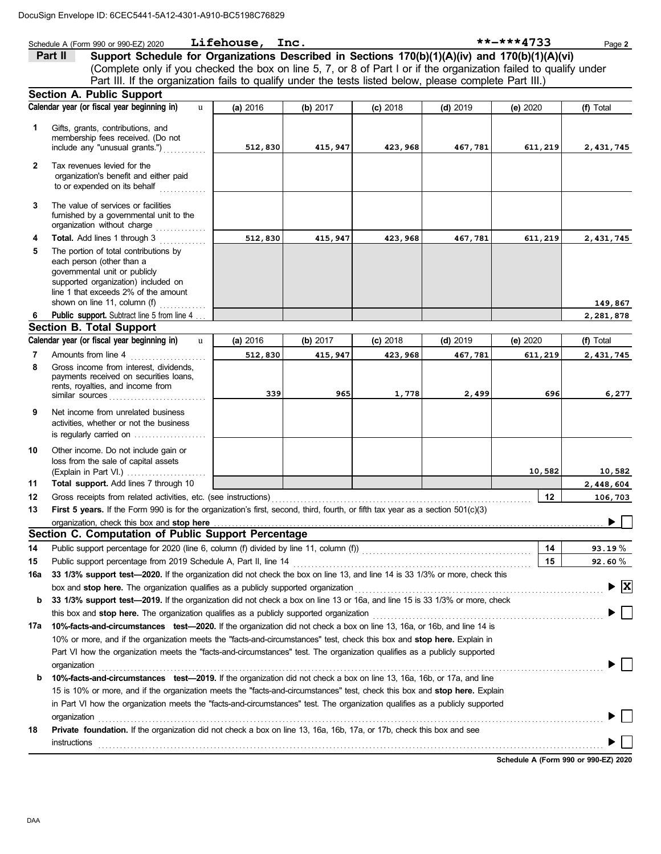|              | Schedule A (Form 990 or 990-EZ) 2020                                                                                                                                                                              | Lifehouse, Inc. |          |            |            | **-***4733 | Page 2                         |
|--------------|-------------------------------------------------------------------------------------------------------------------------------------------------------------------------------------------------------------------|-----------------|----------|------------|------------|------------|--------------------------------|
|              | Support Schedule for Organizations Described in Sections 170(b)(1)(A)(iv) and 170(b)(1)(A)(vi)<br>Part II                                                                                                         |                 |          |            |            |            |                                |
|              | (Complete only if you checked the box on line 5, 7, or 8 of Part I or if the organization failed to qualify under                                                                                                 |                 |          |            |            |            |                                |
|              | Part III. If the organization fails to qualify under the tests listed below, please complete Part III.)                                                                                                           |                 |          |            |            |            |                                |
|              | <b>Section A. Public Support</b>                                                                                                                                                                                  |                 |          |            |            |            |                                |
|              | Calendar year (or fiscal year beginning in)<br><b>u</b>                                                                                                                                                           | (a) 2016        | (b) 2017 | $(c)$ 2018 | $(d)$ 2019 | (e) $2020$ | (f) Total                      |
| 1            | Gifts, grants, contributions, and                                                                                                                                                                                 |                 |          |            |            |            |                                |
|              | membership fees received. (Do not                                                                                                                                                                                 |                 |          |            |            |            |                                |
|              | include any "unusual grants.")                                                                                                                                                                                    | 512,830         | 415,947  | 423,968    | 467,781    | 611,219    | 2, 431, 745                    |
| $\mathbf{2}$ | Tax revenues levied for the                                                                                                                                                                                       |                 |          |            |            |            |                                |
|              | organization's benefit and either paid                                                                                                                                                                            |                 |          |            |            |            |                                |
|              | to or expended on its behalf                                                                                                                                                                                      |                 |          |            |            |            |                                |
| 3            | The value of services or facilities                                                                                                                                                                               |                 |          |            |            |            |                                |
|              | furnished by a governmental unit to the<br>organization without charge                                                                                                                                            |                 |          |            |            |            |                                |
| 4            | Total. Add lines 1 through 3                                                                                                                                                                                      | 512,830         | 415, 947 | 423,968    | 467,781    | 611,219    | 2, 431, 745                    |
| 5            | The portion of total contributions by                                                                                                                                                                             |                 |          |            |            |            |                                |
|              | each person (other than a                                                                                                                                                                                         |                 |          |            |            |            |                                |
|              | governmental unit or publicly                                                                                                                                                                                     |                 |          |            |            |            |                                |
|              | supported organization) included on<br>line 1 that exceeds 2% of the amount                                                                                                                                       |                 |          |            |            |            |                                |
|              | shown on line 11, column (f)                                                                                                                                                                                      |                 |          |            |            |            | 149,867                        |
| 6            | Public support. Subtract line 5 from line 4                                                                                                                                                                       |                 |          |            |            |            | 2,281,878                      |
|              | <b>Section B. Total Support</b>                                                                                                                                                                                   |                 |          |            |            |            |                                |
|              | Calendar year (or fiscal year beginning in)<br><b>u</b>                                                                                                                                                           | (a) 2016        | (b) 2017 | $(c)$ 2018 | $(d)$ 2019 | (e) 2020   | (f) Total                      |
| 7            | Amounts from line 4                                                                                                                                                                                               | 512,830         | 415, 947 | 423, 968   | 467,781    | 611,219    | 2, 431, 745                    |
| 8            | Gross income from interest, dividends,<br>payments received on securities loans,                                                                                                                                  |                 |          |            |            |            |                                |
|              | rents, royalties, and income from                                                                                                                                                                                 |                 |          |            |            |            |                                |
|              |                                                                                                                                                                                                                   | 339             | 965      | 1,778      | 2,499      | 696        | 6,277                          |
| 9            | Net income from unrelated business                                                                                                                                                                                |                 |          |            |            |            |                                |
|              | activities, whether or not the business                                                                                                                                                                           |                 |          |            |            |            |                                |
|              | is regularly carried on                                                                                                                                                                                           |                 |          |            |            |            |                                |
| 10           | Other income. Do not include gain or                                                                                                                                                                              |                 |          |            |            |            |                                |
|              | loss from the sale of capital assets                                                                                                                                                                              |                 |          |            |            | 10,582     | 10,582                         |
| 11           | Total support. Add lines 7 through 10                                                                                                                                                                             |                 |          |            |            |            | 2,448,604                      |
| 12           | Gross receipts from related activities, etc. (see instructions)                                                                                                                                                   |                 |          |            |            | 12         | 106,703                        |
| 13           | First 5 years. If the Form 990 is for the organization's first, second, third, fourth, or fifth tax year as a section 501(c)(3)                                                                                   |                 |          |            |            |            |                                |
|              | organization, check this box and stop here                                                                                                                                                                        |                 |          |            |            |            |                                |
|              | Section C. Computation of Public Support Percentage                                                                                                                                                               |                 |          |            |            |            |                                |
| 14           | Public support percentage for 2020 (line 6, column (f) divided by line 11, column (f)) [[[[[[[[[[[[[[[[[[[[[[                                                                                                     |                 |          |            |            | 14         | 93.19%                         |
| 15           | Public support percentage from 2019 Schedule A, Part II, line 14                                                                                                                                                  |                 |          |            |            | 15         | 92.60%                         |
| 16a          | 33 1/3% support test-2020. If the organization did not check the box on line 13, and line 14 is 33 1/3% or more, check this                                                                                       |                 |          |            |            |            |                                |
|              | box and stop here. The organization qualifies as a publicly supported organization                                                                                                                                |                 |          |            |            |            | $\blacktriangleright$ $\mid$ X |
| b            | 33 1/3% support test—2019. If the organization did not check a box on line 13 or 16a, and line 15 is 33 1/3% or more, check                                                                                       |                 |          |            |            |            |                                |
| 17a          | this box and stop here. The organization qualifies as a publicly supported organization<br>10%-facts-and-circumstances test-2020. If the organization did not check a box on line 13, 16a, or 16b, and line 14 is |                 |          |            |            |            |                                |
|              | 10% or more, and if the organization meets the "facts-and-circumstances" test, check this box and stop here. Explain in                                                                                           |                 |          |            |            |            |                                |
|              | Part VI how the organization meets the "facts-and-circumstances" test. The organization qualifies as a publicly supported                                                                                         |                 |          |            |            |            |                                |
|              | organization                                                                                                                                                                                                      |                 |          |            |            |            |                                |
| b            | 10%-facts-and-circumstances test-2019. If the organization did not check a box on line 13, 16a, 16b, or 17a, and line                                                                                             |                 |          |            |            |            |                                |
|              | 15 is 10% or more, and if the organization meets the "facts-and-circumstances" test, check this box and stop here. Explain                                                                                        |                 |          |            |            |            |                                |
|              | in Part VI how the organization meets the "facts-and-circumstances" test. The organization qualifies as a publicly supported                                                                                      |                 |          |            |            |            |                                |
|              | organization                                                                                                                                                                                                      |                 |          |            |            |            |                                |
| 18           | Private foundation. If the organization did not check a box on line 13, 16a, 16b, 17a, or 17b, check this box and see                                                                                             |                 |          |            |            |            |                                |
|              | instructions                                                                                                                                                                                                      |                 |          |            |            |            |                                |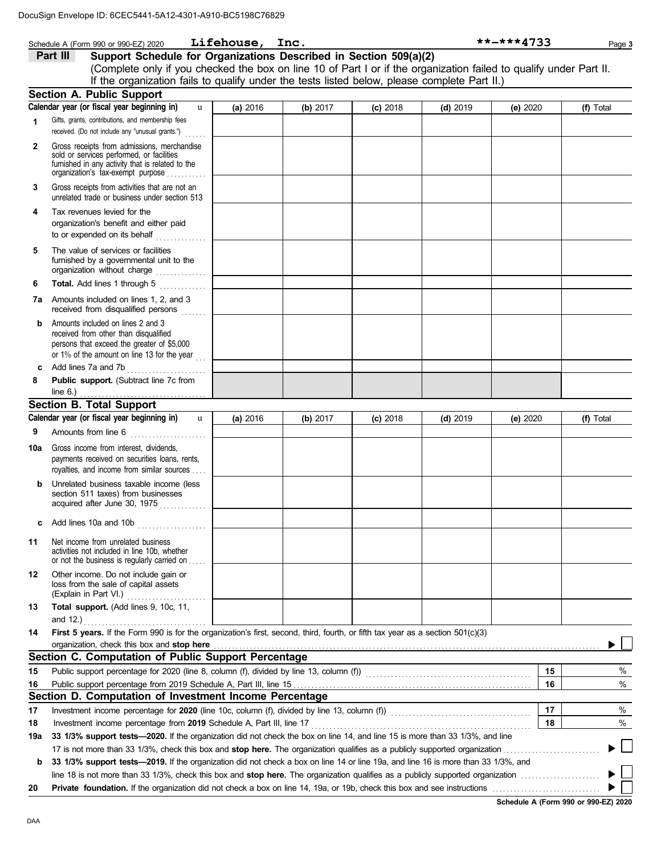|              | Schedule A (Form 990 or 990-EZ) 2020                                                                                                                                              | Lifehouse, Inc. |          |            |            | **-***4733 | Page 3    |
|--------------|-----------------------------------------------------------------------------------------------------------------------------------------------------------------------------------|-----------------|----------|------------|------------|------------|-----------|
|              | Support Schedule for Organizations Described in Section 509(a)(2)<br>Part III                                                                                                     |                 |          |            |            |            |           |
|              | (Complete only if you checked the box on line 10 of Part I or if the organization failed to qualify under Part II.                                                                |                 |          |            |            |            |           |
|              | If the organization fails to qualify under the tests listed below, please complete Part II.)                                                                                      |                 |          |            |            |            |           |
|              | Section A. Public Support                                                                                                                                                         |                 |          |            |            |            |           |
|              | Calendar year (or fiscal year beginning in)<br>$\mathbf{u}$                                                                                                                       | (a) 2016        | (b) 2017 | $(c)$ 2018 | $(d)$ 2019 | (e) 2020   | (f) Total |
| 1            | Gifts, grants, contributions, and membership fees<br>received. (Do not include any "unusual grants.")                                                                             |                 |          |            |            |            |           |
| $\mathbf{2}$ | Gross receipts from admissions, merchandise<br>sold or services performed, or facilities<br>furnished in any activity that is related to the<br>organization's tax-exempt purpose |                 |          |            |            |            |           |
| 3            | Gross receipts from activities that are not an<br>unrelated trade or business under section 513                                                                                   |                 |          |            |            |            |           |
| 4            | Tax revenues levied for the<br>organization's benefit and either paid<br>to or expended on its behalf                                                                             |                 |          |            |            |            |           |
| 5            | The value of services or facilities<br>furnished by a governmental unit to the<br>organization without charge                                                                     |                 |          |            |            |            |           |
| 6            | Total. Add lines 1 through 5                                                                                                                                                      |                 |          |            |            |            |           |
|              | 7a Amounts included on lines 1, 2, and 3<br>received from disqualified persons                                                                                                    |                 |          |            |            |            |           |
| b            | Amounts included on lines 2 and 3<br>received from other than disqualified<br>persons that exceed the greater of \$5,000<br>or 1% of the amount on line 13 for the year           |                 |          |            |            |            |           |
| c            | Add lines 7a and 7b                                                                                                                                                               |                 |          |            |            |            |           |
| 8            | Public support. (Subtract line 7c from<br>line $6.$ )<br>.                                                                                                                        |                 |          |            |            |            |           |
|              | <b>Section B. Total Support</b>                                                                                                                                                   |                 |          |            |            |            |           |
|              | Calendar year (or fiscal year beginning in)<br>$\mathbf{u}$                                                                                                                       | (a) 2016        | (b) 2017 | $(c)$ 2018 | $(d)$ 2019 | (e) 2020   | (f) Total |
| 9            | Amounts from line 6                                                                                                                                                               |                 |          |            |            |            |           |
| 10a          | Gross income from interest, dividends,<br>payments received on securities loans, rents,<br>royalties, and income from similar sources                                             |                 |          |            |            |            |           |
| b            | Unrelated business taxable income (less<br>section 511 taxes) from businesses<br>acquired after June 30, 1975                                                                     |                 |          |            |            |            |           |
| c            | Add lines 10a and 10b<br>.                                                                                                                                                        |                 |          |            |            |            |           |
| 11           | Net income from unrelated business<br>activities not included in line 10b, whether<br>or not the business is regularly carried on                                                 |                 |          |            |            |            |           |
| 12           | Other income. Do not include gain or<br>loss from the sale of capital assets                                                                                                      |                 |          |            |            |            |           |
| 13           | Total support. (Add lines 9, 10c, 11,                                                                                                                                             |                 |          |            |            |            |           |
| 14           | and 12.)<br>First 5 years. If the Form 990 is for the organization's first, second, third, fourth, or fifth tax year as a section 501(c)(3)                                       |                 |          |            |            |            |           |
|              | organization, check this box and stop here                                                                                                                                        |                 |          |            |            |            |           |
|              | Section C. Computation of Public Support Percentage                                                                                                                               |                 |          |            |            |            |           |
| 15           | Public support percentage for 2020 (line 8, column (f), divided by line 13, column (f) [[[[[[[[[[[[[[[[[[[[[[                                                                     |                 |          |            |            | 15         | %         |
| 16           |                                                                                                                                                                                   |                 |          |            |            | 16         | $\%$      |
|              | Section D. Computation of Investment Income Percentage                                                                                                                            |                 |          |            |            |            |           |
| 17           |                                                                                                                                                                                   |                 |          |            |            | 17         | %         |
| 18           | Investment income percentage from 2019 Schedule A, Part III, line 17                                                                                                              |                 |          |            |            | 18         | $\%$      |
| 19a          | 33 1/3% support tests-2020. If the organization did not check the box on line 14, and line 15 is more than 33 1/3%, and line                                                      |                 |          |            |            |            |           |
|              | 33 1/3% support tests-2019. If the organization did not check a box on line 14 or line 19a, and line 16 is more than 33 1/3%, and                                                 |                 |          |            |            |            |           |
| b            |                                                                                                                                                                                   |                 |          |            |            |            |           |
| 20           |                                                                                                                                                                                   |                 |          |            |            |            |           |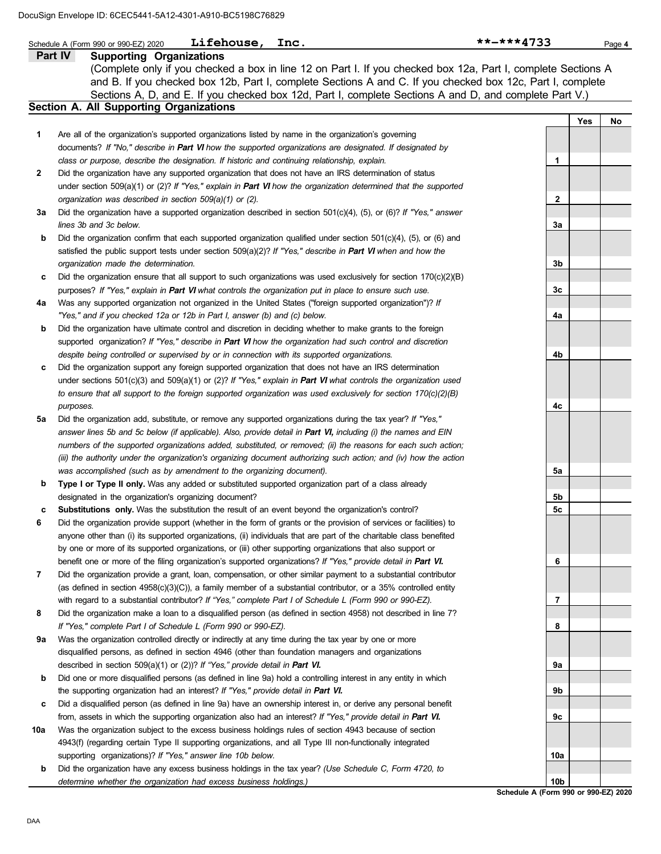#### **Part IV Supporting Organizations** Sections A, D, and E. If you checked box 12d, Part I, complete Sections A and D, and complete Part V.) Schedule A (Form 990 or 990-EZ) 2020 **Lifehouse, Inc. Example:**  $\star \star - \star \star \star 4733$  Page 4 **Section A. All Supporting Organizations** (Complete only if you checked a box in line 12 on Part I. If you checked box 12a, Part I, complete Sections A and B. If you checked box 12b, Part I, complete Sections A and C. If you checked box 12c, Part I, complete Are all of the organization's supported organizations listed by name in the organization's governing documents? *If "No," describe in* **Part VI** *how the supported organizations are designated. If designated by class or purpose, describe the designation. If historic and continuing relationship, explain.* Did the organization have any supported organization that does not have an IRS determination of status under section 509(a)(1) or (2)? *If "Yes," explain in* **Part VI** *how the organization determined that the supported organization was described in section 509(a)(1) or (2).* **1 2 3a** Did the organization have a supported organization described in section 501(c)(4), (5), or (6)? *If "Yes," answer* **b c 4a b c 5a b c 6 7 8 9a b c 10a b** *lines 3b and 3c below.* Did the organization confirm that each supported organization qualified under section 501(c)(4), (5), or (6) and satisfied the public support tests under section 509(a)(2)? *If "Yes," describe in* **Part VI** *when and how the organization made the determination.* Did the organization ensure that all support to such organizations was used exclusively for section 170(c)(2)(B) purposes? *If "Yes," explain in* **Part VI** *what controls the organization put in place to ensure such use.* Was any supported organization not organized in the United States ("foreign supported organization")? *If "Yes," and if you checked 12a or 12b in Part I, answer (b) and (c) below.* Did the organization have ultimate control and discretion in deciding whether to make grants to the foreign supported organization? *If "Yes," describe in* **Part VI** *how the organization had such control and discretion despite being controlled or supervised by or in connection with its supported organizations.* Did the organization support any foreign supported organization that does not have an IRS determination under sections 501(c)(3) and 509(a)(1) or (2)? *If "Yes," explain in* **Part VI** *what controls the organization used to ensure that all support to the foreign supported organization was used exclusively for section 170(c)(2)(B) purposes.* Did the organization add, substitute, or remove any supported organizations during the tax year? *If "Yes," answer lines 5b and 5c below (if applicable). Also, provide detail in* **Part VI,** *including (i) the names and EIN numbers of the supported organizations added, substituted, or removed; (ii) the reasons for each such action; (iii) the authority under the organization's organizing document authorizing such action; and (iv) how the action was accomplished (such as by amendment to the organizing document).* **Type I or Type II only.** Was any added or substituted supported organization part of a class already designated in the organization's organizing document? Substitutions only. Was the substitution the result of an event beyond the organization's control? Did the organization provide support (whether in the form of grants or the provision of services or facilities) to anyone other than (i) its supported organizations, (ii) individuals that are part of the charitable class benefited by one or more of its supported organizations, or (iii) other supporting organizations that also support or benefit one or more of the filing organization's supported organizations? *If "Yes," provide detail in* **Part VI.** Did the organization provide a grant, loan, compensation, or other similar payment to a substantial contributor (as defined in section 4958(c)(3)(C)), a family member of a substantial contributor, or a 35% controlled entity with regard to a substantial contributor? If "Yes," complete Part I of Schedule L (Form 990 or 990-EZ). Did the organization make a loan to a disqualified person (as defined in section 4958) not described in line 7? *If "Yes," complete Part I of Schedule L (Form 990 or 990-EZ).* Was the organization controlled directly or indirectly at any time during the tax year by one or more disqualified persons, as defined in section 4946 (other than foundation managers and organizations described in section 509(a)(1) or (2))? *If "Yes," provide detail in* **Part VI.** Did one or more disqualified persons (as defined in line 9a) hold a controlling interest in any entity in which the supporting organization had an interest? *If "Yes," provide detail in* **Part VI.** Did a disqualified person (as defined in line 9a) have an ownership interest in, or derive any personal benefit from, assets in which the supporting organization also had an interest? *If "Yes," provide detail in* **Part VI.** Was the organization subject to the excess business holdings rules of section 4943 because of section 4943(f) (regarding certain Type II supporting organizations, and all Type III non-functionally integrated supporting organizations)? *If "Yes," answer line 10b below.* Did the organization have any excess business holdings in the tax year? *(Use Schedule C, Form 4720, to determine whether the organization had excess business holdings.)* **Yes No 1 2 3a 3b 3c 4a 4b 4c 5a 5b 5c 6 7 8 9a 9b 9c 10a 10b** Lifehouse,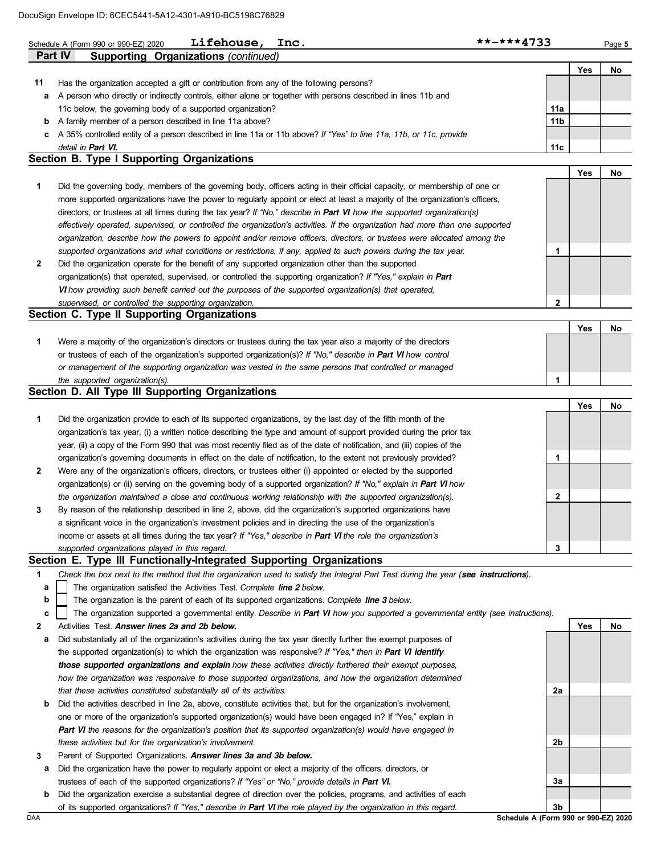|         | Schedule A (Form 990 or 990-EZ) 2020 | Lifehouse,                       | Inc. | **-***4733 | Page 5 |
|---------|--------------------------------------|----------------------------------|------|------------|--------|
| Part IV | Supporting                           | <b>Organizations</b> (continued) |      |            |        |
|         |                                      |                                  |      |            |        |

|                                                                                                                |                                                                                                                                | Yes    | No |
|----------------------------------------------------------------------------------------------------------------|--------------------------------------------------------------------------------------------------------------------------------|--------|----|
| Has the organization accepted a gift or contribution from any of the following persons?                        |                                                                                                                                |        |    |
| A person who directly or indirectly controls, either alone or together with persons described in lines 11b and |                                                                                                                                |        |    |
| 11c below, the governing body of a supported organization?                                                     | 11a                                                                                                                            |        |    |
| A family member of a person described in line 11a above?                                                       | 11 <sub>b</sub>                                                                                                                |        |    |
|                                                                                                                |                                                                                                                                |        |    |
| detail in <b>Part VI.</b>                                                                                      | 11c                                                                                                                            |        |    |
|                                                                                                                | a<br>b<br>c A 35% controlled entity of a person described in line 11a or 11b above? If "Yes" to line 11a, 11b, or 11c, provide | .<br>. |    |

#### **Section B. Type I Supporting Organizations**

|                |                                                                                                                                | Yes | <b>No</b> |
|----------------|--------------------------------------------------------------------------------------------------------------------------------|-----|-----------|
| 1.             | Did the governing body, members of the governing body, officers acting in their official capacity, or membership of one or     |     |           |
|                | more supported organizations have the power to regularly appoint or elect at least a majority of the organization's officers,  |     |           |
|                | directors, or trustees at all times during the tax year? If "No," describe in <b>Part VI</b> how the supported organization(s) |     |           |
|                | effectively operated, supervised, or controlled the organization's activities. If the organization had more than one supported |     |           |
|                | organization, describe how the powers to appoint and/or remove officers, directors, or trustees were allocated among the       |     |           |
|                | supported organizations and what conditions or restrictions, if any, applied to such powers during the tax year.               |     |           |
| $\overline{2}$ | Did the organization operate for the benefit of any supported organization other than the supported                            |     |           |
|                | organization(s) that operated, supervised, or controlled the supporting organization? If "Yes," explain in Part                |     |           |
|                | VI how providing such benefit carried out the purposes of the supported organization(s) that operated,                         |     |           |
|                | supervised, or controlled the supporting organization.                                                                         |     |           |

#### **Section C. Type II Supporting Organizations** Were a majority of the organization's directors or trustees during the tax year also a majority of the directors or trustees of each of the organization's supported organization(s)? *If "No," describe in* **Part VI** *how control* **1** *or management of the supporting organization was vested in the same persons that controlled or managed the supported organization(s).* **Yes No 1**

#### **Section D. All Type III Supporting Organizations**

|                |                                                                                                                           |   | Yes | No |
|----------------|---------------------------------------------------------------------------------------------------------------------------|---|-----|----|
| $\mathbf{1}$   | Did the organization provide to each of its supported organizations, by the last day of the fifth month of the            |   |     |    |
|                | organization's tax year, (i) a written notice describing the type and amount of support provided during the prior tax     |   |     |    |
|                | year, (ii) a copy of the Form 990 that was most recently filed as of the date of notification, and (iii) copies of the    |   |     |    |
|                | organization's governing documents in effect on the date of notification, to the extent not previously provided?          |   |     |    |
| $\overline{2}$ | Were any of the organization's officers, directors, or trustees either (i) appointed or elected by the supported          |   |     |    |
|                | organization(s) or (ii) serving on the governing body of a supported organization? If "No," explain in <b>Part VI</b> how |   |     |    |
|                | the organization maintained a close and continuous working relationship with the supported organization(s).               | 2 |     |    |
| $\mathbf{3}$   | By reason of the relationship described in line 2, above, did the organization's supported organizations have             |   |     |    |
|                | a significant voice in the organization's investment policies and in directing the use of the organization's              |   |     |    |
|                | income or assets at all times during the tax year? If "Yes," describe in <b>Part VI</b> the role the organization's       |   |     |    |
|                | supported organizations played in this regard.                                                                            | 3 |     |    |

#### **Section E. Type III Functionally-Integrated Supporting Organizations**

| Check the box next to the method that the organization used to satisfy the Integral Part Test during the year (see instructions). |  |  |
|-----------------------------------------------------------------------------------------------------------------------------------|--|--|
|                                                                                                                                   |  |  |

The organization satisfied the Activities Test. *Complete* **line 2** *below.* **a**

The organization is the parent of each of its supported organizations. *Complete* **line 3** *below.* **b**

The organization supported a governmental entity. *Describe in* **Part VI** *how you supported a governmental entity (see instructions).* **c**

- **2** Activities Test. **Answer lines 2a and 2b below.**
- **a** Did substantially all of the organization's activities during the tax year directly further the exempt purposes of the supported organization(s) to which the organization was responsive? *If "Yes," then in* **Part VI identify those supported organizations and explain** *how these activities directly furthered their exempt purposes, how the organization was responsive to those supported organizations, and how the organization determined that these activities constituted substantially all of its activities.*
- **b** Did the activities described in line 2a, above, constitute activities that, but for the organization's involvement, one or more of the organization's supported organization(s) would have been engaged in? If "Yes," explain in **Part VI** *the reasons for the organization's position that its supported organization(s) would have engaged in these activities but for the organization's involvement.*
- **3** Parent of Supported Organizations. **Answer lines 3a and 3b below.**
- **a** Did the organization have the power to regularly appoint or elect a majority of the officers, directors, or trustees of each of the supported organizations? *If "Yes" or "No," provide details in* **Part VI.**

DAA **Schedule A (Form 990 or 990-EZ) 2020 b** Did the organization exercise a substantial degree of direction over the policies, programs, and activities of each of its supported organizations? *If "Yes," describe in* **Part VI** *the role played by the organization in this regard.*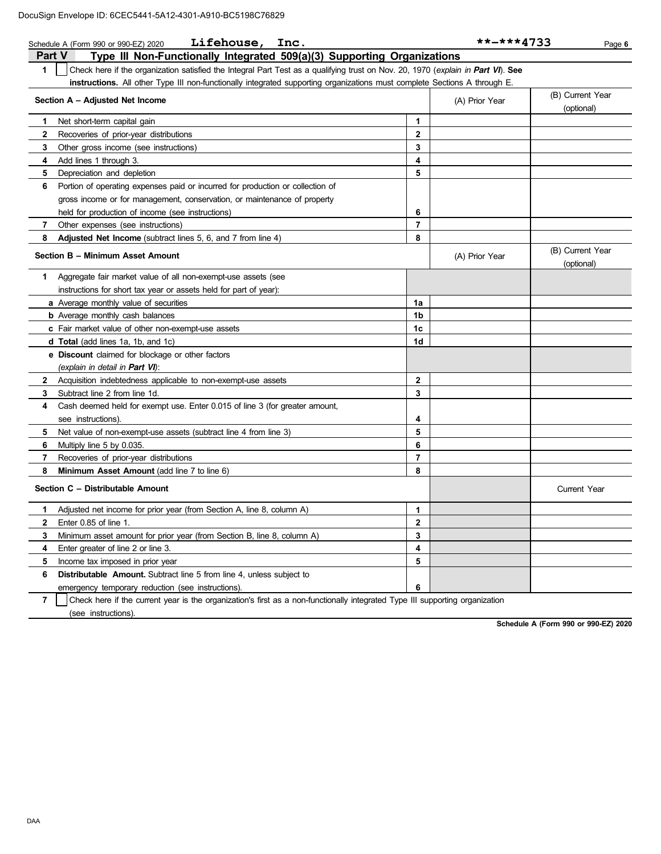|        | Lifehouse, Inc.<br>Schedule A (Form 990 or 990-EZ) 2020                                                                          |                         | **-***4733     | Page 6                         |
|--------|----------------------------------------------------------------------------------------------------------------------------------|-------------------------|----------------|--------------------------------|
| Part V | Type III Non-Functionally Integrated 509(a)(3) Supporting Organizations                                                          |                         |                |                                |
| 1.     | Check here if the organization satisfied the Integral Part Test as a qualifying trust on Nov. 20, 1970 (explain in Part VI). See |                         |                |                                |
|        | instructions. All other Type III non-functionally integrated supporting organizations must complete Sections A through E.        |                         |                |                                |
|        | Section A - Adjusted Net Income                                                                                                  |                         | (A) Prior Year | (B) Current Year<br>(optional) |
| 1.     | Net short-term capital gain                                                                                                      | 1                       |                |                                |
| 2      | Recoveries of prior-year distributions                                                                                           | $\mathbf{2}$            |                |                                |
| 3      | Other gross income (see instructions)                                                                                            | 3                       |                |                                |
| 4      | Add lines 1 through 3.                                                                                                           | 4                       |                |                                |
| 5      | Depreciation and depletion                                                                                                       | 5                       |                |                                |
| 6      | Portion of operating expenses paid or incurred for production or collection of                                                   |                         |                |                                |
|        | gross income or for management, conservation, or maintenance of property                                                         |                         |                |                                |
|        | held for production of income (see instructions)                                                                                 | 6                       |                |                                |
| 7      | Other expenses (see instructions)                                                                                                | 7                       |                |                                |
| 8      | <b>Adjusted Net Income</b> (subtract lines 5, 6, and 7 from line 4)                                                              | 8                       |                |                                |
|        | Section B - Minimum Asset Amount                                                                                                 |                         | (A) Prior Year | (B) Current Year<br>(optional) |
|        | 1 Aggregate fair market value of all non-exempt-use assets (see                                                                  |                         |                |                                |
|        | instructions for short tax year or assets held for part of year):                                                                |                         |                |                                |
|        | a Average monthly value of securities                                                                                            | 1a                      |                |                                |
|        | <b>b</b> Average monthly cash balances                                                                                           | 1b                      |                |                                |
|        | c Fair market value of other non-exempt-use assets                                                                               | 1c                      |                |                                |
|        | <b>d Total</b> (add lines 1a, 1b, and 1c)                                                                                        | 1d                      |                |                                |
|        | <b>e</b> Discount claimed for blockage or other factors                                                                          |                         |                |                                |
|        | (explain in detail in <b>Part VI</b> ):                                                                                          |                         |                |                                |
|        | 2 Acquisition indebtedness applicable to non-exempt-use assets                                                                   | $\mathbf{2}$            |                |                                |
| 3.     | Subtract line 2 from line 1d.                                                                                                    | 3                       |                |                                |
| 4      | Cash deemed held for exempt use. Enter 0.015 of line 3 (for greater amount,                                                      |                         |                |                                |
|        | see instructions).                                                                                                               | 4                       |                |                                |
| 5.     | Net value of non-exempt-use assets (subtract line 4 from line 3)                                                                 | 5                       |                |                                |
| 6      | Multiply line 5 by 0.035.                                                                                                        | 6                       |                |                                |
| 7      | Recoveries of prior-year distributions                                                                                           | $\overline{7}$          |                |                                |
| 8      | <b>Minimum Asset Amount (add line 7 to line 6)</b>                                                                               | 8                       |                |                                |
|        | Section C - Distributable Amount                                                                                                 |                         |                | Current Year                   |
| 1      | Adjusted net income for prior year (from Section A, line 8, column A)                                                            | 1                       |                |                                |
| 2      | Enter 0.85 of line 1.                                                                                                            | $\overline{\mathbf{2}}$ |                |                                |
| 3      | Minimum asset amount for prior year (from Section B, line 8, column A)                                                           | 3                       |                |                                |
| 4      | Enter greater of line 2 or line 3.                                                                                               | 4                       |                |                                |
| 5      | Income tax imposed in prior year                                                                                                 | 5                       |                |                                |
| 6      | <b>Distributable Amount.</b> Subtract line 5 from line 4, unless subject to                                                      |                         |                |                                |
|        | emergency temporary reduction (see instructions).                                                                                | 6                       |                |                                |
|        |                                                                                                                                  |                         |                |                                |

**7** Check here if the current year is the organization's first as a non-functionally integrated Type III supporting organization (see instructions).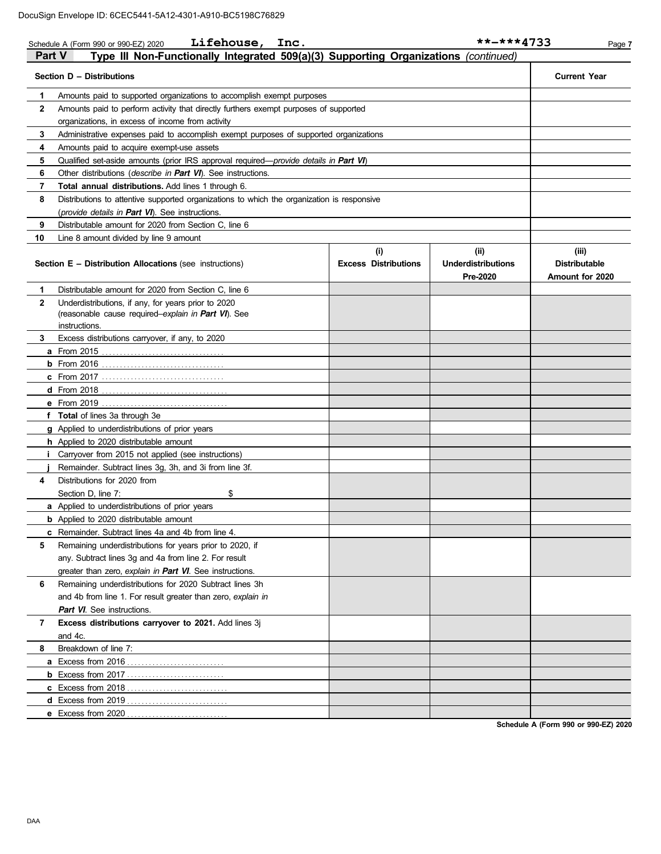|              | Lifehouse, Inc.<br>Schedule A (Form 990 or 990-EZ) 2020                                              |                             | **-***4733                            | Page 7                                  |
|--------------|------------------------------------------------------------------------------------------------------|-----------------------------|---------------------------------------|-----------------------------------------|
|              | Type III Non-Functionally Integrated 509(a)(3) Supporting Organizations (continued)<br><b>Part V</b> |                             |                                       |                                         |
|              | Section D - Distributions                                                                            |                             |                                       | <b>Current Year</b>                     |
| 1.           | Amounts paid to supported organizations to accomplish exempt purposes                                |                             |                                       |                                         |
| $\mathbf{2}$ | Amounts paid to perform activity that directly furthers exempt purposes of supported                 |                             |                                       |                                         |
|              | organizations, in excess of income from activity                                                     |                             |                                       |                                         |
| 3            | Administrative expenses paid to accomplish exempt purposes of supported organizations                |                             |                                       |                                         |
| 4            | Amounts paid to acquire exempt-use assets                                                            |                             |                                       |                                         |
| 5            | Qualified set-aside amounts (prior IRS approval required— <i>provide details in Part VI</i> )        |                             |                                       |                                         |
| 6            | Other distributions ( <i>describe in Part VI</i> ). See instructions.                                |                             |                                       |                                         |
| 7            | <b>Total annual distributions.</b> Add lines 1 through 6.                                            |                             |                                       |                                         |
| 8            | Distributions to attentive supported organizations to which the organization is responsive           |                             |                                       |                                         |
|              | ( <i>provide details in Part VI</i> ). See instructions.                                             |                             |                                       |                                         |
| 9            | Distributable amount for 2020 from Section C, line 6                                                 |                             |                                       |                                         |
| 10           | Line 8 amount divided by line 9 amount                                                               |                             |                                       |                                         |
|              |                                                                                                      | (i)                         | (ii)                                  | (iii)                                   |
|              | Section E - Distribution Allocations (see instructions)                                              | <b>Excess Distributions</b> | <b>Underdistributions</b><br>Pre-2020 | <b>Distributable</b><br>Amount for 2020 |
| 1.           | Distributable amount for 2020 from Section C. line 6                                                 |                             |                                       |                                         |
| $\mathbf{2}$ | Underdistributions, if any, for years prior to 2020                                                  |                             |                                       |                                         |
|              | (reasonable cause required-explain in Part VI). See                                                  |                             |                                       |                                         |
|              | instructions.                                                                                        |                             |                                       |                                         |
| 3            | Excess distributions carryover, if any, to 2020                                                      |                             |                                       |                                         |
|              |                                                                                                      |                             |                                       |                                         |
|              |                                                                                                      |                             |                                       |                                         |
|              |                                                                                                      |                             |                                       |                                         |
|              |                                                                                                      |                             |                                       |                                         |
|              |                                                                                                      |                             |                                       |                                         |
|              | f Total of lines 3a through 3e                                                                       |                             |                                       |                                         |
|              | g Applied to underdistributions of prior years                                                       |                             |                                       |                                         |
|              | h Applied to 2020 distributable amount                                                               |                             |                                       |                                         |
|              | <i>i</i> Carryover from 2015 not applied (see instructions)                                          |                             |                                       |                                         |
|              | Remainder. Subtract lines 3g, 3h, and 3i from line 3f.                                               |                             |                                       |                                         |
| 4            | Distributions for 2020 from                                                                          |                             |                                       |                                         |
|              | \$<br>Section D, line 7:                                                                             |                             |                                       |                                         |
|              | a Applied to underdistributions of prior years                                                       |                             |                                       |                                         |
|              | <b>b</b> Applied to 2020 distributable amount                                                        |                             |                                       |                                         |
|              | <b>c</b> Remainder. Subtract lines 4a and 4b from line 4.                                            |                             |                                       |                                         |
| 5            | Remaining underdistributions for years prior to 2020, if                                             |                             |                                       |                                         |
|              | any. Subtract lines 3g and 4a from line 2. For result                                                |                             |                                       |                                         |
|              | greater than zero, explain in Part VI. See instructions                                              |                             |                                       |                                         |
| 6            | Remaining underdistributions for 2020 Subtract lines 3h                                              |                             |                                       |                                         |
|              | and 4b from line 1. For result greater than zero, explain in                                         |                             |                                       |                                         |
|              | <b>Part VI</b> . See instructions.                                                                   |                             |                                       |                                         |
| 7            | Excess distributions carryover to 2021. Add lines 3j                                                 |                             |                                       |                                         |
|              | and 4c.                                                                                              |                             |                                       |                                         |
| 8            | Breakdown of line 7:                                                                                 |                             |                                       |                                         |
|              |                                                                                                      |                             |                                       |                                         |
|              |                                                                                                      |                             |                                       |                                         |
|              |                                                                                                      |                             |                                       |                                         |
|              |                                                                                                      |                             |                                       |                                         |
|              |                                                                                                      |                             |                                       |                                         |
|              |                                                                                                      |                             |                                       |                                         |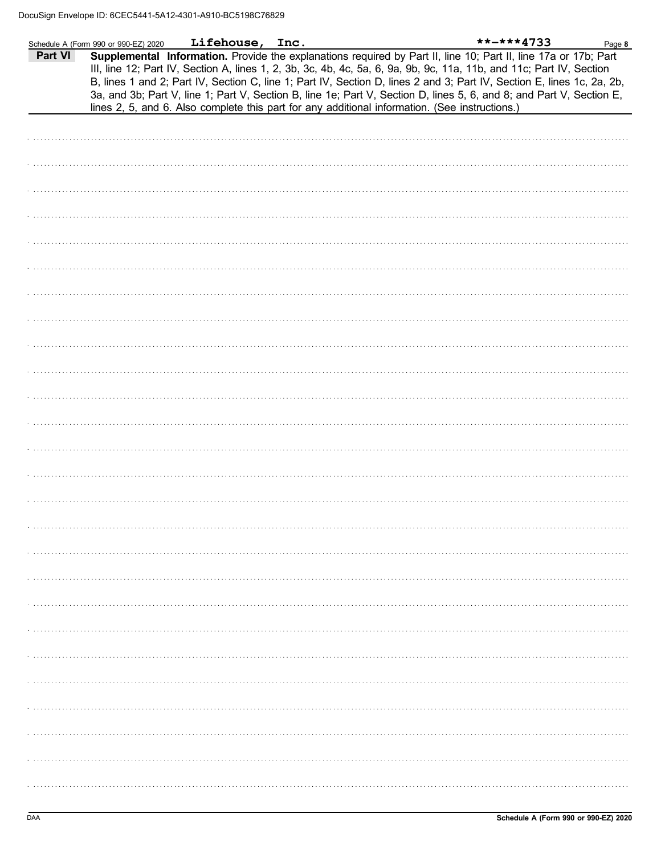|         | Schedule A (Form 990 or 990-EZ) 2020 | Lifehouse, Inc.                                                                                                                                                                                                                                                                                                                                                                                                                                                                                                                                                                             |  | **-***4733 | Page 8 |
|---------|--------------------------------------|---------------------------------------------------------------------------------------------------------------------------------------------------------------------------------------------------------------------------------------------------------------------------------------------------------------------------------------------------------------------------------------------------------------------------------------------------------------------------------------------------------------------------------------------------------------------------------------------|--|------------|--------|
| Part VI |                                      | Supplemental Information. Provide the explanations required by Part II, line 10; Part II, line 17a or 17b; Part<br>III, line 12; Part IV, Section A, lines 1, 2, 3b, 3c, 4b, 4c, 5a, 6, 9a, 9b, 9c, 11a, 11b, and 11c; Part IV, Section<br>B, lines 1 and 2; Part IV, Section C, line 1; Part IV, Section D, lines 2 and 3; Part IV, Section E, lines 1c, 2a, 2b,<br>3a, and 3b; Part V, line 1; Part V, Section B, line 1e; Part V, Section D, lines 5, 6, and 8; and Part V, Section E,<br>lines 2, 5, and 6. Also complete this part for any additional information. (See instructions.) |  |            |        |
|         |                                      |                                                                                                                                                                                                                                                                                                                                                                                                                                                                                                                                                                                             |  |            |        |
|         |                                      |                                                                                                                                                                                                                                                                                                                                                                                                                                                                                                                                                                                             |  |            |        |
|         |                                      |                                                                                                                                                                                                                                                                                                                                                                                                                                                                                                                                                                                             |  |            |        |
|         |                                      |                                                                                                                                                                                                                                                                                                                                                                                                                                                                                                                                                                                             |  |            |        |
|         |                                      |                                                                                                                                                                                                                                                                                                                                                                                                                                                                                                                                                                                             |  |            |        |
|         |                                      |                                                                                                                                                                                                                                                                                                                                                                                                                                                                                                                                                                                             |  |            |        |
|         |                                      |                                                                                                                                                                                                                                                                                                                                                                                                                                                                                                                                                                                             |  |            |        |
|         |                                      |                                                                                                                                                                                                                                                                                                                                                                                                                                                                                                                                                                                             |  |            |        |
|         |                                      |                                                                                                                                                                                                                                                                                                                                                                                                                                                                                                                                                                                             |  |            |        |
|         |                                      |                                                                                                                                                                                                                                                                                                                                                                                                                                                                                                                                                                                             |  |            |        |
|         |                                      |                                                                                                                                                                                                                                                                                                                                                                                                                                                                                                                                                                                             |  |            |        |
|         |                                      |                                                                                                                                                                                                                                                                                                                                                                                                                                                                                                                                                                                             |  |            |        |
|         |                                      |                                                                                                                                                                                                                                                                                                                                                                                                                                                                                                                                                                                             |  |            |        |
|         |                                      |                                                                                                                                                                                                                                                                                                                                                                                                                                                                                                                                                                                             |  |            |        |
|         |                                      |                                                                                                                                                                                                                                                                                                                                                                                                                                                                                                                                                                                             |  |            |        |
|         |                                      |                                                                                                                                                                                                                                                                                                                                                                                                                                                                                                                                                                                             |  |            |        |
|         |                                      |                                                                                                                                                                                                                                                                                                                                                                                                                                                                                                                                                                                             |  |            |        |
|         |                                      |                                                                                                                                                                                                                                                                                                                                                                                                                                                                                                                                                                                             |  |            |        |
|         |                                      |                                                                                                                                                                                                                                                                                                                                                                                                                                                                                                                                                                                             |  |            |        |
|         |                                      |                                                                                                                                                                                                                                                                                                                                                                                                                                                                                                                                                                                             |  |            |        |
|         |                                      |                                                                                                                                                                                                                                                                                                                                                                                                                                                                                                                                                                                             |  |            |        |
|         |                                      |                                                                                                                                                                                                                                                                                                                                                                                                                                                                                                                                                                                             |  |            |        |
|         |                                      |                                                                                                                                                                                                                                                                                                                                                                                                                                                                                                                                                                                             |  |            |        |
|         |                                      |                                                                                                                                                                                                                                                                                                                                                                                                                                                                                                                                                                                             |  |            |        |
|         |                                      |                                                                                                                                                                                                                                                                                                                                                                                                                                                                                                                                                                                             |  |            |        |
|         |                                      |                                                                                                                                                                                                                                                                                                                                                                                                                                                                                                                                                                                             |  |            |        |
|         |                                      |                                                                                                                                                                                                                                                                                                                                                                                                                                                                                                                                                                                             |  |            |        |
|         |                                      |                                                                                                                                                                                                                                                                                                                                                                                                                                                                                                                                                                                             |  |            |        |
|         |                                      |                                                                                                                                                                                                                                                                                                                                                                                                                                                                                                                                                                                             |  |            |        |
|         |                                      |                                                                                                                                                                                                                                                                                                                                                                                                                                                                                                                                                                                             |  |            |        |
|         |                                      |                                                                                                                                                                                                                                                                                                                                                                                                                                                                                                                                                                                             |  |            |        |
|         |                                      |                                                                                                                                                                                                                                                                                                                                                                                                                                                                                                                                                                                             |  |            |        |
|         |                                      |                                                                                                                                                                                                                                                                                                                                                                                                                                                                                                                                                                                             |  |            |        |
|         |                                      |                                                                                                                                                                                                                                                                                                                                                                                                                                                                                                                                                                                             |  |            |        |
|         |                                      |                                                                                                                                                                                                                                                                                                                                                                                                                                                                                                                                                                                             |  |            |        |
|         |                                      |                                                                                                                                                                                                                                                                                                                                                                                                                                                                                                                                                                                             |  |            |        |
|         |                                      |                                                                                                                                                                                                                                                                                                                                                                                                                                                                                                                                                                                             |  |            |        |
|         |                                      |                                                                                                                                                                                                                                                                                                                                                                                                                                                                                                                                                                                             |  |            |        |
|         |                                      |                                                                                                                                                                                                                                                                                                                                                                                                                                                                                                                                                                                             |  |            |        |
|         |                                      |                                                                                                                                                                                                                                                                                                                                                                                                                                                                                                                                                                                             |  |            |        |
|         |                                      |                                                                                                                                                                                                                                                                                                                                                                                                                                                                                                                                                                                             |  |            |        |
|         |                                      |                                                                                                                                                                                                                                                                                                                                                                                                                                                                                                                                                                                             |  |            |        |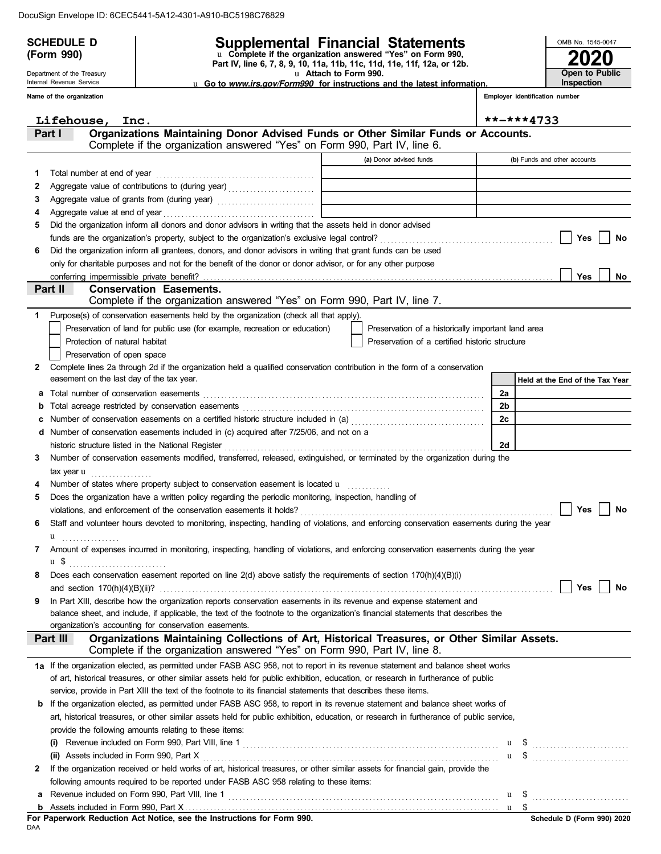|   | <b>Supplemental Financial Statements</b><br><b>SCHEDULE D</b><br>u Complete if the organization answered "Yes" on Form 990,<br>(Form 990)<br>Part IV, line 6, 7, 8, 9, 10, 11a, 11b, 11c, 11d, 11e, 11f, 12a, or 12b. |                                                                                                                                                                                                                                                          |                       |                                                    |            | OMB No. 1545-0047               |  |  |
|---|-----------------------------------------------------------------------------------------------------------------------------------------------------------------------------------------------------------------------|----------------------------------------------------------------------------------------------------------------------------------------------------------------------------------------------------------------------------------------------------------|-----------------------|----------------------------------------------------|------------|---------------------------------|--|--|
|   | Department of the Treasury                                                                                                                                                                                            |                                                                                                                                                                                                                                                          | u Attach to Form 990. |                                                    |            | Open to Public                  |  |  |
|   | Internal Revenue Service                                                                                                                                                                                              | u Go to www.irs.gov/Form990 for instructions and the latest information.                                                                                                                                                                                 |                       |                                                    | Inspection |                                 |  |  |
|   | Name of the organization                                                                                                                                                                                              |                                                                                                                                                                                                                                                          |                       |                                                    |            | Employer identification number  |  |  |
|   | <b>Lifehouse,</b><br>Inc.                                                                                                                                                                                             |                                                                                                                                                                                                                                                          |                       |                                                    |            | **-***4733                      |  |  |
|   | Part I                                                                                                                                                                                                                | Organizations Maintaining Donor Advised Funds or Other Similar Funds or Accounts.                                                                                                                                                                        |                       |                                                    |            |                                 |  |  |
|   |                                                                                                                                                                                                                       | Complete if the organization answered "Yes" on Form 990, Part IV, line 6.                                                                                                                                                                                |                       |                                                    |            |                                 |  |  |
|   |                                                                                                                                                                                                                       |                                                                                                                                                                                                                                                          |                       | (a) Donor advised funds                            |            | (b) Funds and other accounts    |  |  |
| 1 | Total number at end of year                                                                                                                                                                                           |                                                                                                                                                                                                                                                          |                       |                                                    |            |                                 |  |  |
| 2 |                                                                                                                                                                                                                       |                                                                                                                                                                                                                                                          |                       |                                                    |            |                                 |  |  |
| 3 |                                                                                                                                                                                                                       | Aggregate value of grants from (during year)                                                                                                                                                                                                             |                       |                                                    |            |                                 |  |  |
| 4 |                                                                                                                                                                                                                       |                                                                                                                                                                                                                                                          |                       |                                                    |            |                                 |  |  |
| 5 |                                                                                                                                                                                                                       | Did the organization inform all donors and donor advisors in writing that the assets held in donor advised                                                                                                                                               |                       |                                                    |            | No                              |  |  |
| 6 |                                                                                                                                                                                                                       | Did the organization inform all grantees, donors, and donor advisors in writing that grant funds can be used                                                                                                                                             |                       |                                                    |            | Yes                             |  |  |
|   |                                                                                                                                                                                                                       | only for charitable purposes and not for the benefit of the donor or donor advisor, or for any other purpose                                                                                                                                             |                       |                                                    |            |                                 |  |  |
|   | conferring impermissible private benefit?                                                                                                                                                                             |                                                                                                                                                                                                                                                          |                       |                                                    |            | <b>Yes</b><br>No                |  |  |
|   | Part II                                                                                                                                                                                                               | <b>Conservation Easements.</b>                                                                                                                                                                                                                           |                       |                                                    |            |                                 |  |  |
|   |                                                                                                                                                                                                                       | Complete if the organization answered "Yes" on Form 990, Part IV, line 7.                                                                                                                                                                                |                       |                                                    |            |                                 |  |  |
| 1 |                                                                                                                                                                                                                       | Purpose(s) of conservation easements held by the organization (check all that apply).                                                                                                                                                                    |                       |                                                    |            |                                 |  |  |
|   |                                                                                                                                                                                                                       | Preservation of land for public use (for example, recreation or education)                                                                                                                                                                               |                       | Preservation of a historically important land area |            |                                 |  |  |
|   | Protection of natural habitat                                                                                                                                                                                         |                                                                                                                                                                                                                                                          |                       | Preservation of a certified historic structure     |            |                                 |  |  |
|   | Preservation of open space                                                                                                                                                                                            |                                                                                                                                                                                                                                                          |                       |                                                    |            |                                 |  |  |
| 2 |                                                                                                                                                                                                                       | Complete lines 2a through 2d if the organization held a qualified conservation contribution in the form of a conservation                                                                                                                                |                       |                                                    |            |                                 |  |  |
|   | easement on the last day of the tax year.                                                                                                                                                                             |                                                                                                                                                                                                                                                          |                       |                                                    |            | Held at the End of the Tax Year |  |  |
| a |                                                                                                                                                                                                                       |                                                                                                                                                                                                                                                          |                       |                                                    | 2a         |                                 |  |  |
| b |                                                                                                                                                                                                                       |                                                                                                                                                                                                                                                          |                       |                                                    | 2b         |                                 |  |  |
| c |                                                                                                                                                                                                                       |                                                                                                                                                                                                                                                          |                       |                                                    | 2c         |                                 |  |  |
| d |                                                                                                                                                                                                                       | Number of conservation easements included in (c) acquired after 7/25/06, and not on a<br>historic structure listed in the National Register                                                                                                              |                       |                                                    | 2d         |                                 |  |  |
| 3 |                                                                                                                                                                                                                       | Number of conservation easements modified, transferred, released, extinguished, or terminated by the organization during the                                                                                                                             |                       |                                                    |            |                                 |  |  |
|   | tax year u                                                                                                                                                                                                            |                                                                                                                                                                                                                                                          |                       |                                                    |            |                                 |  |  |
| 4 | .                                                                                                                                                                                                                     | Number of states where property subject to conservation easement is located u                                                                                                                                                                            |                       |                                                    |            |                                 |  |  |
| 5 |                                                                                                                                                                                                                       | Does the organization have a written policy regarding the periodic monitoring, inspection, handling of                                                                                                                                                   |                       |                                                    |            |                                 |  |  |
|   |                                                                                                                                                                                                                       | violations, and enforcement of the conservation easements it holds?                                                                                                                                                                                      |                       |                                                    |            | No<br>Yes                       |  |  |
| 6 |                                                                                                                                                                                                                       | Staff and volunteer hours devoted to monitoring, inspecting, handling of violations, and enforcing conservation easements during the year                                                                                                                |                       |                                                    |            |                                 |  |  |
|   | u<br>.                                                                                                                                                                                                                |                                                                                                                                                                                                                                                          |                       |                                                    |            |                                 |  |  |
| 7 |                                                                                                                                                                                                                       | Amount of expenses incurred in monitoring, inspecting, handling of violations, and enforcing conservation easements during the year                                                                                                                      |                       |                                                    |            |                                 |  |  |
|   |                                                                                                                                                                                                                       |                                                                                                                                                                                                                                                          |                       |                                                    |            |                                 |  |  |
| 8 |                                                                                                                                                                                                                       | Does each conservation easement reported on line 2(d) above satisfy the requirements of section 170(h)(4)(B)(i)                                                                                                                                          |                       |                                                    |            |                                 |  |  |
|   |                                                                                                                                                                                                                       |                                                                                                                                                                                                                                                          |                       |                                                    |            | Yes<br>No                       |  |  |
| 9 |                                                                                                                                                                                                                       | In Part XIII, describe how the organization reports conservation easements in its revenue and expense statement and<br>balance sheet, and include, if applicable, the text of the footnote to the organization's financial statements that describes the |                       |                                                    |            |                                 |  |  |
|   |                                                                                                                                                                                                                       | organization's accounting for conservation easements.                                                                                                                                                                                                    |                       |                                                    |            |                                 |  |  |
|   | Part III                                                                                                                                                                                                              | Organizations Maintaining Collections of Art, Historical Treasures, or Other Similar Assets.<br>Complete if the organization answered "Yes" on Form 990, Part IV, line 8.                                                                                |                       |                                                    |            |                                 |  |  |
|   |                                                                                                                                                                                                                       | 1a If the organization elected, as permitted under FASB ASC 958, not to report in its revenue statement and balance sheet works                                                                                                                          |                       |                                                    |            |                                 |  |  |
|   |                                                                                                                                                                                                                       | of art, historical treasures, or other similar assets held for public exhibition, education, or research in furtherance of public                                                                                                                        |                       |                                                    |            |                                 |  |  |
|   |                                                                                                                                                                                                                       | service, provide in Part XIII the text of the footnote to its financial statements that describes these items.                                                                                                                                           |                       |                                                    |            |                                 |  |  |
| b |                                                                                                                                                                                                                       | If the organization elected, as permitted under FASB ASC 958, to report in its revenue statement and balance sheet works of                                                                                                                              |                       |                                                    |            |                                 |  |  |
|   |                                                                                                                                                                                                                       | art, historical treasures, or other similar assets held for public exhibition, education, or research in furtherance of public service,                                                                                                                  |                       |                                                    |            |                                 |  |  |
|   |                                                                                                                                                                                                                       | provide the following amounts relating to these items:                                                                                                                                                                                                   |                       |                                                    |            |                                 |  |  |
|   | (i)                                                                                                                                                                                                                   |                                                                                                                                                                                                                                                          |                       |                                                    |            |                                 |  |  |
|   | (ii) Assets included in Form 990, Part X                                                                                                                                                                              |                                                                                                                                                                                                                                                          |                       |                                                    |            |                                 |  |  |
| 2 |                                                                                                                                                                                                                       | If the organization received or held works of art, historical treasures, or other similar assets for financial gain, provide the                                                                                                                         |                       |                                                    |            |                                 |  |  |
|   |                                                                                                                                                                                                                       | following amounts required to be reported under FASB ASC 958 relating to these items:                                                                                                                                                                    |                       |                                                    |            |                                 |  |  |
| а |                                                                                                                                                                                                                       |                                                                                                                                                                                                                                                          |                       |                                                    |            |                                 |  |  |
| b |                                                                                                                                                                                                                       | For Paperwork Reduction Act Notice, see the Instructions for Form 990.                                                                                                                                                                                   |                       |                                                    |            | Schedule D (Form 990) 2020      |  |  |

**FUT**<br>DAA **For Paperwork Reduction Act Notice, see the Instructions for Form 990.**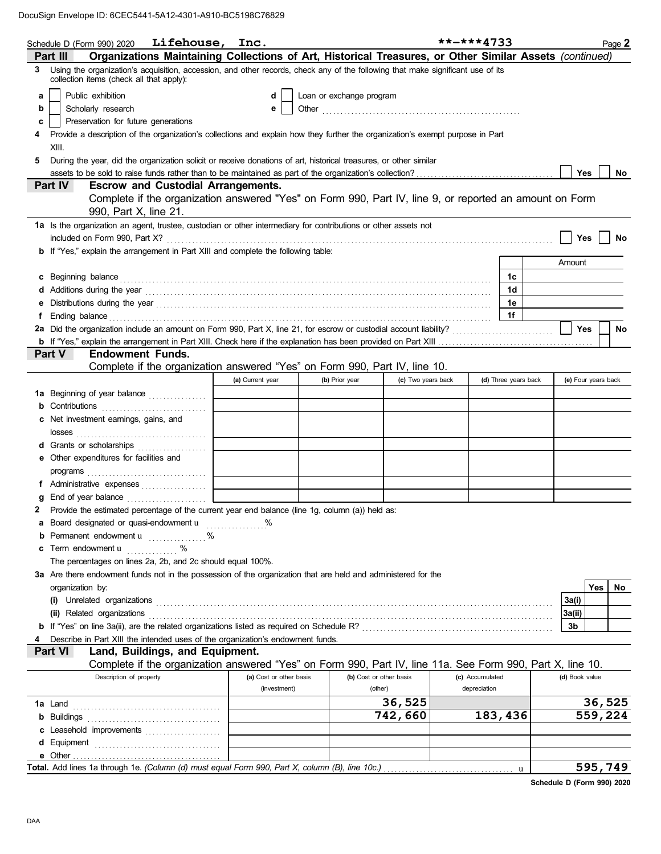|    | Schedule D (Form 990) 2020 Lifehouse, Inc.                                                                                                                                                                                          |                                         |                          |                                    | **-***4733                      |                      |                | Page 2              |
|----|-------------------------------------------------------------------------------------------------------------------------------------------------------------------------------------------------------------------------------------|-----------------------------------------|--------------------------|------------------------------------|---------------------------------|----------------------|----------------|---------------------|
|    | Organizations Maintaining Collections of Art, Historical Treasures, or Other Similar Assets (continued)<br>Part III                                                                                                                 |                                         |                          |                                    |                                 |                      |                |                     |
| 3. | Using the organization's acquisition, accession, and other records, check any of the following that make significant use of its<br>collection items (check all that apply):                                                         |                                         |                          |                                    |                                 |                      |                |                     |
| a  | Public exhibition                                                                                                                                                                                                                   | d                                       | Loan or exchange program |                                    |                                 |                      |                |                     |
| b  | Scholarly research                                                                                                                                                                                                                  | е                                       |                          |                                    |                                 |                      |                |                     |
| c  | Preservation for future generations                                                                                                                                                                                                 |                                         |                          |                                    |                                 |                      |                |                     |
|    | Provide a description of the organization's collections and explain how they further the organization's exempt purpose in Part                                                                                                      |                                         |                          |                                    |                                 |                      |                |                     |
|    | XIII.                                                                                                                                                                                                                               |                                         |                          |                                    |                                 |                      |                |                     |
| 5  | During the year, did the organization solicit or receive donations of art, historical treasures, or other similar                                                                                                                   |                                         |                          |                                    |                                 |                      |                |                     |
|    |                                                                                                                                                                                                                                     |                                         |                          |                                    |                                 |                      | Yes            | No                  |
|    | Part IV<br><b>Escrow and Custodial Arrangements.</b>                                                                                                                                                                                |                                         |                          |                                    |                                 |                      |                |                     |
|    | Complete if the organization answered "Yes" on Form 990, Part IV, line 9, or reported an amount on Form                                                                                                                             |                                         |                          |                                    |                                 |                      |                |                     |
|    | 990, Part X, line 21.                                                                                                                                                                                                               |                                         |                          |                                    |                                 |                      |                |                     |
|    | 1a Is the organization an agent, trustee, custodian or other intermediary for contributions or other assets not                                                                                                                     |                                         |                          |                                    |                                 |                      |                |                     |
|    |                                                                                                                                                                                                                                     |                                         |                          |                                    |                                 |                      | Yes            | No                  |
|    | <b>b</b> If "Yes," explain the arrangement in Part XIII and complete the following table:                                                                                                                                           |                                         |                          |                                    |                                 |                      |                |                     |
|    |                                                                                                                                                                                                                                     |                                         |                          |                                    |                                 |                      | Amount         |                     |
| c  | Beginning balance continuum continuum continuum continuum continuum continuum continuum continuum continuum continuum continuum continuum continuum continuum continuum continuum continuum continuum continuum continuum cont      |                                         |                          |                                    |                                 | 1с                   |                |                     |
|    |                                                                                                                                                                                                                                     |                                         |                          |                                    |                                 | 1 <sub>d</sub>       |                |                     |
|    |                                                                                                                                                                                                                                     |                                         |                          |                                    |                                 | 1e                   |                |                     |
|    |                                                                                                                                                                                                                                     |                                         |                          |                                    |                                 | 1f                   |                |                     |
|    |                                                                                                                                                                                                                                     |                                         |                          |                                    |                                 |                      | Yes            | No                  |
|    |                                                                                                                                                                                                                                     |                                         |                          |                                    |                                 |                      |                |                     |
|    | <b>Endowment Funds.</b><br><b>Part V</b>                                                                                                                                                                                            |                                         |                          |                                    |                                 |                      |                |                     |
|    | Complete if the organization answered "Yes" on Form 990, Part IV, line 10.                                                                                                                                                          |                                         |                          |                                    |                                 |                      |                |                     |
|    |                                                                                                                                                                                                                                     | (a) Current year                        | (b) Prior year           | (c) Two years back                 |                                 | (d) Three years back |                | (e) Four years back |
|    |                                                                                                                                                                                                                                     |                                         |                          |                                    |                                 |                      |                |                     |
|    |                                                                                                                                                                                                                                     |                                         |                          |                                    |                                 |                      |                |                     |
|    | c Net investment earnings, gains, and                                                                                                                                                                                               |                                         |                          |                                    |                                 |                      |                |                     |
|    |                                                                                                                                                                                                                                     |                                         |                          |                                    |                                 |                      |                |                     |
|    | d Grants or scholarships                                                                                                                                                                                                            |                                         |                          |                                    |                                 |                      |                |                     |
|    | Other expenditures for facilities and                                                                                                                                                                                               |                                         |                          |                                    |                                 |                      |                |                     |
|    |                                                                                                                                                                                                                                     |                                         |                          |                                    |                                 |                      |                |                     |
|    | f Administrative expenses                                                                                                                                                                                                           |                                         |                          |                                    |                                 |                      |                |                     |
|    |                                                                                                                                                                                                                                     |                                         |                          |                                    |                                 |                      |                |                     |
|    | Provide the estimated percentage of the current year end balance (line 1g, column (a)) held as:                                                                                                                                     |                                         |                          |                                    |                                 |                      |                |                     |
|    | <b>a</b> Board designated or quasi-endowment u                                                                                                                                                                                      |                                         |                          |                                    |                                 |                      |                |                     |
|    | <b>b</b> Permanent endowment u  %                                                                                                                                                                                                   |                                         |                          |                                    |                                 |                      |                |                     |
| c  | $\cdots$<br>Term endowment u                                                                                                                                                                                                        |                                         |                          |                                    |                                 |                      |                |                     |
|    | The percentages on lines 2a, 2b, and 2c should equal 100%.                                                                                                                                                                          |                                         |                          |                                    |                                 |                      |                |                     |
|    | 3a Are there endowment funds not in the possession of the organization that are held and administered for the                                                                                                                       |                                         |                          |                                    |                                 |                      |                |                     |
|    | organization by:                                                                                                                                                                                                                    |                                         |                          |                                    |                                 |                      |                | <b>Yes</b><br>No    |
|    | (i) Unrelated organizations <b>contracts</b> and contracts are contracted as the contract of the contract of the contract or contract or contract or contract or contract or contract or contract or contract or contract or contra |                                         |                          |                                    |                                 |                      | 3a(i)          |                     |
|    | (ii) Related organizations entertainment and all the contract of the contract of the contract of the contract of the contract of the contract of the contract of the contract of the contract of the contract of the contract       |                                         |                          |                                    |                                 |                      | 3a(ii)         |                     |
|    |                                                                                                                                                                                                                                     |                                         |                          |                                    |                                 |                      | 3b             |                     |
|    | Describe in Part XIII the intended uses of the organization's endowment funds.                                                                                                                                                      |                                         |                          |                                    |                                 |                      |                |                     |
|    | Land, Buildings, and Equipment.<br><b>Part VI</b>                                                                                                                                                                                   |                                         |                          |                                    |                                 |                      |                |                     |
|    | Complete if the organization answered "Yes" on Form 990, Part IV, line 11a. See Form 990, Part X, line 10.                                                                                                                          |                                         |                          |                                    |                                 |                      |                |                     |
|    | Description of property                                                                                                                                                                                                             | (a) Cost or other basis<br>(investment) |                          | (b) Cost or other basis<br>(other) | (c) Accumulated<br>depreciation |                      | (d) Book value |                     |
|    |                                                                                                                                                                                                                                     |                                         |                          | 36,525                             |                                 |                      |                | 36,525              |
|    |                                                                                                                                                                                                                                     |                                         |                          | 742,660                            |                                 | 183,436              |                | 559,224             |
|    |                                                                                                                                                                                                                                     |                                         |                          |                                    |                                 |                      |                |                     |
|    | c Leasehold improvements                                                                                                                                                                                                            |                                         |                          |                                    |                                 |                      |                |                     |
|    |                                                                                                                                                                                                                                     |                                         |                          |                                    |                                 |                      |                |                     |
|    | Total. Add lines 1a through 1e. (Column (d) must equal Form 990, Part X, column (B), line 10c.)                                                                                                                                     |                                         |                          |                                    |                                 |                      |                | 595,749             |
|    |                                                                                                                                                                                                                                     |                                         |                          |                                    |                                 | u                    |                |                     |

**Schedule D (Form 990) 2020**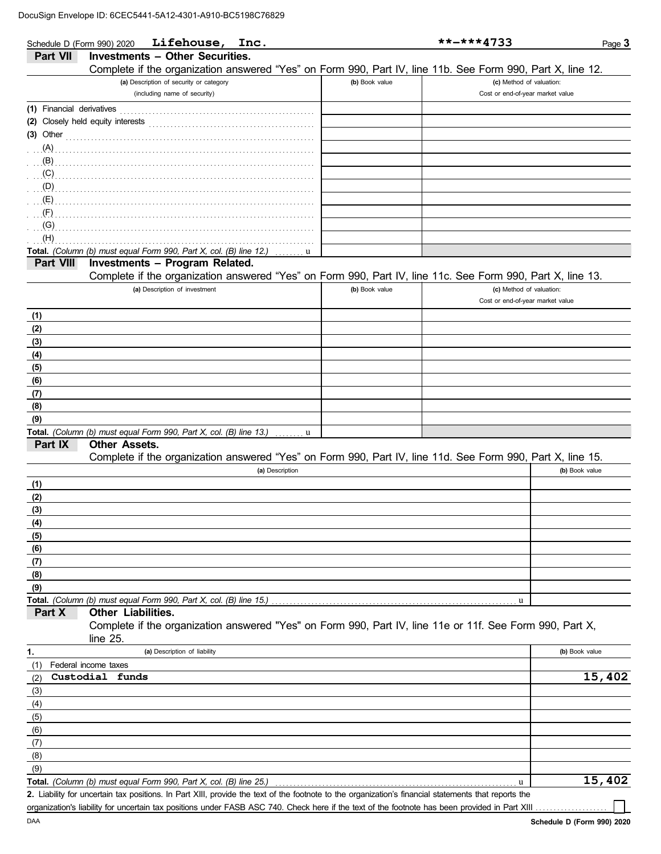| Schedule D (Form 990) 2020 | Lifehouse, Inc.                                                                                                                                                                                                                     |                | **-***4733                       | Page 3         |
|----------------------------|-------------------------------------------------------------------------------------------------------------------------------------------------------------------------------------------------------------------------------------|----------------|----------------------------------|----------------|
| <b>Part VII</b>            | <b>Investments - Other Securities.</b>                                                                                                                                                                                              |                |                                  |                |
|                            | Complete if the organization answered "Yes" on Form 990, Part IV, line 11b. See Form 990, Part X, line 12.                                                                                                                          |                |                                  |                |
|                            | (a) Description of security or category                                                                                                                                                                                             | (b) Book value | (c) Method of valuation:         |                |
|                            | (including name of security)                                                                                                                                                                                                        |                | Cost or end-of-year market value |                |
| (1) Financial derivatives  |                                                                                                                                                                                                                                     |                |                                  |                |
|                            |                                                                                                                                                                                                                                     |                |                                  |                |
| $(3)$ Other                |                                                                                                                                                                                                                                     |                |                                  |                |
| (A)                        |                                                                                                                                                                                                                                     |                |                                  |                |
| (B)                        |                                                                                                                                                                                                                                     |                |                                  |                |
|                            | (C)                                                                                                                                                                                                                                 |                |                                  |                |
|                            |                                                                                                                                                                                                                                     |                |                                  |                |
|                            | $\overline{E}$ (E) and the contract of the contract of the contract of the contract of the contract of the contract of the contract of the contract of the contract of the contract of the contract of the contract of the contract |                |                                  |                |
| (F)                        |                                                                                                                                                                                                                                     |                |                                  |                |
|                            |                                                                                                                                                                                                                                     |                |                                  |                |
| (H)                        |                                                                                                                                                                                                                                     |                |                                  |                |
|                            | Total. (Column (b) must equal Form 990, Part X, col. (B) line 12.)<br>u                                                                                                                                                             |                |                                  |                |
| Part VIII                  | Investments - Program Related.                                                                                                                                                                                                      |                |                                  |                |
|                            | Complete if the organization answered "Yes" on Form 990, Part IV, line 11c. See Form 990, Part X, line 13.                                                                                                                          |                |                                  |                |
|                            | (a) Description of investment                                                                                                                                                                                                       | (b) Book value | (c) Method of valuation:         |                |
|                            |                                                                                                                                                                                                                                     |                | Cost or end-of-year market value |                |
| (1)                        |                                                                                                                                                                                                                                     |                |                                  |                |
| (2)                        |                                                                                                                                                                                                                                     |                |                                  |                |
| (3)                        |                                                                                                                                                                                                                                     |                |                                  |                |
| (4)                        |                                                                                                                                                                                                                                     |                |                                  |                |
| (5)                        |                                                                                                                                                                                                                                     |                |                                  |                |
| (6)                        |                                                                                                                                                                                                                                     |                |                                  |                |
| (7)                        |                                                                                                                                                                                                                                     |                |                                  |                |
| (8)                        |                                                                                                                                                                                                                                     |                |                                  |                |
| (9)                        |                                                                                                                                                                                                                                     |                |                                  |                |
|                            | Total. (Column (b) must equal Form 990, Part X, col. (B) line 13.)<br>u                                                                                                                                                             |                |                                  |                |
| Part IX                    | <b>Other Assets.</b>                                                                                                                                                                                                                |                |                                  |                |
|                            | Complete if the organization answered "Yes" on Form 990, Part IV, line 11d. See Form 990, Part X, line 15.                                                                                                                          |                |                                  |                |
|                            | (a) Description                                                                                                                                                                                                                     |                |                                  | (b) Book value |
| (1)                        |                                                                                                                                                                                                                                     |                |                                  |                |
| (2)                        |                                                                                                                                                                                                                                     |                |                                  |                |
| (3)                        |                                                                                                                                                                                                                                     |                |                                  |                |
| (4)                        |                                                                                                                                                                                                                                     |                |                                  |                |
| (5)                        |                                                                                                                                                                                                                                     |                |                                  |                |
| (6)                        |                                                                                                                                                                                                                                     |                |                                  |                |
| (7)                        |                                                                                                                                                                                                                                     |                |                                  |                |
| (8)                        |                                                                                                                                                                                                                                     |                |                                  |                |
| (9)                        |                                                                                                                                                                                                                                     |                |                                  |                |
|                            | Total. (Column (b) must equal Form 990, Part X, col. (B) line 15.)                                                                                                                                                                  |                | u                                |                |
| Part X                     | <b>Other Liabilities.</b>                                                                                                                                                                                                           |                |                                  |                |
|                            | Complete if the organization answered "Yes" on Form 990, Part IV, line 11e or 11f. See Form 990, Part X,                                                                                                                            |                |                                  |                |
|                            | line 25.                                                                                                                                                                                                                            |                |                                  |                |
| 1.                         | (a) Description of liability                                                                                                                                                                                                        |                |                                  | (b) Book value |
| (1)                        | Federal income taxes                                                                                                                                                                                                                |                |                                  |                |
| (2)                        | Custodial funds                                                                                                                                                                                                                     |                |                                  | 15,402         |
| (3)                        |                                                                                                                                                                                                                                     |                |                                  |                |
| (4)                        |                                                                                                                                                                                                                                     |                |                                  |                |
| (5)                        |                                                                                                                                                                                                                                     |                |                                  |                |
| (6)                        |                                                                                                                                                                                                                                     |                |                                  |                |
| (7)                        |                                                                                                                                                                                                                                     |                |                                  |                |
| (8)                        |                                                                                                                                                                                                                                     |                |                                  |                |
| (9)                        |                                                                                                                                                                                                                                     |                |                                  |                |
|                            | Total. (Column (b) must equal Form 990, Part X, col. (B) line 25.)                                                                                                                                                                  |                | u                                | 15,402         |
|                            | 2. Liability for uncertain tax positions. In Part XIII, provide the text of the footnote to the organization's financial statements that reports the                                                                                |                |                                  |                |
|                            | organization's liability for uncertain tax positions under FASB ASC 740. Check here if the text of the footnote has been provided in Part XIII                                                                                      |                |                                  |                |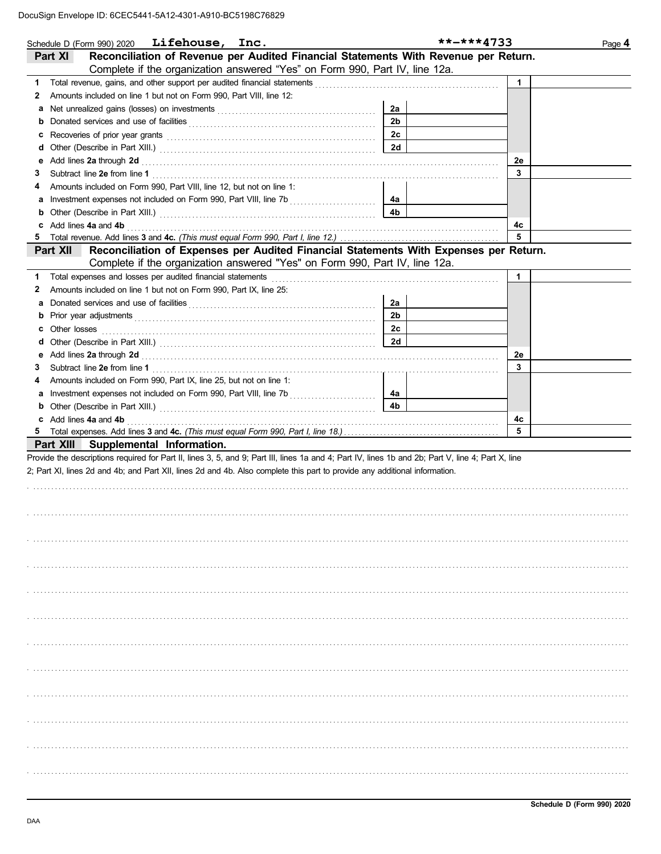|             | Schedule D (Form 990) 2020 Lifehouse, Inc.                                                                                                                                                                                    |                | **-***4733 | Page 4 |
|-------------|-------------------------------------------------------------------------------------------------------------------------------------------------------------------------------------------------------------------------------|----------------|------------|--------|
|             | Reconciliation of Revenue per Audited Financial Statements With Revenue per Return.<br>Part XI                                                                                                                                |                |            |        |
|             | Complete if the organization answered "Yes" on Form 990, Part IV, line 12a.                                                                                                                                                   |                |            |        |
| 1.          |                                                                                                                                                                                                                               |                | 1          |        |
| 2           | Amounts included on line 1 but not on Form 990, Part VIII, line 12:                                                                                                                                                           |                |            |        |
| а           | Net unrealized gains (losses) on investments [11] [11] Met unrealised by the set of the set of the set of the s                                                                                                               | 2a             |            |        |
| $\mathbf b$ | Donated services and use of facilities <b>constants and the service of the service of facilities</b>                                                                                                                          | 2 <sub>b</sub> |            |        |
| c           |                                                                                                                                                                                                                               | 2 <sub>c</sub> |            |        |
| d           |                                                                                                                                                                                                                               | 2d             |            |        |
| е           |                                                                                                                                                                                                                               |                | 2e         |        |
| З           |                                                                                                                                                                                                                               |                | 3          |        |
|             | Amounts included on Form 990, Part VIII, line 12, but not on line 1:                                                                                                                                                          |                |            |        |
| а           |                                                                                                                                                                                                                               | 4a             |            |        |
| b           |                                                                                                                                                                                                                               | 4 <sub>b</sub> |            |        |
|             | Add lines 4a and 4b                                                                                                                                                                                                           |                | 4c         |        |
| 5           |                                                                                                                                                                                                                               |                | 5          |        |
|             | Part XII<br>Reconciliation of Expenses per Audited Financial Statements With Expenses per Return.                                                                                                                             |                |            |        |
|             | Complete if the organization answered "Yes" on Form 990, Part IV, line 12a.                                                                                                                                                   |                |            |        |
| 1.          | Total expenses and losses per audited financial statements                                                                                                                                                                    |                | 1          |        |
| 2           | Amounts included on line 1 but not on Form 990, Part IX, line 25:                                                                                                                                                             |                |            |        |
| а           | Donated services and use of facilities [[11] context resonance in the service of facilities [[11] context resonance in the service of facilities $\sim$                                                                       | 2a             |            |        |
| $\mathbf b$ | Prior year adjustments entertainments and the contract of the contract of the contract of the contract of the contract of the contract of the contract of the contract of the contract of the contract of the contract of the | 2 <sub>b</sub> |            |        |
| c           | Other losses                                                                                                                                                                                                                  | 2c             |            |        |
| a           |                                                                                                                                                                                                                               | 2d             |            |        |
| е           |                                                                                                                                                                                                                               |                | 2e         |        |
| З           |                                                                                                                                                                                                                               |                | 3          |        |
|             | Amounts included on Form 990, Part IX, line 25, but not on line 1:                                                                                                                                                            |                |            |        |
| а           |                                                                                                                                                                                                                               | 4a             |            |        |
| b           |                                                                                                                                                                                                                               | 4 <sub>b</sub> |            |        |
|             | Add lines 4a and 4b                                                                                                                                                                                                           |                | 4c         |        |
|             |                                                                                                                                                                                                                               |                | 5          |        |
|             | Part XIII Supplemental Information.                                                                                                                                                                                           |                |            |        |
|             | Provide the descriptions required for Part II, lines 3, 5, and 9; Part III, lines 1a and 4; Part IV, lines 1b and 2b; Part V, line 4; Part X, line                                                                            |                |            |        |
|             | 2; Part XI, lines 2d and 4b; and Part XII, lines 2d and 4b. Also complete this part to provide any additional information.                                                                                                    |                |            |        |
|             |                                                                                                                                                                                                                               |                |            |        |
|             |                                                                                                                                                                                                                               |                |            |        |
|             |                                                                                                                                                                                                                               |                |            |        |
|             |                                                                                                                                                                                                                               |                |            |        |
|             |                                                                                                                                                                                                                               |                |            |        |
|             |                                                                                                                                                                                                                               |                |            |        |
|             |                                                                                                                                                                                                                               |                |            |        |
|             |                                                                                                                                                                                                                               |                |            |        |
|             |                                                                                                                                                                                                                               |                |            |        |
|             |                                                                                                                                                                                                                               |                |            |        |
|             |                                                                                                                                                                                                                               |                |            |        |
|             |                                                                                                                                                                                                                               |                |            |        |
|             |                                                                                                                                                                                                                               |                |            |        |
|             |                                                                                                                                                                                                                               |                |            |        |
|             |                                                                                                                                                                                                                               |                |            |        |
|             |                                                                                                                                                                                                                               |                |            |        |
|             |                                                                                                                                                                                                                               |                |            |        |
|             |                                                                                                                                                                                                                               |                |            |        |
|             |                                                                                                                                                                                                                               |                |            |        |
|             |                                                                                                                                                                                                                               |                |            |        |
|             |                                                                                                                                                                                                                               |                |            |        |
|             |                                                                                                                                                                                                                               |                |            |        |
|             |                                                                                                                                                                                                                               |                |            |        |
|             |                                                                                                                                                                                                                               |                |            |        |
|             |                                                                                                                                                                                                                               |                |            |        |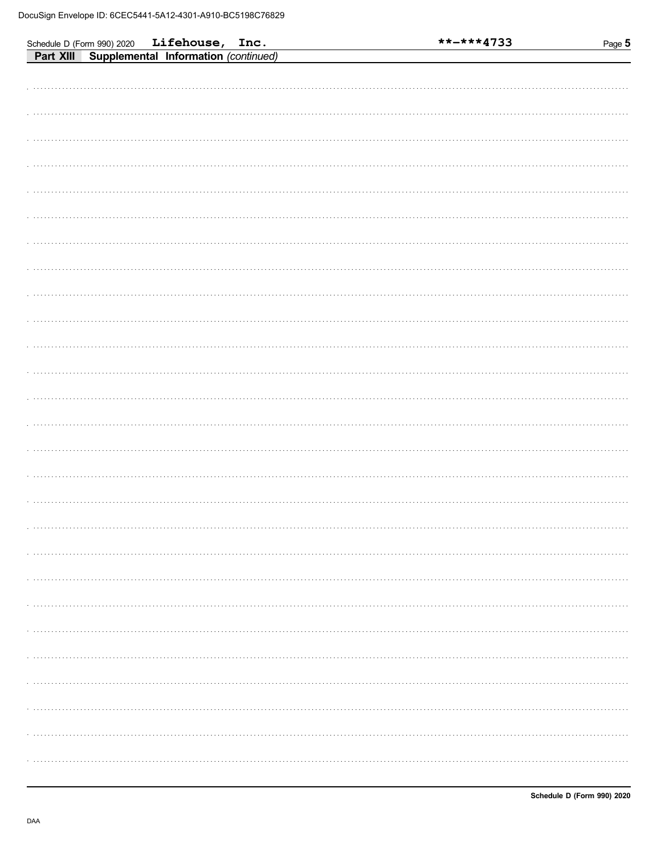| Schedule D (Form 990) 2020 Lifehouse, Inc.        | **-***4733<br>Page 5 |
|---------------------------------------------------|----------------------|
| Supplemental Information (continued)<br>Part XIII |                      |
|                                                   |                      |
|                                                   |                      |
|                                                   |                      |
|                                                   |                      |
|                                                   |                      |
|                                                   |                      |
|                                                   |                      |
|                                                   |                      |
|                                                   |                      |
|                                                   |                      |
|                                                   |                      |
|                                                   |                      |
|                                                   |                      |
|                                                   |                      |
|                                                   |                      |
|                                                   |                      |
|                                                   |                      |
|                                                   |                      |
|                                                   |                      |
|                                                   |                      |
|                                                   |                      |
|                                                   |                      |
|                                                   |                      |
|                                                   |                      |
|                                                   |                      |
|                                                   |                      |
|                                                   |                      |
|                                                   |                      |
|                                                   |                      |
|                                                   |                      |
|                                                   |                      |
|                                                   |                      |
|                                                   |                      |
|                                                   |                      |
|                                                   |                      |
|                                                   |                      |
|                                                   |                      |
|                                                   |                      |
|                                                   |                      |
|                                                   |                      |
|                                                   |                      |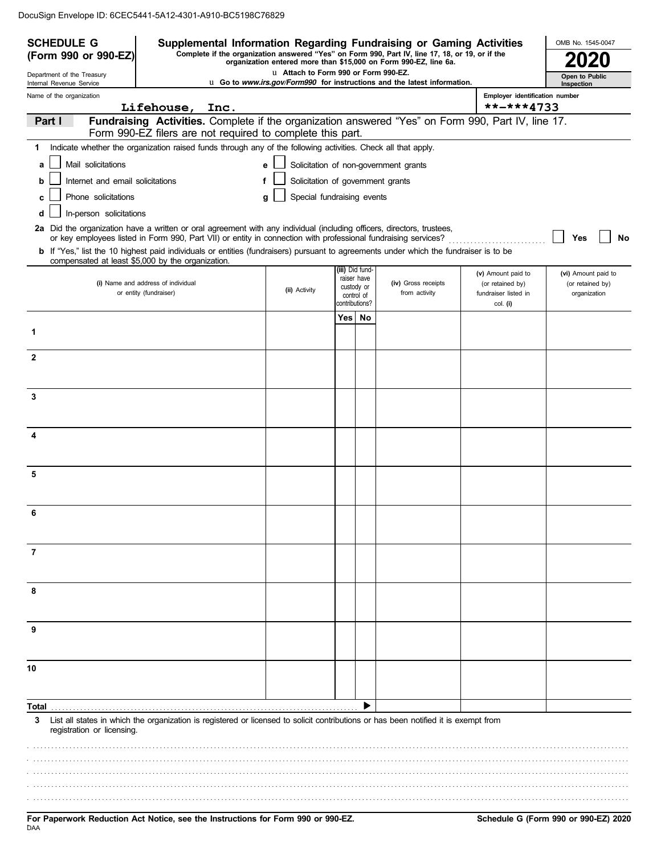| <b>SCHEDULE G</b>                                                                                                                                                                           | Supplemental Information Regarding Fundraising or Gaming Activities                                                                                                                                                                      |                                   |                                                            |  | OMB No. 1545-0047                     |                                                                |                                                         |  |  |  |
|---------------------------------------------------------------------------------------------------------------------------------------------------------------------------------------------|------------------------------------------------------------------------------------------------------------------------------------------------------------------------------------------------------------------------------------------|-----------------------------------|------------------------------------------------------------|--|---------------------------------------|----------------------------------------------------------------|---------------------------------------------------------|--|--|--|
| Complete if the organization answered "Yes" on Form 990, Part IV, line 17, 18, or 19, or if the<br>(Form 990 or 990-EZ)<br>organization entered more than \$15,000 on Form 990-EZ, line 6a. |                                                                                                                                                                                                                                          |                                   |                                                            |  | 2020                                  |                                                                |                                                         |  |  |  |
| Department of the Treasury<br>Internal Revenue Service                                                                                                                                      | u Attach to Form 990 or Form 990-EZ.<br>u Go to www.irs.gov/Form990 for instructions and the latest information.<br>Inspection                                                                                                           |                                   |                                                            |  |                                       | Open to Public                                                 |                                                         |  |  |  |
| Name of the organization                                                                                                                                                                    | Lifehouse, Inc.                                                                                                                                                                                                                          |                                   |                                                            |  |                                       | Employer identification number<br>**-***4733                   |                                                         |  |  |  |
| Part I                                                                                                                                                                                      | Fundraising Activities. Complete if the organization answered "Yes" on Form 990, Part IV, line 17.                                                                                                                                       |                                   |                                                            |  |                                       |                                                                |                                                         |  |  |  |
| 1                                                                                                                                                                                           | Form 990-EZ filers are not required to complete this part.<br>Indicate whether the organization raised funds through any of the following activities. Check all that apply.                                                              |                                   |                                                            |  |                                       |                                                                |                                                         |  |  |  |
| Mail solicitations<br>a                                                                                                                                                                     |                                                                                                                                                                                                                                          | e                                 |                                                            |  | Solicitation of non-government grants |                                                                |                                                         |  |  |  |
| Internet and email solicitations<br>b                                                                                                                                                       | f                                                                                                                                                                                                                                        | Solicitation of government grants |                                                            |  |                                       |                                                                |                                                         |  |  |  |
| Phone solicitations<br>c                                                                                                                                                                    |                                                                                                                                                                                                                                          | Special fundraising events<br>g   |                                                            |  |                                       |                                                                |                                                         |  |  |  |
| In-person solicitations<br>d                                                                                                                                                                |                                                                                                                                                                                                                                          |                                   |                                                            |  |                                       |                                                                |                                                         |  |  |  |
|                                                                                                                                                                                             | 2a Did the organization have a written or oral agreement with any individual (including officers, directors, trustees,<br>or key employees listed in Form 990, Part VII) or entity in connection with professional fundraising services? |                                   |                                                            |  |                                       |                                                                | No<br>Yes                                               |  |  |  |
| compensated at least \$5,000 by the organization.                                                                                                                                           | b If "Yes," list the 10 highest paid individuals or entities (fundraisers) pursuant to agreements under which the fundraiser is to be                                                                                                    |                                   |                                                            |  |                                       |                                                                |                                                         |  |  |  |
|                                                                                                                                                                                             | (i) Name and address of individual<br>or entity (fundraiser)                                                                                                                                                                             | (ii) Activity                     | (iii) Did fund-<br>raiser have<br>custody or<br>control of |  | (iv) Gross receipts<br>from activity  | (v) Amount paid to<br>(or retained by)<br>fundraiser listed in | (vi) Amount paid to<br>(or retained by)<br>organization |  |  |  |
|                                                                                                                                                                                             |                                                                                                                                                                                                                                          |                                   | contributions?                                             |  |                                       | col. (i)                                                       |                                                         |  |  |  |
| 1                                                                                                                                                                                           |                                                                                                                                                                                                                                          |                                   | Yes   No                                                   |  |                                       |                                                                |                                                         |  |  |  |
|                                                                                                                                                                                             |                                                                                                                                                                                                                                          |                                   |                                                            |  |                                       |                                                                |                                                         |  |  |  |
| $\mathbf{2}$                                                                                                                                                                                |                                                                                                                                                                                                                                          |                                   |                                                            |  |                                       |                                                                |                                                         |  |  |  |
| 3                                                                                                                                                                                           |                                                                                                                                                                                                                                          |                                   |                                                            |  |                                       |                                                                |                                                         |  |  |  |
|                                                                                                                                                                                             |                                                                                                                                                                                                                                          |                                   |                                                            |  |                                       |                                                                |                                                         |  |  |  |
| 4                                                                                                                                                                                           |                                                                                                                                                                                                                                          |                                   |                                                            |  |                                       |                                                                |                                                         |  |  |  |
| 5                                                                                                                                                                                           |                                                                                                                                                                                                                                          |                                   |                                                            |  |                                       |                                                                |                                                         |  |  |  |
|                                                                                                                                                                                             |                                                                                                                                                                                                                                          |                                   |                                                            |  |                                       |                                                                |                                                         |  |  |  |
| 6                                                                                                                                                                                           |                                                                                                                                                                                                                                          |                                   |                                                            |  |                                       |                                                                |                                                         |  |  |  |
|                                                                                                                                                                                             |                                                                                                                                                                                                                                          |                                   |                                                            |  |                                       |                                                                |                                                         |  |  |  |
| 7                                                                                                                                                                                           |                                                                                                                                                                                                                                          |                                   |                                                            |  |                                       |                                                                |                                                         |  |  |  |
| 8                                                                                                                                                                                           |                                                                                                                                                                                                                                          |                                   |                                                            |  |                                       |                                                                |                                                         |  |  |  |
|                                                                                                                                                                                             |                                                                                                                                                                                                                                          |                                   |                                                            |  |                                       |                                                                |                                                         |  |  |  |
| 9                                                                                                                                                                                           |                                                                                                                                                                                                                                          |                                   |                                                            |  |                                       |                                                                |                                                         |  |  |  |
| 10                                                                                                                                                                                          |                                                                                                                                                                                                                                          |                                   |                                                            |  |                                       |                                                                |                                                         |  |  |  |
|                                                                                                                                                                                             |                                                                                                                                                                                                                                          |                                   |                                                            |  |                                       |                                                                |                                                         |  |  |  |
| Total                                                                                                                                                                                       |                                                                                                                                                                                                                                          |                                   |                                                            |  |                                       |                                                                |                                                         |  |  |  |
| 3<br>registration or licensing.                                                                                                                                                             | List all states in which the organization is registered or licensed to solicit contributions or has been notified it is exempt from                                                                                                      |                                   |                                                            |  |                                       |                                                                |                                                         |  |  |  |
|                                                                                                                                                                                             |                                                                                                                                                                                                                                          |                                   |                                                            |  |                                       |                                                                |                                                         |  |  |  |
|                                                                                                                                                                                             |                                                                                                                                                                                                                                          |                                   |                                                            |  |                                       |                                                                |                                                         |  |  |  |
|                                                                                                                                                                                             |                                                                                                                                                                                                                                          |                                   |                                                            |  |                                       |                                                                |                                                         |  |  |  |
|                                                                                                                                                                                             |                                                                                                                                                                                                                                          |                                   |                                                            |  |                                       |                                                                |                                                         |  |  |  |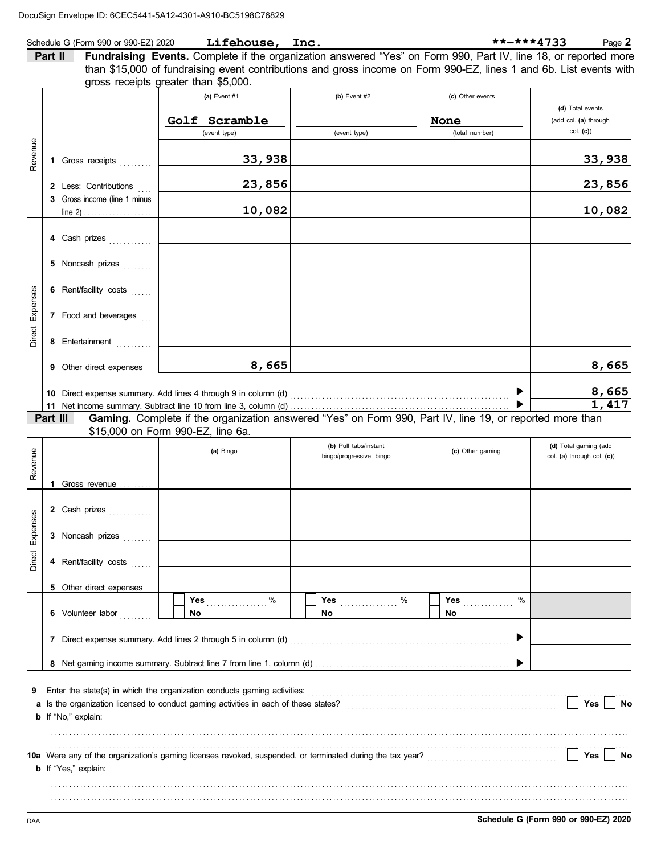|                        |         | Schedule G (Form 990 or 990-EZ) 2020 | Lifehouse, Inc.                                                                                                                                                                                                        |                         | **-***4733               | Page 2                     |
|------------------------|---------|--------------------------------------|------------------------------------------------------------------------------------------------------------------------------------------------------------------------------------------------------------------------|-------------------------|--------------------------|----------------------------|
|                        | Part II |                                      | Fundraising Events. Complete if the organization answered "Yes" on Form 990, Part IV, line 18, or reported more                                                                                                        |                         |                          |                            |
|                        |         |                                      | than \$15,000 of fundraising event contributions and gross income on Form 990-EZ, lines 1 and 6b. List events with                                                                                                     |                         |                          |                            |
|                        |         |                                      | gross receipts greater than \$5,000.                                                                                                                                                                                   |                         |                          |                            |
|                        |         |                                      | (a) Event #1                                                                                                                                                                                                           | (b) Event $#2$          | (c) Other events         | (d) Total events           |
|                        |         |                                      | Golf Scramble                                                                                                                                                                                                          |                         | None                     | (add col. (a) through      |
|                        |         |                                      | (event type)                                                                                                                                                                                                           | (event type)            | (total number)           | col. (c)                   |
|                        |         |                                      |                                                                                                                                                                                                                        |                         |                          |                            |
| Revenue                |         | 1 Gross receipts                     | 33,938                                                                                                                                                                                                                 |                         |                          | 33,938                     |
|                        |         |                                      |                                                                                                                                                                                                                        |                         |                          |                            |
|                        |         | 2 Less: Contributions                | 23,856                                                                                                                                                                                                                 |                         |                          | 23,856                     |
|                        |         | 3 Gross income (line 1 minus         | 10,082                                                                                                                                                                                                                 |                         |                          | 10,082                     |
|                        |         |                                      |                                                                                                                                                                                                                        |                         |                          |                            |
|                        |         | 4 Cash prizes                        |                                                                                                                                                                                                                        |                         |                          |                            |
|                        |         |                                      |                                                                                                                                                                                                                        |                         |                          |                            |
|                        |         | 5 Noncash prizes                     |                                                                                                                                                                                                                        |                         |                          |                            |
|                        |         |                                      |                                                                                                                                                                                                                        |                         |                          |                            |
|                        |         | 6 Rent/facility costs                |                                                                                                                                                                                                                        |                         |                          |                            |
| <b>Direct Expenses</b> |         | 7 Food and beverages                 |                                                                                                                                                                                                                        |                         |                          |                            |
|                        |         |                                      |                                                                                                                                                                                                                        |                         |                          |                            |
|                        |         | 8 Entertainment                      |                                                                                                                                                                                                                        |                         |                          |                            |
|                        |         |                                      |                                                                                                                                                                                                                        |                         |                          |                            |
|                        |         | 9 Other direct expenses              | 8,665                                                                                                                                                                                                                  |                         |                          | 8,665                      |
|                        |         |                                      |                                                                                                                                                                                                                        |                         |                          | 8,665                      |
|                        |         |                                      |                                                                                                                                                                                                                        |                         |                          | 1,417                      |
|                        |         | Part III                             | Gaming. Complete if the organization answered "Yes" on Form 990, Part IV, line 19, or reported more than                                                                                                               |                         |                          |                            |
|                        |         |                                      | \$15,000 on Form 990-EZ, line 6a.                                                                                                                                                                                      |                         |                          |                            |
|                        |         |                                      | (a) Bingo                                                                                                                                                                                                              | (b) Pull tabs/instant   | (c) Other gaming         | (d) Total gaming (add      |
| Revenue                |         |                                      |                                                                                                                                                                                                                        | bingo/progressive bingo |                          | col. (a) through col. (c)) |
|                        |         | 1 Gross revenue                      |                                                                                                                                                                                                                        |                         |                          |                            |
|                        |         |                                      |                                                                                                                                                                                                                        |                         |                          |                            |
| 3                      |         |                                      |                                                                                                                                                                                                                        |                         |                          |                            |
|                        |         |                                      |                                                                                                                                                                                                                        |                         |                          |                            |
|                        |         |                                      |                                                                                                                                                                                                                        |                         |                          |                            |
|                        |         | 3 Noncash prizes                     |                                                                                                                                                                                                                        |                         |                          |                            |
|                        |         |                                      |                                                                                                                                                                                                                        |                         |                          |                            |
| Direct Expens          |         | 4 Rent/facility costs                |                                                                                                                                                                                                                        |                         |                          |                            |
|                        |         |                                      |                                                                                                                                                                                                                        |                         |                          |                            |
|                        |         | 5 Other direct expenses              |                                                                                                                                                                                                                        |                         | %                        |                            |
|                        |         | 6 Volunteer labor                    | Yes $%$<br><b>No</b>                                                                                                                                                                                                   | No                      | Yes $\frac{1}{2}$<br>No. |                            |
|                        |         |                                      |                                                                                                                                                                                                                        |                         |                          |                            |
|                        |         |                                      |                                                                                                                                                                                                                        |                         |                          |                            |
|                        |         |                                      |                                                                                                                                                                                                                        |                         |                          |                            |
|                        |         |                                      |                                                                                                                                                                                                                        |                         |                          |                            |
| 9                      |         |                                      |                                                                                                                                                                                                                        |                         |                          |                            |
|                        |         |                                      |                                                                                                                                                                                                                        |                         |                          | Yes  <br>No                |
|                        |         | <b>b</b> If "No," explain:           |                                                                                                                                                                                                                        |                         |                          |                            |
|                        |         |                                      |                                                                                                                                                                                                                        |                         |                          |                            |
|                        |         |                                      |                                                                                                                                                                                                                        |                         |                          |                            |
|                        |         | <b>b</b> If "Yes," explain:          | 10a Were any of the organization's gaming licenses revoked, suspended, or terminated during the tax year?<br>10a Were any of the organization's gaming licenses revoked, suspended, or terminated during the tax year? |                         |                          | Yes  <br>No                |
|                        |         |                                      |                                                                                                                                                                                                                        |                         |                          |                            |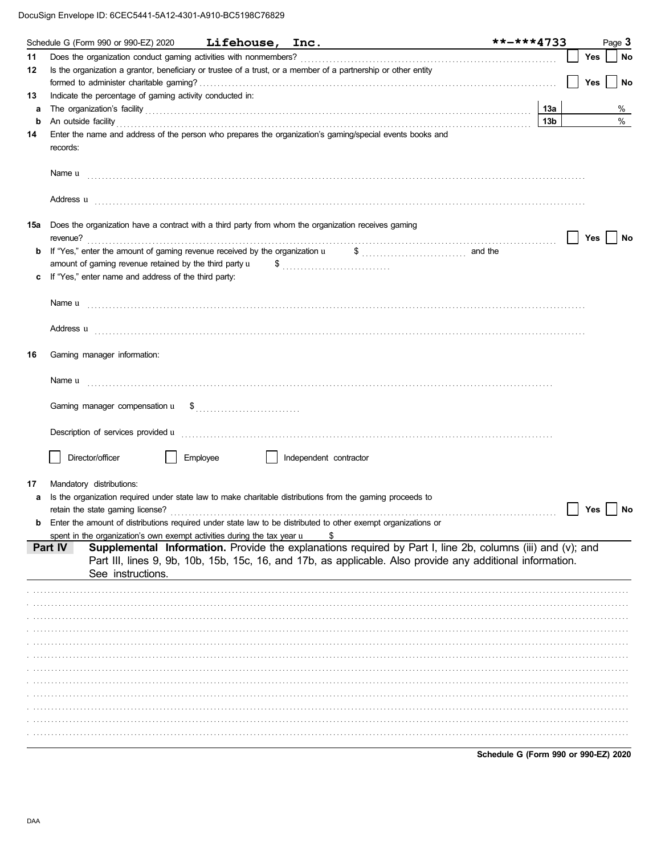|         | Schedule G (Form 990 or 990-EZ) 2020                                                                                                                                                                                                                                                                                                                                                                                                                            |          |                        |                       | **-***4733      |  |           | Page 3 |
|---------|-----------------------------------------------------------------------------------------------------------------------------------------------------------------------------------------------------------------------------------------------------------------------------------------------------------------------------------------------------------------------------------------------------------------------------------------------------------------|----------|------------------------|-----------------------|-----------------|--|-----------|--------|
| 11      |                                                                                                                                                                                                                                                                                                                                                                                                                                                                 |          |                        |                       |                 |  | Yes       | No     |
| 12      | Is the organization a grantor, beneficiary or trustee of a trust, or a member of a partnership or other entity                                                                                                                                                                                                                                                                                                                                                  |          |                        |                       |                 |  |           |        |
|         |                                                                                                                                                                                                                                                                                                                                                                                                                                                                 |          |                        |                       |                 |  | Yes       | No     |
| 13<br>a | Indicate the percentage of gaming activity conducted in:                                                                                                                                                                                                                                                                                                                                                                                                        |          |                        |                       | 13a             |  |           | %      |
| b       | The organization's facility encouragement and the contract of the contract of the contract of the contract of the contract of the contract of the contract of the contract of the contract of the contract of the contract of<br>An outside facility encouragement and the facility of the facility of the set of the set of the set of the set of the set of the set of the set of the set of the set of the set of the set of the set of the set of the set o |          |                        |                       | 13 <sub>b</sub> |  |           | $\%$   |
| 14      | Enter the name and address of the person who prepares the organization's gaming/special events books and                                                                                                                                                                                                                                                                                                                                                        |          |                        |                       |                 |  |           |        |
|         | records:                                                                                                                                                                                                                                                                                                                                                                                                                                                        |          |                        |                       |                 |  |           |        |
|         |                                                                                                                                                                                                                                                                                                                                                                                                                                                                 |          |                        |                       |                 |  |           |        |
|         | Name u                                                                                                                                                                                                                                                                                                                                                                                                                                                          |          |                        |                       |                 |  |           |        |
|         | Address u                                                                                                                                                                                                                                                                                                                                                                                                                                                       |          |                        |                       |                 |  |           |        |
|         |                                                                                                                                                                                                                                                                                                                                                                                                                                                                 |          |                        |                       |                 |  |           |        |
| 15a     | Does the organization have a contract with a third party from whom the organization receives gaming                                                                                                                                                                                                                                                                                                                                                             |          |                        |                       |                 |  |           |        |
|         |                                                                                                                                                                                                                                                                                                                                                                                                                                                                 |          |                        |                       |                 |  | ∣ ∣ Yes I | No     |
| b       | If "Yes," enter the amount of gaming revenue received by the organization u                                                                                                                                                                                                                                                                                                                                                                                     |          |                        | $\frac{1}{2}$ and the |                 |  |           |        |
|         | amount of gaming revenue retained by the third party u                                                                                                                                                                                                                                                                                                                                                                                                          |          |                        |                       |                 |  |           |        |
|         | If "Yes," enter name and address of the third party:                                                                                                                                                                                                                                                                                                                                                                                                            |          |                        |                       |                 |  |           |        |
|         | Name u                                                                                                                                                                                                                                                                                                                                                                                                                                                          |          |                        |                       |                 |  |           |        |
|         |                                                                                                                                                                                                                                                                                                                                                                                                                                                                 |          |                        |                       |                 |  |           |        |
|         | Address u                                                                                                                                                                                                                                                                                                                                                                                                                                                       |          |                        |                       |                 |  |           |        |
|         |                                                                                                                                                                                                                                                                                                                                                                                                                                                                 |          |                        |                       |                 |  |           |        |
| 16      | Gaming manager information:                                                                                                                                                                                                                                                                                                                                                                                                                                     |          |                        |                       |                 |  |           |        |
|         | Name u                                                                                                                                                                                                                                                                                                                                                                                                                                                          |          |                        |                       |                 |  |           |        |
|         |                                                                                                                                                                                                                                                                                                                                                                                                                                                                 |          |                        |                       |                 |  |           |        |
|         |                                                                                                                                                                                                                                                                                                                                                                                                                                                                 |          |                        |                       |                 |  |           |        |
|         |                                                                                                                                                                                                                                                                                                                                                                                                                                                                 |          |                        |                       |                 |  |           |        |
|         | Description of services provided u entertainment control of services and control of services provided u                                                                                                                                                                                                                                                                                                                                                         |          |                        |                       |                 |  |           |        |
|         | Director/officer                                                                                                                                                                                                                                                                                                                                                                                                                                                | Employee | Independent contractor |                       |                 |  |           |        |
|         |                                                                                                                                                                                                                                                                                                                                                                                                                                                                 |          |                        |                       |                 |  |           |        |
| 17      | Mandatory distributions:                                                                                                                                                                                                                                                                                                                                                                                                                                        |          |                        |                       |                 |  |           |        |
| a       | Is the organization required under state law to make charitable distributions from the gaming proceeds to                                                                                                                                                                                                                                                                                                                                                       |          |                        |                       |                 |  |           |        |
|         | retain the state gaming license?<br>Enter the amount of distributions required under state law to be distributed to other exempt organizations or                                                                                                                                                                                                                                                                                                               |          |                        |                       |                 |  | Yes       | No     |
| b       | spent in the organization's own exempt activities during the tax year u                                                                                                                                                                                                                                                                                                                                                                                         |          |                        |                       |                 |  |           |        |
|         | Supplemental Information. Provide the explanations required by Part I, line 2b, columns (iii) and (v); and<br>Part IV                                                                                                                                                                                                                                                                                                                                           |          |                        |                       |                 |  |           |        |
|         | Part III, lines 9, 9b, 10b, 15b, 15c, 16, and 17b, as applicable. Also provide any additional information.                                                                                                                                                                                                                                                                                                                                                      |          |                        |                       |                 |  |           |        |
|         | See instructions.                                                                                                                                                                                                                                                                                                                                                                                                                                               |          |                        |                       |                 |  |           |        |
|         |                                                                                                                                                                                                                                                                                                                                                                                                                                                                 |          |                        |                       |                 |  |           |        |
|         |                                                                                                                                                                                                                                                                                                                                                                                                                                                                 |          |                        |                       |                 |  |           |        |
|         |                                                                                                                                                                                                                                                                                                                                                                                                                                                                 |          |                        |                       |                 |  |           |        |
|         |                                                                                                                                                                                                                                                                                                                                                                                                                                                                 |          |                        |                       |                 |  |           |        |
|         |                                                                                                                                                                                                                                                                                                                                                                                                                                                                 |          |                        |                       |                 |  |           |        |
|         |                                                                                                                                                                                                                                                                                                                                                                                                                                                                 |          |                        |                       |                 |  |           |        |
|         |                                                                                                                                                                                                                                                                                                                                                                                                                                                                 |          |                        |                       |                 |  |           |        |
|         |                                                                                                                                                                                                                                                                                                                                                                                                                                                                 |          |                        |                       |                 |  |           |        |
|         |                                                                                                                                                                                                                                                                                                                                                                                                                                                                 |          |                        |                       |                 |  |           |        |
|         |                                                                                                                                                                                                                                                                                                                                                                                                                                                                 |          |                        |                       |                 |  |           |        |
|         |                                                                                                                                                                                                                                                                                                                                                                                                                                                                 |          |                        |                       |                 |  |           |        |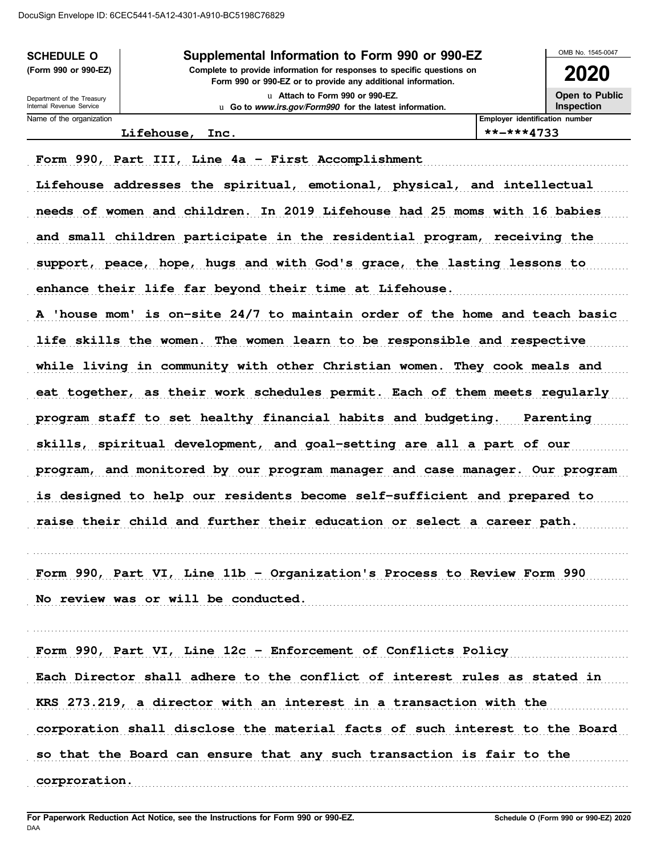**SCHEDULE O** 

(Form 990 or 990-EZ)

Department of the Treasury<br>Internal Revenue Service

Supplemental Information to Form 990 or 990-EZ Complete to provide information for responses to specific questions on Form 990 or 990-EZ or to provide any additional information. u Attach to Form 990 or 990-EZ. u Go to www.irs.gov/Form990 for the latest information.

OMB No. 1545-0047

2020 Open to Public Inspection

Name of the organization

#### Lifehouse, Inc.

Form 990, Part III, Line 4a - First Accomplishment

Employer identification number  $***$  + \* \* 4733

| Lifehouse addresses the spiritual, emotional, physical, and intellectual    |
|-----------------------------------------------------------------------------|
| needs of women and children. In 2019 Lifehouse had 25 moms with 16 babies   |
| and small children participate in the residential program, receiving the    |
| support, peace, hope, hugs and with God's grace, the lasting lessons to     |
| enhance their life far beyond their time at Lifehouse.                      |
| A 'house mom' is on-site 24/7 to maintain order of the home and teach basic |
| life skills the women. The women learn to be responsible and respective     |
| while living in community with other Christian women. They cook meals and   |
| eat together, as their work schedules permit. Each of them meets regularly  |
| program staff to set healthy financial habits and budgeting. Parenting      |
| skills, spiritual development, and goal-setting are all a part of our       |
| program, and monitored by our program manager and case manager. Our program |
| is designed to help our residents become self-sufficient and prepared to    |
| raise their child and further their education or select a career path.      |
|                                                                             |
| Form 990, Part VI, Line 11b - Organization's Process to Review Form 990     |
| No review was or will be conducted.                                         |
|                                                                             |
| Form 990, Part VI, Line 12c - Enforcement of Conflicts Policy               |
| Each Director shall adhere to the conflict of interest rules as stated in   |
| KRS 273.219, a director with an interest in a transaction with the          |
| corporation shall disclose the material facts of such interest to the Board |
| so that the Board can ensure that any such transaction is fair to the       |
| corproration.                                                               |
|                                                                             |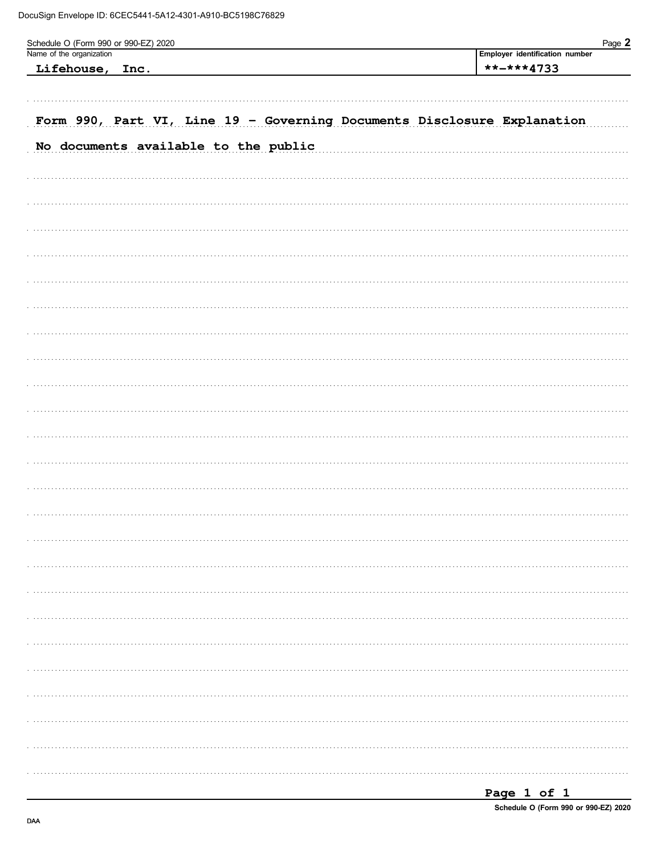| Schedule O (Form 990 or 990-EZ) 2020<br>Name of the organization |      |  |  | Page 2<br>Employer identification number                                |
|------------------------------------------------------------------|------|--|--|-------------------------------------------------------------------------|
| Lifehouse,                                                       | Inc. |  |  | **-***4733                                                              |
|                                                                  |      |  |  |                                                                         |
|                                                                  |      |  |  |                                                                         |
|                                                                  |      |  |  | Form 990, Part VI, Line 19 - Governing Documents Disclosure Explanation |
| No documents available to the public                             |      |  |  |                                                                         |
|                                                                  |      |  |  |                                                                         |
|                                                                  |      |  |  |                                                                         |
|                                                                  |      |  |  |                                                                         |
|                                                                  |      |  |  |                                                                         |
|                                                                  |      |  |  |                                                                         |
|                                                                  |      |  |  |                                                                         |
|                                                                  |      |  |  |                                                                         |
|                                                                  |      |  |  |                                                                         |
|                                                                  |      |  |  |                                                                         |
|                                                                  |      |  |  |                                                                         |
|                                                                  |      |  |  |                                                                         |
|                                                                  |      |  |  |                                                                         |
|                                                                  |      |  |  |                                                                         |
|                                                                  |      |  |  |                                                                         |
|                                                                  |      |  |  |                                                                         |
|                                                                  |      |  |  |                                                                         |
|                                                                  |      |  |  |                                                                         |
|                                                                  |      |  |  |                                                                         |
|                                                                  |      |  |  |                                                                         |
|                                                                  |      |  |  |                                                                         |
|                                                                  |      |  |  |                                                                         |
|                                                                  |      |  |  |                                                                         |
|                                                                  |      |  |  |                                                                         |
|                                                                  |      |  |  |                                                                         |
|                                                                  |      |  |  |                                                                         |
|                                                                  |      |  |  |                                                                         |
|                                                                  |      |  |  |                                                                         |
|                                                                  |      |  |  |                                                                         |
|                                                                  |      |  |  |                                                                         |
|                                                                  |      |  |  |                                                                         |
|                                                                  |      |  |  |                                                                         |
|                                                                  |      |  |  |                                                                         |
|                                                                  |      |  |  |                                                                         |
|                                                                  |      |  |  |                                                                         |
|                                                                  |      |  |  |                                                                         |
|                                                                  |      |  |  |                                                                         |
|                                                                  |      |  |  |                                                                         |
|                                                                  |      |  |  |                                                                         |

| מהפט<br>. . |  |  |  |  |
|-------------|--|--|--|--|
|-------------|--|--|--|--|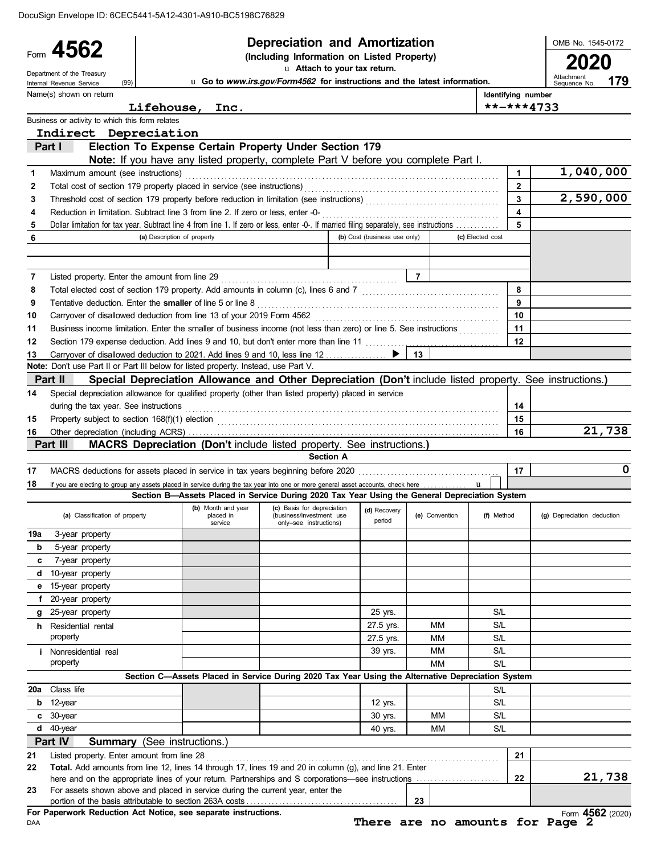|        |                                                                                                                                                                                        |                                    |                                            | Depreciation and Amortization                                                                            |                              |                                 |                    |                | OMB No. 1545-0172          |        |
|--------|----------------------------------------------------------------------------------------------------------------------------------------------------------------------------------------|------------------------------------|--------------------------------------------|----------------------------------------------------------------------------------------------------------|------------------------------|---------------------------------|--------------------|----------------|----------------------------|--------|
|        | 4562                                                                                                                                                                                   |                                    |                                            | (Including Information on Listed Property)                                                               | u Attach to your tax return. |                                 |                    |                |                            |        |
|        | Department of the Treasury<br>(99)<br>Internal Revenue Service                                                                                                                         |                                    |                                            | u Go to www.irs.gov/Form4562 for instructions and the latest information.                                |                              |                                 |                    |                | Attachment<br>Sequence No  | 179    |
|        | Name(s) shown on return                                                                                                                                                                |                                    |                                            |                                                                                                          |                              |                                 | Identifying number |                |                            |        |
|        |                                                                                                                                                                                        | Lifehouse,                         | Inc.                                       |                                                                                                          |                              |                                 | **-***4733         |                |                            |        |
|        | Business or activity to which this form relates                                                                                                                                        |                                    |                                            |                                                                                                          |                              |                                 |                    |                |                            |        |
|        | Indirect Depreciation                                                                                                                                                                  |                                    |                                            |                                                                                                          |                              |                                 |                    |                |                            |        |
|        | Part I                                                                                                                                                                                 |                                    |                                            | Election To Expense Certain Property Under Section 179                                                   |                              |                                 |                    |                |                            |        |
|        |                                                                                                                                                                                        |                                    |                                            | Note: If you have any listed property, complete Part V before you complete Part I.                       |                              |                                 |                    |                |                            |        |
| 1      | Maximum amount (see instructions)                                                                                                                                                      |                                    |                                            |                                                                                                          |                              |                                 |                    | 1              | 1,040,000                  |        |
| 2      | Total cost of section 179 property placed in service (see instructions)                                                                                                                |                                    |                                            |                                                                                                          |                              |                                 |                    | $\overline{2}$ |                            |        |
| 3      |                                                                                                                                                                                        |                                    |                                            |                                                                                                          |                              |                                 |                    | 3              | 2,590,000                  |        |
| 4      | Reduction in limitation. Subtract line 3 from line 2. If zero or less, enter -0-                                                                                                       |                                    |                                            |                                                                                                          |                              |                                 |                    | 4              |                            |        |
| 5      | Dollar limitation for tax year. Subtract line 4 from line 1. If zero or less, enter -0-. If married filing separately, see instructions                                                |                                    |                                            |                                                                                                          |                              |                                 |                    | 5              |                            |        |
| 6      |                                                                                                                                                                                        | (a) Description of property        |                                            |                                                                                                          | (b) Cost (business use only) |                                 | (c) Elected cost   |                |                            |        |
|        |                                                                                                                                                                                        |                                    |                                            |                                                                                                          |                              |                                 |                    |                |                            |        |
|        |                                                                                                                                                                                        |                                    |                                            |                                                                                                          |                              |                                 |                    |                |                            |        |
| 7<br>8 | Listed property. Enter the amount from line 29<br>Total elected cost of section 179 property. Add amounts in column (c), lines 6 and 7 [[[[[[[[[[[[[[[[[[[[[[[[                        |                                    |                                            |                                                                                                          |                              | $\overline{7}$                  |                    | 8              |                            |        |
| 9      | Tentative deduction. Enter the smaller of line 5 or line 8                                                                                                                             |                                    |                                            |                                                                                                          |                              |                                 |                    | 9              |                            |        |
| 10     | Carryover of disallowed deduction from line 13 of your 2019 Form 4562<br>[[CODSTARE STARS ] [[CODSTARS ] [[CODSTARS ] [[CODSTARS ] [[CODSTARS ] [[CODSTARS ] [[CODSTARS ] [[CODSTARS ] |                                    |                                            |                                                                                                          |                              |                                 |                    | 10             |                            |        |
| 11     | Business income limitation. Enter the smaller of business income (not less than zero) or line 5. See instructions                                                                      |                                    |                                            |                                                                                                          |                              |                                 |                    | 11             |                            |        |
| 12     |                                                                                                                                                                                        |                                    |                                            |                                                                                                          |                              |                                 |                    | 12             |                            |        |
| 13     |                                                                                                                                                                                        |                                    |                                            |                                                                                                          |                              | 13                              |                    |                |                            |        |
|        | Note: Don't use Part II or Part III below for listed property. Instead, use Part V.                                                                                                    |                                    |                                            |                                                                                                          |                              |                                 |                    |                |                            |        |
|        | Part II                                                                                                                                                                                |                                    |                                            | Special Depreciation Allowance and Other Depreciation (Don't include listed property. See instructions.) |                              |                                 |                    |                |                            |        |
| 14     | Special depreciation allowance for qualified property (other than listed property) placed in service                                                                                   |                                    |                                            |                                                                                                          |                              |                                 |                    |                |                            |        |
|        | during the tax year. See instructions                                                                                                                                                  |                                    |                                            |                                                                                                          |                              |                                 |                    | 14             |                            |        |
| 15     |                                                                                                                                                                                        |                                    |                                            |                                                                                                          |                              |                                 |                    | 15             |                            |        |
| 16     |                                                                                                                                                                                        |                                    |                                            |                                                                                                          |                              |                                 |                    | 16             |                            | 21,738 |
|        | Part III                                                                                                                                                                               |                                    |                                            | <b>MACRS Depreciation (Don't include listed property. See instructions.)</b>                             |                              |                                 |                    |                |                            |        |
|        |                                                                                                                                                                                        |                                    |                                            | <b>Section A</b>                                                                                         |                              |                                 |                    |                |                            |        |
| 17     | MACRS deductions for assets placed in service in tax years beginning before 2020                                                                                                       |                                    |                                            |                                                                                                          |                              |                                 |                    | 17             |                            | 0      |
| 18     | If you are electing to group any assets placed in service during the tax year into one or more general asset accounts, check here                                                      |                                    |                                            |                                                                                                          |                              |                                 | u.                 |                |                            |        |
|        |                                                                                                                                                                                        |                                    |                                            | Section B-Assets Placed in Service During 2020 Tax Year Using the General Depreciation System            |                              |                                 |                    |                |                            |        |
|        | (a) Classification of property                                                                                                                                                         |                                    | (b) Month and year<br>placed in<br>service | (c) Basis for depreciation<br>(business/investment use<br>only-see instructions)                         | (d) Recovery<br>period       | (e) Convention                  | (f) Method         |                | (g) Depreciation deduction |        |
| 19a    | 3-year property                                                                                                                                                                        |                                    |                                            |                                                                                                          |                              |                                 |                    |                |                            |        |
| b      | 5-year property                                                                                                                                                                        |                                    |                                            |                                                                                                          |                              |                                 |                    |                |                            |        |
| c      | 7-year property                                                                                                                                                                        |                                    |                                            |                                                                                                          |                              |                                 |                    |                |                            |        |
| d      | 10-year property                                                                                                                                                                       |                                    |                                            |                                                                                                          |                              |                                 |                    |                |                            |        |
| е      | 15-year property                                                                                                                                                                       |                                    |                                            |                                                                                                          |                              |                                 |                    |                |                            |        |
| f      | 20-year property                                                                                                                                                                       |                                    |                                            |                                                                                                          |                              |                                 |                    |                |                            |        |
| g      | 25-year property                                                                                                                                                                       |                                    |                                            |                                                                                                          | 25 yrs.                      |                                 | S/L                |                |                            |        |
|        | h Residential rental<br>property                                                                                                                                                       |                                    |                                            |                                                                                                          | 27.5 yrs.                    | ΜМ                              | S/L                |                |                            |        |
|        |                                                                                                                                                                                        |                                    |                                            |                                                                                                          | 27.5 yrs.                    | ΜМ                              | S/L                |                |                            |        |
|        | <i>i</i> Nonresidential real<br>property                                                                                                                                               |                                    |                                            |                                                                                                          | 39 yrs.                      | ΜМ<br>MМ                        | S/L<br>S/L         |                |                            |        |
|        |                                                                                                                                                                                        |                                    |                                            | Section C-Assets Placed in Service During 2020 Tax Year Using the Alternative Depreciation System        |                              |                                 |                    |                |                            |        |
| 20a    | Class life                                                                                                                                                                             |                                    |                                            |                                                                                                          |                              |                                 | S/L                |                |                            |        |
| b      | 12-year                                                                                                                                                                                |                                    |                                            |                                                                                                          | 12 yrs.                      |                                 | S/L                |                |                            |        |
| c      | 30-year                                                                                                                                                                                |                                    |                                            |                                                                                                          | 30 yrs.                      | MМ                              | S/L                |                |                            |        |
| d      | 40-year                                                                                                                                                                                |                                    |                                            |                                                                                                          | 40 yrs.                      | MМ                              | S/L                |                |                            |        |
|        | Part IV                                                                                                                                                                                | <b>Summary</b> (See instructions.) |                                            |                                                                                                          |                              |                                 |                    |                |                            |        |
| 21     | Listed property. Enter amount from line 28                                                                                                                                             |                                    |                                            |                                                                                                          |                              |                                 |                    | 21             |                            |        |
| 22     | Total. Add amounts from line 12, lines 14 through 17, lines 19 and 20 in column (g), and line 21. Enter                                                                                |                                    |                                            |                                                                                                          |                              |                                 |                    |                |                            |        |
|        |                                                                                                                                                                                        |                                    |                                            |                                                                                                          |                              |                                 |                    | 22             |                            | 21,738 |
| 23     | For assets shown above and placed in service during the current year, enter the                                                                                                        |                                    |                                            |                                                                                                          |                              |                                 |                    |                |                            |        |
|        |                                                                                                                                                                                        |                                    |                                            |                                                                                                          |                              | 23                              |                    |                |                            |        |
| DAA    | For Paperwork Reduction Act Notice, see separate instructions.                                                                                                                         |                                    |                                            |                                                                                                          |                              | There are no amounts for Page 2 |                    |                | Form 4562 (2020)           |        |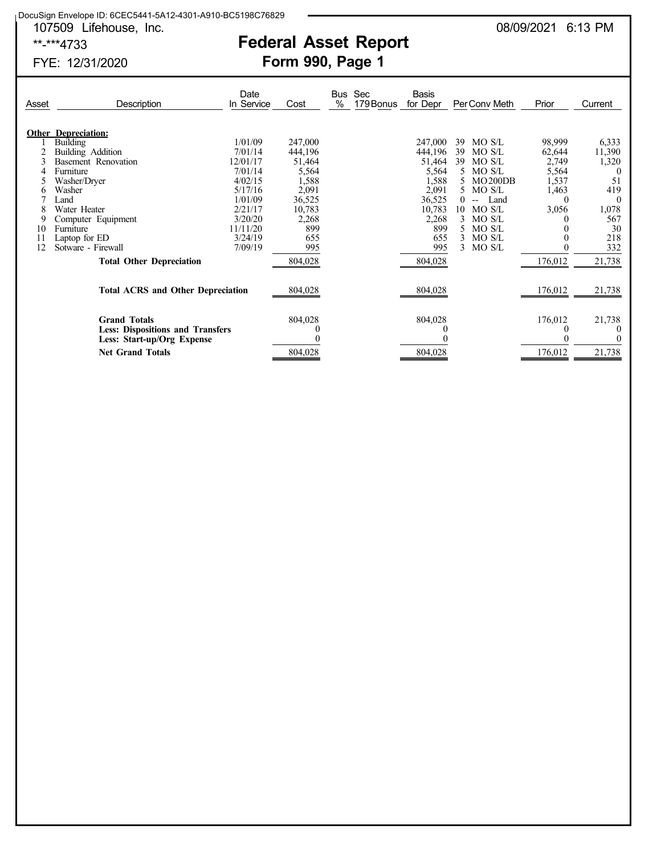# \*\*-\*\*\*4733 **Federal Asset Report** FYE: 12/31/2020 **Form 990, Page 1**

| Asset    | Description                                   | Date<br>In Service | Cost       | Sec<br>Bus<br>$\%$<br>179 Bonus | Basis<br>for Depr | Per Conv Meth                     | Prior    | Current    |
|----------|-----------------------------------------------|--------------------|------------|---------------------------------|-------------------|-----------------------------------|----------|------------|
|          | <b>Other Depreciation:</b><br><b>Building</b> | 1/01/09            | 247,000    |                                 | 247,000           | MO S/L<br>39                      | 98,999   | 6,333      |
|          | Building Addition                             | 7/01/14            | 444,196    |                                 | 444,196           | 39<br>MO S/L                      | 62,644   | 11,390     |
|          | Basement Renovation                           | 12/01/17           | 51,464     |                                 | 51,464            | 39 MO S/L                         | 2,749    | 1,320      |
|          | Furniture                                     | 7/01/14            | 5,564      |                                 | 5,564             | 5 MO S/L                          | 5,564    | $\theta$   |
|          | Washer/Drver                                  | 4/02/15            | 1,588      |                                 | 1,588             | MO200DB                           | 1,537    | 51         |
| 6        | Washer                                        | 5/17/16            | 2,091      |                                 | 2,091             | 5.<br>MO S/L                      | 1,463    | 419        |
|          | Land                                          | 1/01/09            | 36,525     |                                 | 36,525            | Land<br>$--$                      | $\theta$ | $\Omega$   |
| 8        | Water Heater                                  | 2/21/17            | 10,783     |                                 | 10,783            | MO S/L<br>10                      | 3,056    | 1,078      |
| 9        | Computer Equipment                            | 3/20/20            | 2,268      |                                 | 2,268             | 3<br>MO S/L                       |          | 567        |
| 10       | Furniture                                     | 11/11/20           | 899        |                                 | 899               | MO S/L<br>$\mathcal{L}$           |          | 30         |
| 11<br>12 | Laptop for ED<br>Sotware - Firewall           | 3/24/19<br>7/09/19 | 655<br>995 |                                 | 655<br>995        | MO S/L<br>MO S/L<br>$\mathcal{L}$ |          | 218<br>332 |
|          |                                               |                    |            |                                 |                   |                                   |          |            |
|          | <b>Total Other Depreciation</b>               |                    | 804,028    |                                 | 804,028           |                                   | 176,012  | 21,738     |
|          |                                               |                    |            |                                 |                   |                                   |          |            |
|          | <b>Total ACRS and Other Depreciation</b>      |                    | 804,028    |                                 | 804,028           |                                   | 176,012  | 21,738     |
|          |                                               |                    |            |                                 |                   |                                   |          |            |
|          | <b>Grand Totals</b>                           |                    | 804,028    |                                 | 804,028           |                                   | 176,012  | 21,738     |
|          | <b>Less: Dispositions and Transfers</b>       |                    |            |                                 |                   |                                   |          | $\theta$   |
|          | Less: Start-up/Org Expense                    |                    |            |                                 |                   |                                   |          |            |
|          | <b>Net Grand Totals</b>                       |                    | 804,028    |                                 | 804,028           |                                   | 176,012  | 21,738     |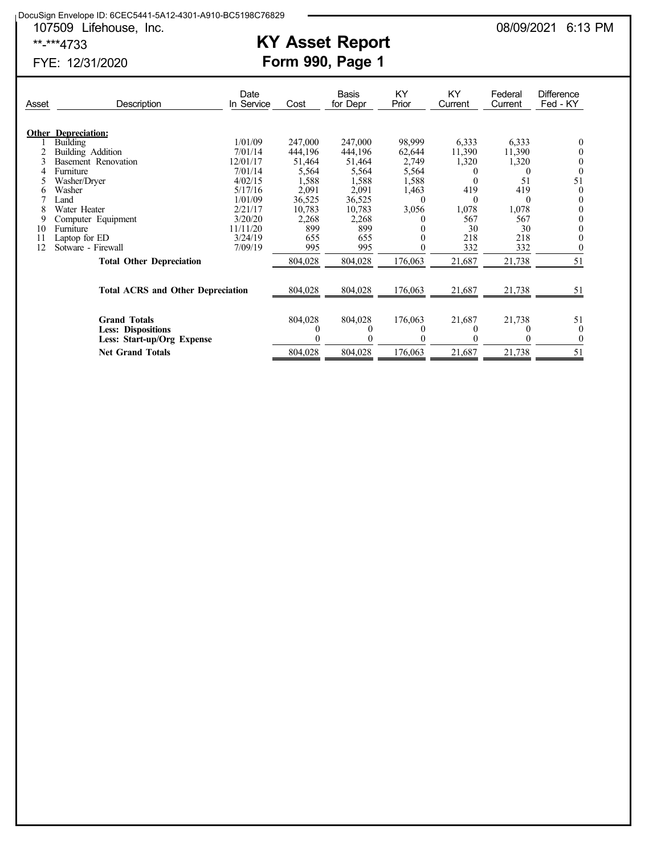# 107509 Lifehouse, Inc. **KY Asset Report** 08/09/2021 6:13 PM **KY Asset Report**

| Asset | Description                              | Date<br>In Service | Cost    | Basis<br>for Depr | KY<br>Prior | KY<br>Current | Federal<br>Current | <b>Difference</b><br>Fed - KY |
|-------|------------------------------------------|--------------------|---------|-------------------|-------------|---------------|--------------------|-------------------------------|
|       | <b>Other Depreciation:</b>               |                    |         |                   |             |               |                    |                               |
|       | <b>Building</b>                          | 1/01/09            | 247,000 | 247,000           | 98,999      | 6,333         | 6,333              | 0                             |
|       | Building Addition                        | 7/01/14            | 444,196 | 444,196           | 62,644      | 11,390        | 11,390             |                               |
|       | Basement Renovation                      | 12/01/17           | 51,464  | 51,464            | 2,749       | 1,320         | 1,320              |                               |
|       | Furniture                                | 7/01/14            | 5,564   | 5,564             | 5,564       |               |                    | $\boldsymbol{0}$              |
|       | Washer/Dryer                             | 4/02/15            | 1,588   | 1,588             | 1,588       | $\theta$      | 51                 | 51                            |
| O     | Washer                                   | 5/17/16            | 2,091   | 2,091             | 1,463       | 419           | 419                | $\mathbf{0}$                  |
|       | Land                                     | 1/01/09            | 36,525  | 36,525            |             | $\theta$      |                    | 0                             |
| 8     | Water Heater                             | 2/21/17            | 10,783  | 10,783            | 3,056       | 1,078         | 1,078              | $\boldsymbol{0}$              |
| 9     | Computer Equipment                       | 3/20/20            | 2,268   | 2,268             |             | 567           | 567                | 0                             |
| 10    | Furniture                                | 11/11/20           | 899     | 899               |             | 30            | 30                 | 0                             |
| 11    | Laptop for ED                            | 3/24/19            | 655     | 655               |             | 218           | 218                | $\boldsymbol{0}$              |
| 12    | Sotware - Firewall                       | 7/09/19            | 995     | 995               |             | 332           | 332                |                               |
|       | <b>Total Other Depreciation</b>          |                    | 804,028 | 804,028           | 176,063     | 21,687        | 21,738             | 51                            |
|       | <b>Total ACRS and Other Depreciation</b> |                    | 804,028 | 804,028           | 176,063     | 21,687        | 21,738             | 51                            |
|       |                                          |                    |         |                   |             |               |                    |                               |
|       | <b>Grand Totals</b>                      |                    | 804,028 | 804,028           | 176,063     | 21,687        | 21,738             | 51                            |
|       | <b>Less: Dispositions</b>                |                    |         |                   |             |               |                    | 0                             |
|       | <b>Less: Start-up/Org Expense</b>        |                    |         |                   |             |               |                    |                               |
|       | <b>Net Grand Totals</b>                  |                    | 804,028 | 804,028           | 176,063     | 21,687        | 21,738             | 51                            |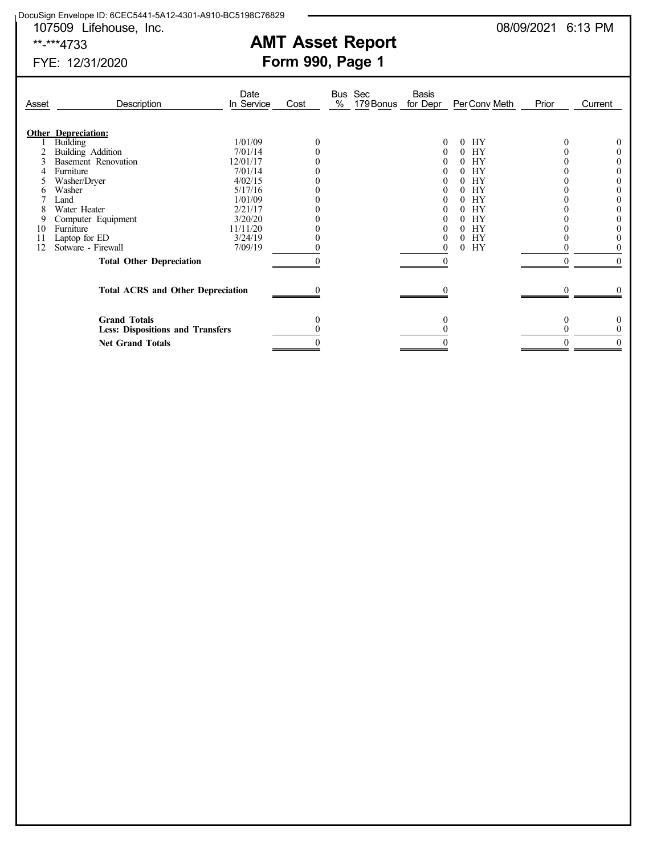# **AMT Asset Report**

107509 Lifehouse, Inc. **AMT Asset Report** 08/09/2021 6:13 PM<br>\*\*-\*\*\*4733

| Asset   | Description                                                                                                                                                                                                  | Date<br>In Service                                                                                                      | Cost | Bus Sec<br>179 Bonus<br>% | Basis<br>for Depr                                                                                      | PerConv Meth                                                   | Prior    | Current |
|---------|--------------------------------------------------------------------------------------------------------------------------------------------------------------------------------------------------------------|-------------------------------------------------------------------------------------------------------------------------|------|---------------------------|--------------------------------------------------------------------------------------------------------|----------------------------------------------------------------|----------|---------|
| 8<br>10 | <b>Other Depreciation:</b><br><b>Building</b><br>Building Addition<br>Basement Renovation<br>Furniture<br>Washer/Dryer<br>Washer<br>Land<br>Water Heater<br>Computer Equipment<br>Furniture<br>Laptop for ED | 1/01/09<br>7/01/14<br>12/01/17<br>7/01/14<br>4/02/15<br>5/17/16<br>1/01/09<br>2/21/17<br>3/20/20<br>11/11/20<br>3/24/19 |      |                           | $\Omega$<br>$\theta$<br>$\theta$<br>$\theta$<br>$\theta$<br>0<br>$\theta$<br>$\theta$<br>0<br>$\theta$ | HY<br>HY<br>HY<br>HY<br>HY<br>HY<br>HY<br>HY<br>HY<br>HY<br>HY |          |         |
| 12      | Sotware - Firewall<br><b>Total Other Depreciation</b>                                                                                                                                                        | 7/09/19                                                                                                                 |      |                           |                                                                                                        | HY<br>$\theta$                                                 | $\theta$ |         |
|         | <b>Total ACRS and Other Depreciation</b>                                                                                                                                                                     |                                                                                                                         |      |                           |                                                                                                        |                                                                |          |         |
|         | <b>Grand Totals</b><br><b>Less: Dispositions and Transfers</b><br><b>Net Grand Totals</b>                                                                                                                    |                                                                                                                         |      |                           |                                                                                                        |                                                                | 0        |         |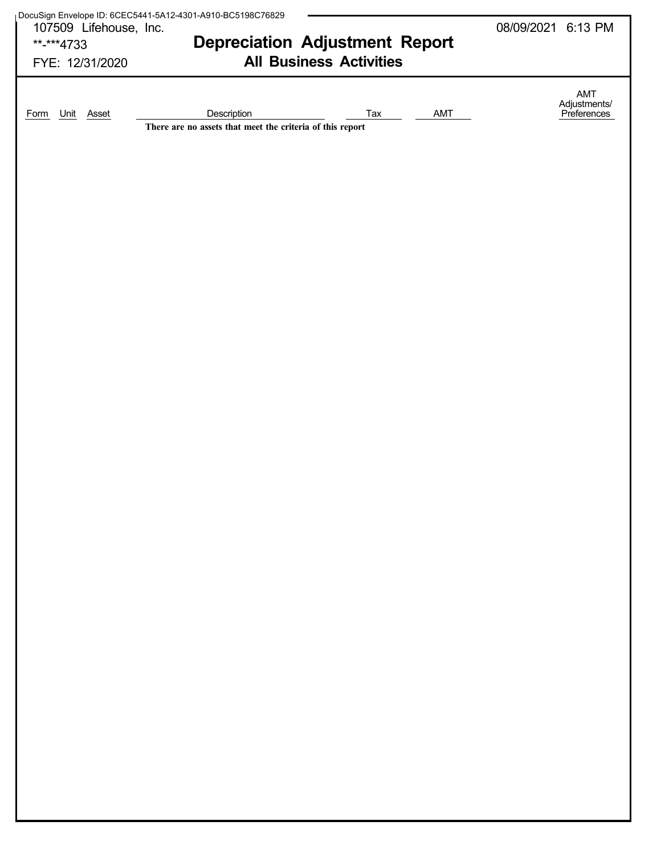| 107509 Lifehouse, Inc.<br>**-***4733<br>FYE: 12/31/2020 | DocuSign Envelope ID: 6CEC5441-5A12-4301-A910-BC5198C76829<br><b>Depreciation Adjustment Report</b><br><b>All Business Activities</b> | 08/09/2021 6:13 PM                        |
|---------------------------------------------------------|---------------------------------------------------------------------------------------------------------------------------------------|-------------------------------------------|
| Unit Asset<br><b>Form</b>                               | Description<br>AMT<br>Tax<br>There are no assets that meet the criteria of this report                                                | AMT<br>Adjustments/<br><u>Preferences</u> |
|                                                         |                                                                                                                                       |                                           |
|                                                         |                                                                                                                                       |                                           |
|                                                         |                                                                                                                                       |                                           |
|                                                         |                                                                                                                                       |                                           |
|                                                         |                                                                                                                                       |                                           |
|                                                         |                                                                                                                                       |                                           |
|                                                         |                                                                                                                                       |                                           |
|                                                         |                                                                                                                                       |                                           |
|                                                         |                                                                                                                                       |                                           |
|                                                         |                                                                                                                                       |                                           |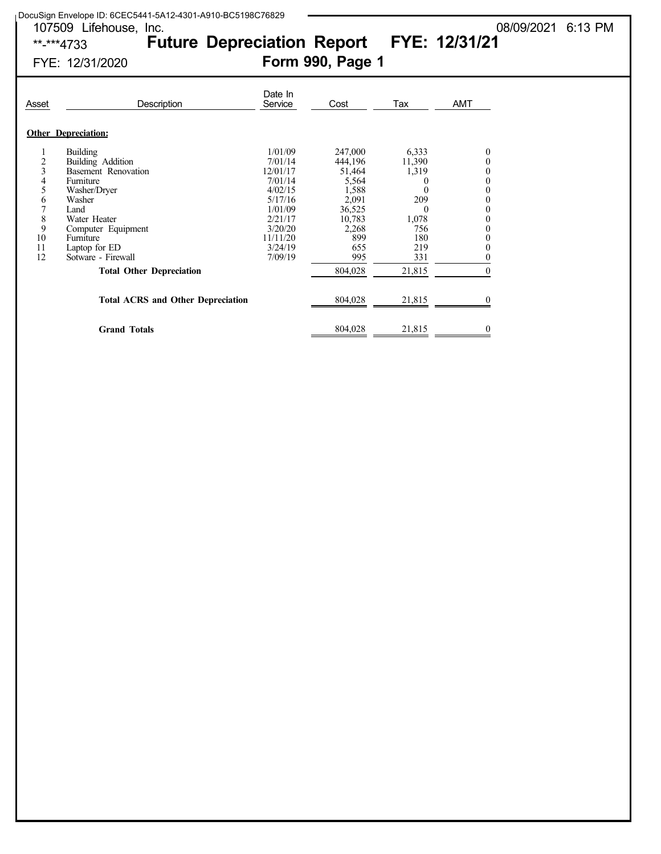\*\*-\*\*\*4733 **Future Depreciation Report FYE: 12/31/21**

107509 Lifehouse, Inc. 08/09/2021 6:13 PM

| Asset          | Description                              | Date In<br>Service | Cost    | Tax    | AMT              |
|----------------|------------------------------------------|--------------------|---------|--------|------------------|
|                | <b>Other Depreciation:</b>               |                    |         |        |                  |
| 1              | <b>Building</b>                          | 1/01/09            | 247,000 | 6,333  | $\boldsymbol{0}$ |
| $\overline{2}$ | Building Addition                        | 7/01/14            | 444,196 | 11,390 | $\boldsymbol{0}$ |
| 3              | Basement Renovation                      | 12/01/17           | 51,464  | 1,319  | $\boldsymbol{0}$ |
| $\overline{4}$ | Furniture                                | 7/01/14            | 5,564   |        | $\boldsymbol{0}$ |
| 5              | Washer/Dryer                             | 4/02/15            | 1,588   | 0      | $\boldsymbol{0}$ |
| 6              | Washer                                   | 5/17/16            | 2,091   | 209    | $\boldsymbol{0}$ |
|                | Land                                     | 1/01/09            | 36,525  | 0      | $\boldsymbol{0}$ |
| 8              | Water Heater                             | 2/21/17            | 10,783  | 1,078  | $\boldsymbol{0}$ |
| 9              | Computer Equipment                       | 3/20/20            | 2,268   | 756    | $\boldsymbol{0}$ |
| 10             | Furniture                                | 11/11/20           | 899     | 180    | $\boldsymbol{0}$ |
| 11             | Laptop for ED                            | 3/24/19            | 655     | 219    | $\boldsymbol{0}$ |
| 12             | Sotware - Firewall                       | 7/09/19            | 995     | 331    | $\boldsymbol{0}$ |
|                | <b>Total Other Depreciation</b>          |                    | 804,028 | 21,815 | $\mathbf{0}$     |
|                | <b>Total ACRS and Other Depreciation</b> |                    | 804,028 | 21,815 | $\boldsymbol{0}$ |
|                | <b>Grand Totals</b>                      |                    | 804,028 | 21,815 | $\theta$         |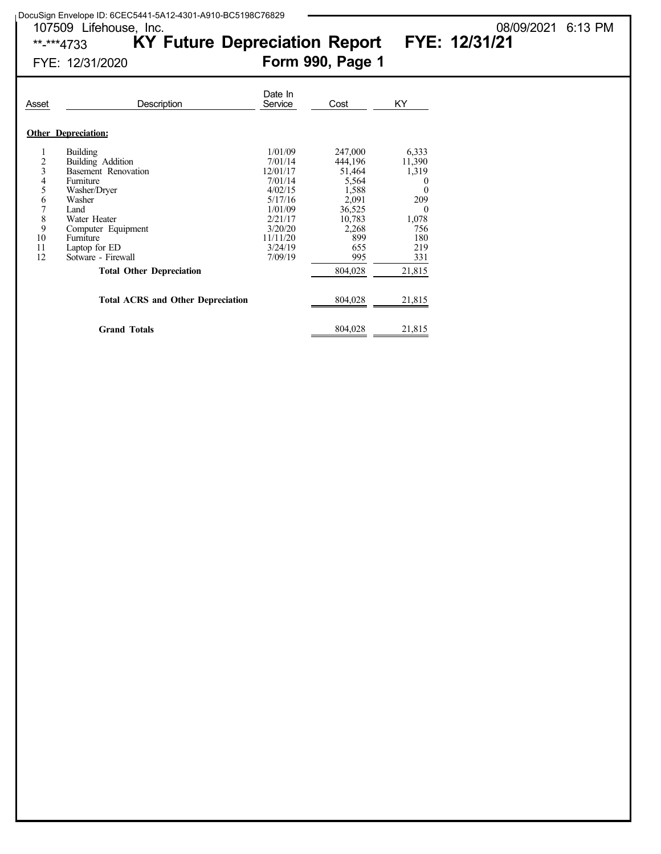\*\*-\*\*\*4733 **KY Future Depreciation Report FYE: 12/31/21**

107509 Lifehouse, Inc. 08/09/2021 6:13 PM

| Asset                                                                                               | Description                                                                                                                                                                                                                             | Date In<br>Service                                                                                                                 | Cost                                                                                                                 | KY.                                                                                                                      |
|-----------------------------------------------------------------------------------------------------|-----------------------------------------------------------------------------------------------------------------------------------------------------------------------------------------------------------------------------------------|------------------------------------------------------------------------------------------------------------------------------------|----------------------------------------------------------------------------------------------------------------------|--------------------------------------------------------------------------------------------------------------------------|
|                                                                                                     | <b>Other Depreciation:</b>                                                                                                                                                                                                              |                                                                                                                                    |                                                                                                                      |                                                                                                                          |
| 1<br>$\overline{c}$<br>3<br>$\frac{4}{5}$<br>6<br>$\overline{7}$<br>$\frac{8}{9}$<br>10<br>11<br>12 | <b>Building</b><br>Building Addition<br>Basement Renovation<br>Furniture<br>Washer/Dryer<br>Washer<br>Land<br>Water Heater<br>Computer Equipment<br>Furniture<br>Laptop for ED<br>Sotware - Firewall<br><b>Total Other Depreciation</b> | 1/01/09<br>7/01/14<br>12/01/17<br>7/01/14<br>4/02/15<br>5/17/16<br>1/01/09<br>2/21/17<br>3/20/20<br>11/11/20<br>3/24/19<br>7/09/19 | 247,000<br>444,196<br>51,464<br>5,564<br>1,588<br>2,091<br>36,525<br>10,783<br>2,268<br>899<br>655<br>995<br>804,028 | 6,333<br>11,390<br>1,319<br>$\bf{0}$<br>$\theta$<br>209<br>$\overline{0}$<br>1,078<br>756<br>180<br>219<br>331<br>21,815 |
|                                                                                                     | <b>Total ACRS and Other Depreciation</b>                                                                                                                                                                                                |                                                                                                                                    | 804,028                                                                                                              | 21,815                                                                                                                   |
|                                                                                                     | <b>Grand Totals</b>                                                                                                                                                                                                                     |                                                                                                                                    | 804,028                                                                                                              | 21,815                                                                                                                   |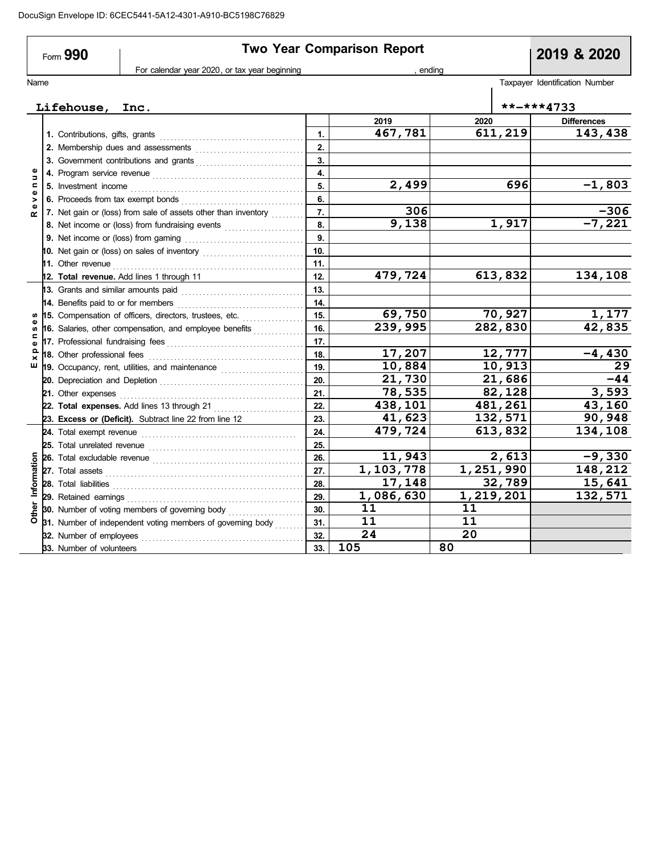|                | Form 990                            |                                                                                                                                                                                                                                      |                | <b>Two Year Comparison Report</b> |                      | 2019 & 2020                    |
|----------------|-------------------------------------|--------------------------------------------------------------------------------------------------------------------------------------------------------------------------------------------------------------------------------------|----------------|-----------------------------------|----------------------|--------------------------------|
|                |                                     | For calendar year 2020, or tax year beginning                                                                                                                                                                                        |                |                                   | ending               |                                |
| Name           |                                     |                                                                                                                                                                                                                                      |                |                                   |                      | Taxpayer Identification Number |
|                | Lifehouse, Inc.                     |                                                                                                                                                                                                                                      |                |                                   |                      | **-***4733                     |
|                |                                     |                                                                                                                                                                                                                                      |                | 2019                              | 2020                 | <b>Differences</b>             |
|                |                                     |                                                                                                                                                                                                                                      | $\mathbf{1}$ . | 467,781                           | 611, 219             | 143,438                        |
|                |                                     |                                                                                                                                                                                                                                      | 2.             |                                   |                      |                                |
|                |                                     | 3. Government contributions and grants                                                                                                                                                                                               | 3.             |                                   |                      |                                |
| $\Rightarrow$  |                                     | 4. Program service revenue <i>communical</i> contains a service of the service of the service of the service of the service of the service of the service of the service of the service of the service of the service of the servic  | 4.             |                                   |                      |                                |
| $\blacksquare$ |                                     |                                                                                                                                                                                                                                      | 5.             | 2,499                             | 696                  | $-1,803$                       |
| Ф<br>>         |                                     |                                                                                                                                                                                                                                      | 6.             |                                   |                      |                                |
|                |                                     | 7. Net gain or (loss) from sale of assets other than inventory                                                                                                                                                                       | 7.             | 306                               |                      | $-306$                         |
|                |                                     |                                                                                                                                                                                                                                      | 8.             | 9,138                             | 1,917                | $-7,221$                       |
|                |                                     |                                                                                                                                                                                                                                      | 9.             |                                   |                      |                                |
|                |                                     | 10. Net gain or (loss) on sales of inventory [11] [11] Net gain contains a head of interface with a head of the summan summan summan summan summan summan summan summan summan summan summan summan summan summan summan summa       | 10.            |                                   |                      |                                |
|                |                                     | 11. Other revenue <i>communication</i> and the communication of the communication of the communication of the communication of the communication of the communication of the communication of the communication of the communicatio  | 11.            |                                   |                      |                                |
|                |                                     | 12. Total revenue. Add lines 1 through 11                                                                                                                                                                                            | 12.            | 479,724                           | 613,832              | 134,108                        |
|                | 13. Grants and similar amounts paid |                                                                                                                                                                                                                                      | 13.            |                                   |                      |                                |
|                |                                     |                                                                                                                                                                                                                                      | 14.            |                                   |                      |                                |
|                |                                     | 15. Compensation of officers, directors, trustees, etc.                                                                                                                                                                              | 15.            | 69,750                            | 70,927               | 1,177                          |
| S              |                                     | 16. Salaries, other compensation, and employee benefits                                                                                                                                                                              | 16.            | 239,995                           | 282,830              | 42,835                         |
| Ф              |                                     |                                                                                                                                                                                                                                      | 17.            |                                   |                      |                                |
| Ω              |                                     |                                                                                                                                                                                                                                      | 18.            | 17,207                            | 12,777               | $-4,430$                       |
| ш              |                                     | 19. Occupancy, rent, utilities, and maintenance                                                                                                                                                                                      | 19.            | 10,884                            | 10,913               | 29                             |
|                |                                     |                                                                                                                                                                                                                                      | 20.            | 21,730                            | 21,686               | $-44$                          |
|                |                                     |                                                                                                                                                                                                                                      | 21.            | 78,535                            | 82,128               | 3,593                          |
|                |                                     | 22. Total expenses. Add lines 13 through 21                                                                                                                                                                                          | 22.            | 438,101                           | 481,261              | 43,160                         |
|                |                                     | 23. Excess or (Deficit). Subtract line 22 from line 12                                                                                                                                                                               | 23.            | 41,623                            | $\overline{1}32,571$ | 90,948                         |
|                |                                     | 24. Total exempt revenue <i>content content content and all algorithmic content and algorithmic content and algorithmic content and algorithmic content and algorithmic content and algorithmic content and algorithmic content </i> | 24.            | 479,724                           | 613,832              | 134,108                        |
|                |                                     |                                                                                                                                                                                                                                      | 25.            |                                   |                      |                                |
|                |                                     |                                                                                                                                                                                                                                      | 26.            | 11,943                            | 2,613                | $-9,330$                       |
|                |                                     |                                                                                                                                                                                                                                      | 27.            | 1, 103, 778                       | 1,251,990            | 148,212                        |
| Information    |                                     |                                                                                                                                                                                                                                      | 28.            | 17,148                            | 32,789               | 15,641                         |
|                |                                     |                                                                                                                                                                                                                                      | 29.            | 1,086,630                         | 1,219,201            | 132,571                        |
| Other          |                                     | 30. Number of voting members of governing body                                                                                                                                                                                       | 30.            | 11                                | 11                   |                                |
|                |                                     | 31. Number of independent voting members of governing body                                                                                                                                                                           | 31.            | 11                                | 11                   |                                |
|                | 32. Number of employees             |                                                                                                                                                                                                                                      | 32.            | 24                                | 20                   |                                |
|                | 33. Number of volunteers            |                                                                                                                                                                                                                                      | 33.            | 105                               | 80                   |                                |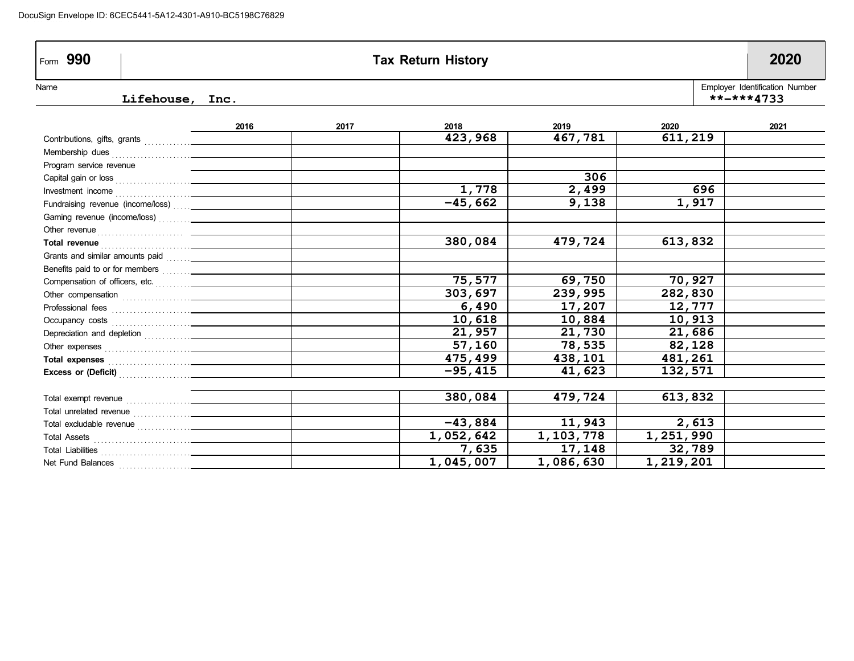| Form 990                                                                                                                                                                                                                      |      |      | <b>Tax Return History</b> |             |           | 2020                                         |
|-------------------------------------------------------------------------------------------------------------------------------------------------------------------------------------------------------------------------------|------|------|---------------------------|-------------|-----------|----------------------------------------------|
| Name<br>Lifehouse, Inc.                                                                                                                                                                                                       |      |      |                           |             |           | Employer Identification Number<br>**-***4733 |
|                                                                                                                                                                                                                               | 2016 | 2017 | 2018                      | 2019        | 2020      | 2021                                         |
| Contributions, gifts, grants                                                                                                                                                                                                  |      |      | 423,968                   | 467,781     | 611,219   |                                              |
|                                                                                                                                                                                                                               |      |      |                           |             |           |                                              |
| Program service revenue                                                                                                                                                                                                       |      |      |                           |             |           |                                              |
|                                                                                                                                                                                                                               |      |      |                           | 306         |           |                                              |
|                                                                                                                                                                                                                               |      |      | 1,778                     | 2,499       | 696       |                                              |
| Fundraising revenue (income/loss)                                                                                                                                                                                             |      |      | $-45,662$                 | 9,138       | 1,917     |                                              |
|                                                                                                                                                                                                                               |      |      |                           |             |           |                                              |
|                                                                                                                                                                                                                               |      |      |                           |             |           |                                              |
|                                                                                                                                                                                                                               |      |      | 380,084                   | 479,724     | 613,832   |                                              |
| Grants and similar amounts paid                                                                                                                                                                                               |      |      |                           |             |           |                                              |
|                                                                                                                                                                                                                               |      |      |                           |             |           |                                              |
|                                                                                                                                                                                                                               |      |      | 75,577                    | 69,750      | 70,927    |                                              |
|                                                                                                                                                                                                                               |      |      | 303,697                   | 239,995     | 282,830   |                                              |
|                                                                                                                                                                                                                               |      |      | 6,490                     | 17,207      | 12,777    |                                              |
|                                                                                                                                                                                                                               |      |      | 10,618                    | 10,884      | 10,913    |                                              |
|                                                                                                                                                                                                                               |      |      | 21,957                    | 21,730      | 21,686    |                                              |
|                                                                                                                                                                                                                               |      |      | 57,160                    | 78,535      | 82,128    |                                              |
| Total expenses example and the state of the state of the state of the state of the state of the state of the state of the state of the state of the state of the state of the state of the state of the state of the state of |      |      | 475,499                   | 438,101     | 481,261   |                                              |
|                                                                                                                                                                                                                               |      |      | $-95,415$                 | 41,623      | 132,571   |                                              |
|                                                                                                                                                                                                                               |      |      |                           |             |           |                                              |
| Total exempt revenue contained and all the set of the set of the set of the set of the set of the set of the s                                                                                                                |      |      | 380,084                   | 479,724     | 613,832   |                                              |
|                                                                                                                                                                                                                               |      |      |                           |             |           |                                              |
|                                                                                                                                                                                                                               |      |      | $-43,884$                 | 11,943      | 2,613     |                                              |
|                                                                                                                                                                                                                               |      |      | 1,052,642                 | 1, 103, 778 | 1,251,990 |                                              |
|                                                                                                                                                                                                                               |      |      | 7,635                     | 17,148      | 32,789    |                                              |
| Net Fund Balances                                                                                                                                                                                                             |      |      | 1,045,007                 | 1,086,630   | 1,219,201 |                                              |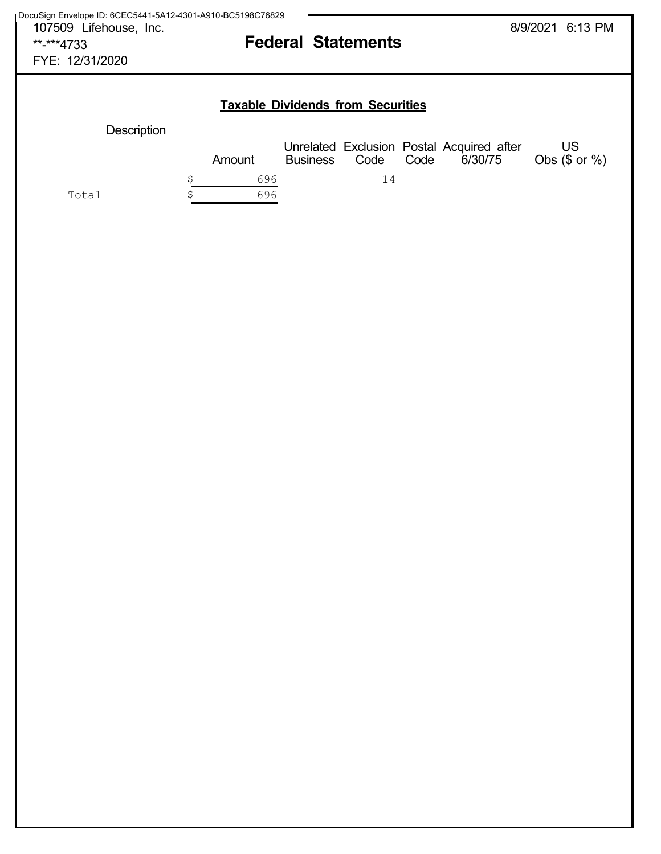| DocuSign Envelope ID: 6CEC5441-5A12-4301-A910-BC5198C76829<br>107509 Lifehouse, Inc.<br>**-***4733<br>FYE: 12/31/2020 |                                          | <b>Federal Statements</b> |      |      |                                                      | 8/9/2021 6:13 PM             |
|-----------------------------------------------------------------------------------------------------------------------|------------------------------------------|---------------------------|------|------|------------------------------------------------------|------------------------------|
|                                                                                                                       | <b>Taxable Dividends from Securities</b> |                           |      |      |                                                      |                              |
| Description                                                                                                           |                                          |                           |      |      |                                                      |                              |
|                                                                                                                       | Amount                                   | <b>Business</b>           | Code | Code | Unrelated Exclusion Postal Acquired after<br>6/30/75 | <b>US</b><br>Obs $($ or  %)$ |
| \$<br>Total                                                                                                           | 696<br>696                               |                           | 14   |      |                                                      |                              |
|                                                                                                                       |                                          |                           |      |      |                                                      |                              |
|                                                                                                                       |                                          |                           |      |      |                                                      |                              |
|                                                                                                                       |                                          |                           |      |      |                                                      |                              |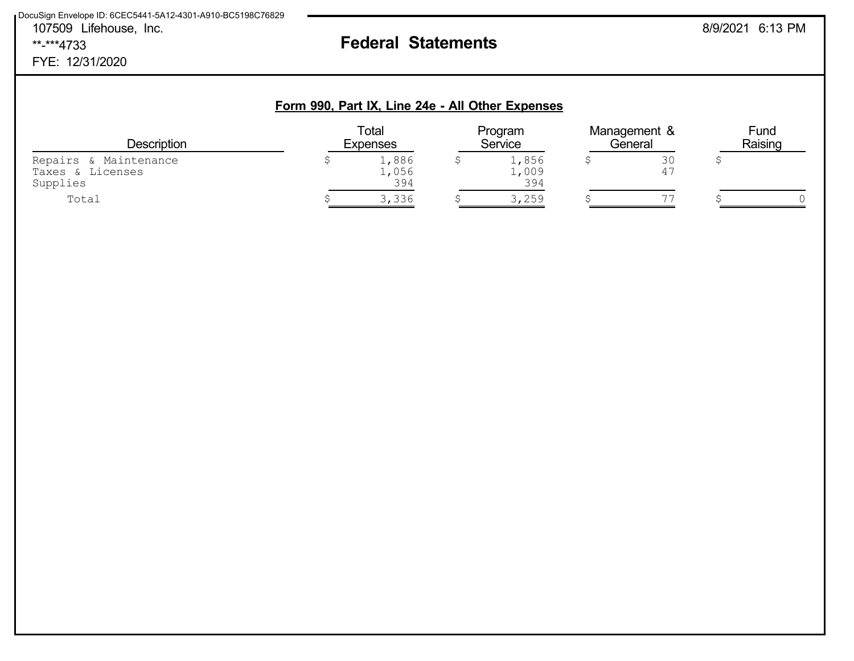#### 107509 Lifehouse, Inc. 8/9/2021 6:13 PM DocuSign Envelope ID: 6CEC5441-5A12-4301-A910-BC5198C76829

# \*\*-\*\*\*4733 **Federal Statements**

FYE: 12/31/2020

### **Form 990, Part IX, Line 24e - All Other Expenses**

| <b>Description</b>                                    | Total<br><b>Expenses</b> |  | Program<br>Service    |  | Management &<br>General  |  | Fund<br>Raising |  |
|-------------------------------------------------------|--------------------------|--|-----------------------|--|--------------------------|--|-----------------|--|
| Repairs & Maintenance<br>Taxes & Licenses<br>Supplies | 1,886<br>1,056<br>394    |  | 1,856<br>1,009<br>394 |  | 30                       |  |                 |  |
| Total                                                 | 3,336                    |  | 3,259                 |  | $\overline{\phantom{0}}$ |  |                 |  |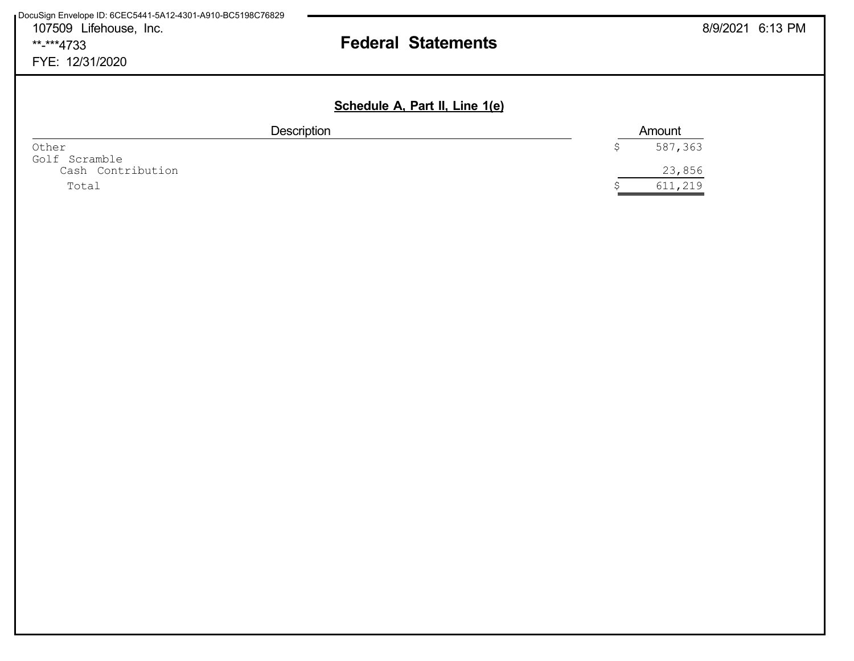| DocuSign Envelope ID: 6CEC5441-5A12-4301-A910-BC5198C76829 |          |         |
|------------------------------------------------------------|----------|---------|
| Lifehouse,<br>107509<br>Inc.                               | 8/9/2021 | 6:13 PM |

# \*\*-\*\*\*4733 **Federal Statements**

FYE: 12/31/2020

## **Schedule A, Part II, Line 1(e)**

| <b>Description</b>     | Amount  |
|------------------------|---------|
| Other<br>Golf Scramble | 587,363 |
| Cash Contribution      | 23,856  |
| Total                  | 611,219 |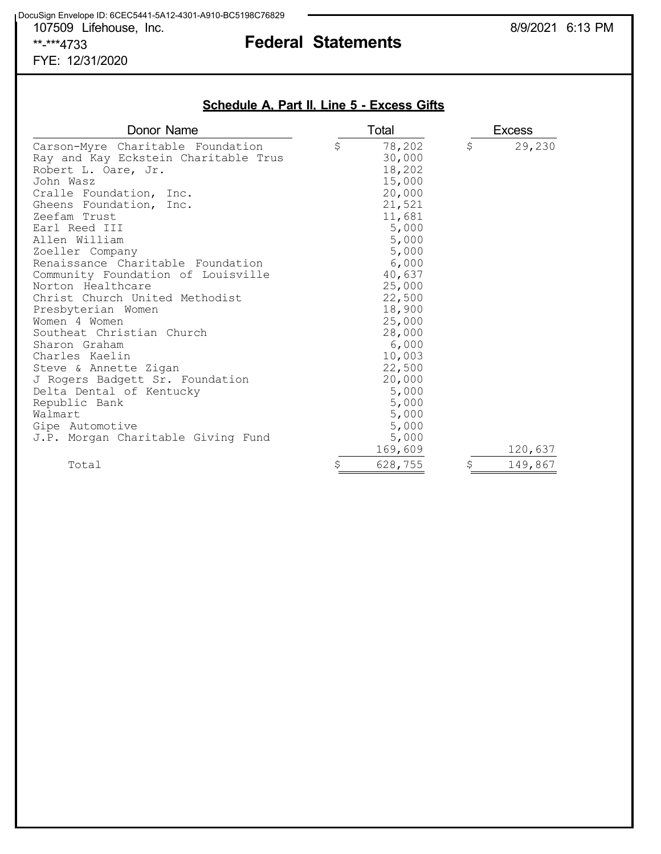# \*\*-\*\*\*4733 **Federal Statements**

FYE: 12/31/2020

### **Schedule A, Part II, Line 5 - Excess Gifts**

| Donor Name                           | Total |         | <b>Excess</b> |         |  |
|--------------------------------------|-------|---------|---------------|---------|--|
| Carson-Myre Charitable Foundation    | \$    | 78,202  | \$            | 29,230  |  |
| Ray and Kay Eckstein Charitable Trus |       | 30,000  |               |         |  |
| Robert L. Oare, Jr.                  |       | 18,202  |               |         |  |
| John Wasz                            |       | 15,000  |               |         |  |
| Cralle Foundation, Inc.              |       | 20,000  |               |         |  |
| Gheens Foundation, Inc.              |       | 21,521  |               |         |  |
| Zeefam Trust                         |       | 11,681  |               |         |  |
| Earl Reed III                        |       | 5,000   |               |         |  |
| Allen William                        |       | 5,000   |               |         |  |
| Zoeller Company                      |       | 5,000   |               |         |  |
| Renaissance Charitable Foundation    |       | 6,000   |               |         |  |
| Community Foundation of Louisville   |       | 40,637  |               |         |  |
| Norton Healthcare                    |       | 25,000  |               |         |  |
| Christ Church United Methodist       |       | 22,500  |               |         |  |
| Presbyterian Women                   |       | 18,900  |               |         |  |
| Women 4 Women                        |       | 25,000  |               |         |  |
| Southeat Christian Church            |       | 28,000  |               |         |  |
| Sharon Graham                        |       | 6,000   |               |         |  |
| Charles Kaelin                       |       | 10,003  |               |         |  |
| Steve & Annette Zigan                |       | 22,500  |               |         |  |
| J Rogers Badgett Sr. Foundation      |       | 20,000  |               |         |  |
| Delta Dental of Kentucky             |       | 5,000   |               |         |  |
| Republic Bank                        |       | 5,000   |               |         |  |
| Walmart                              |       | 5,000   |               |         |  |
| Gipe Automotive                      |       | 5,000   |               |         |  |
| J.P. Morgan Charitable Giving Fund   |       | 5,000   |               |         |  |
|                                      |       | 169,609 |               | 120,637 |  |
| Total                                | \$    | 628,755 | \$            | 149,867 |  |